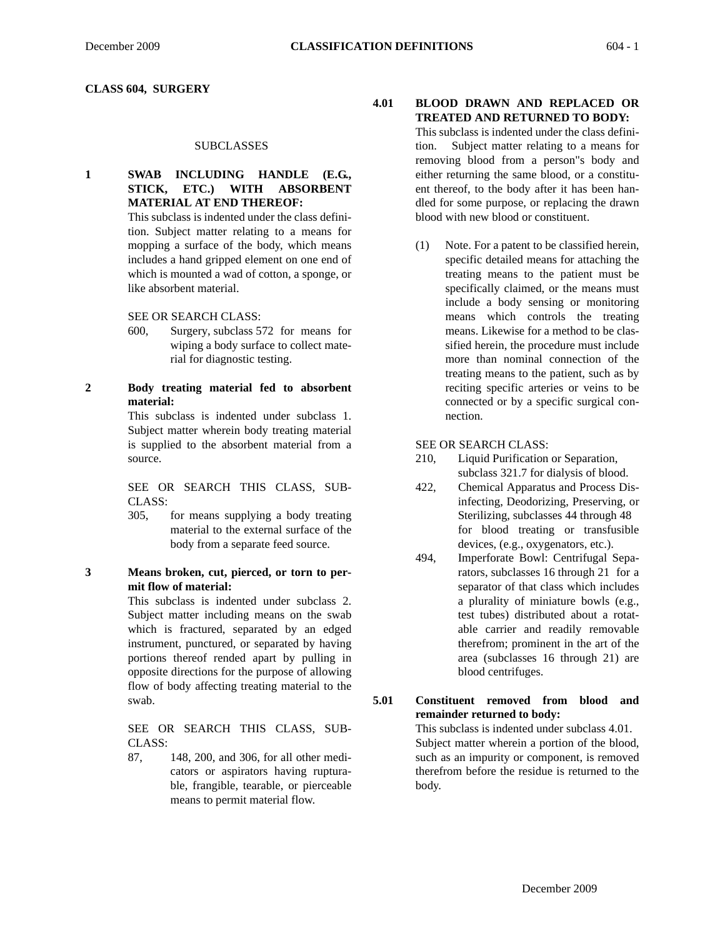#### **CLASS 604, SURGERY**

#### **SUBCLASSES**

## **1 SWAB INCLUDING HANDLE (E.G., STICK, ETC.) WITH ABSORBENT MATERIAL AT END THEREOF:**

This subclass is indented under the class definition. Subject matter relating to a means for mopping a surface of the body, which means includes a hand gripped element on one end of which is mounted a wad of cotton, a sponge, or like absorbent material.

SEE OR SEARCH CLASS:

600, Surgery, subclass 572 for means for wiping a body surface to collect material for diagnostic testing.

#### **2 Body treating material fed to absorbent material:**

This subclass is indented under subclass 1. Subject matter wherein body treating material is supplied to the absorbent material from a source.

SEE OR SEARCH THIS CLASS, SUB-CLASS:

- 305, for means supplying a body treating material to the external surface of the body from a separate feed source.
- **3 Means broken, cut, pierced, or torn to permit flow of material:**

This subclass is indented under subclass 2. Subject matter including means on the swab which is fractured, separated by an edged instrument, punctured, or separated by having portions thereof rended apart by pulling in opposite directions for the purpose of allowing flow of body affecting treating material to the swab.

SEE OR SEARCH THIS CLASS, SUB-CLASS:

87, 148, 200, and 306, for all other medicators or aspirators having rupturable, frangible, tearable, or pierceable means to permit material flow.

## **4.01 BLOOD DRAWN AND REPLACED OR TREATED AND RETURNED TO BODY:**

This subclass is indented under the class definition. Subject matter relating to a means for removing blood from a person"s body and either returning the same blood, or a constituent thereof, to the body after it has been handled for some purpose, or replacing the drawn blood with new blood or constituent.

(1) Note. For a patent to be classified herein, specific detailed means for attaching the treating means to the patient must be specifically claimed, or the means must include a body sensing or monitoring means which controls the treating means. Likewise for a method to be classified herein, the procedure must include more than nominal connection of the treating means to the patient, such as by reciting specific arteries or veins to be connected or by a specific surgical connection.

SEE OR SEARCH CLASS:

- 210, Liquid Purification or Separation, subclass 321.7 for dialysis of blood.
- 422, Chemical Apparatus and Process Disinfecting, Deodorizing, Preserving, or Sterilizing, subclasses 44 through 48 for blood treating or transfusible devices, (e.g., oxygenators, etc.).
- 494, Imperforate Bowl: Centrifugal Separators, subclasses 16 through 21 for a separator of that class which includes a plurality of miniature bowls (e.g., test tubes) distributed about a rotatable carrier and readily removable therefrom; prominent in the art of the area (subclasses 16 through 21) are blood centrifuges.

**5.01 Constituent removed from blood and remainder returned to body:** This subclass is indented under subclass 4.01. Subject matter wherein a portion of the blood, such as an impurity or component, is removed therefrom before the residue is returned to the body.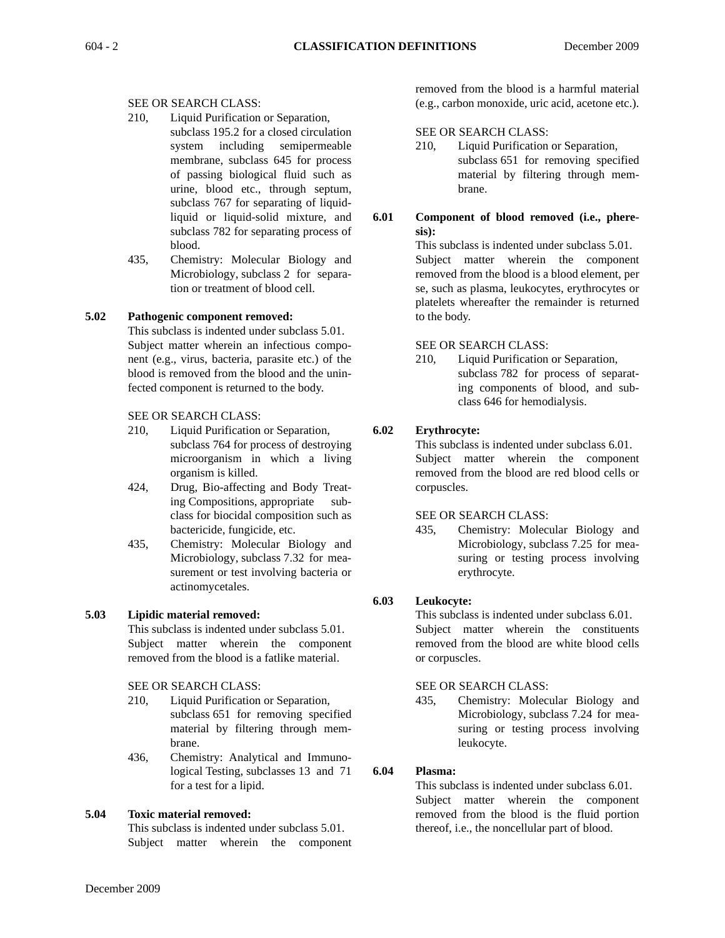## SEE OR SEARCH CLASS:

- 210, Liquid Purification or Separation, subclass 195.2 for a closed circulation system including semipermeable membrane, subclass 645 for process of passing biological fluid such as urine, blood etc., through septum, subclass 767 for separating of liquidliquid or liquid-solid mixture, and subclass 782 for separating process of blood.
- 435, Chemistry: Molecular Biology and Microbiology, subclass 2 for separation or treatment of blood cell.

## **5.02 Pathogenic component removed:**

This subclass is indented under subclass 5.01. Subject matter wherein an infectious component (e.g., virus, bacteria, parasite etc.) of the blood is removed from the blood and the uninfected component is returned to the body.

## SEE OR SEARCH CLASS:

- 210, Liquid Purification or Separation, subclass 764 for process of destroying microorganism in which a living organism is killed.
- 424, Drug, Bio-affecting and Body Treating Compositions, appropriate subclass for biocidal composition such as bactericide, fungicide, etc.
- 435, Chemistry: Molecular Biology and Microbiology, subclass 7.32 for measurement or test involving bacteria or actinomycetales.

## **5.03 Lipidic material removed:**

This subclass is indented under subclass 5.01. Subject matter wherein the component removed from the blood is a fatlike material.

## SEE OR SEARCH CLASS:

- 210, Liquid Purification or Separation, subclass 651 for removing specified material by filtering through membrane.
- 436, Chemistry: Analytical and Immunological Testing, subclasses 13 and 71 for a test for a lipid.

## **5.04 Toxic material removed:**

This subclass is indented under subclass 5.01. Subject matter wherein the component removed from the blood is a harmful material (e.g., carbon monoxide, uric acid, acetone etc.).

## SEE OR SEARCH CLASS:

- 210, Liquid Purification or Separation, subclass 651 for removing specified material by filtering through membrane.
- **6.01 Component of blood removed (i.e., pheresis):**

This subclass is indented under subclass 5.01. Subject matter wherein the component removed from the blood is a blood element, per se, such as plasma, leukocytes, erythrocytes or platelets whereafter the remainder is returned to the body.

## SEE OR SEARCH CLASS:

210, Liquid Purification or Separation, subclass 782 for process of separating components of blood, and subclass 646 for hemodialysis.

## **6.02 Erythrocyte:**

This subclass is indented under subclass 6.01. Subject matter wherein the component removed from the blood are red blood cells or corpuscles.

## SEE OR SEARCH CLASS:

435, Chemistry: Molecular Biology and Microbiology, subclass 7.25 for measuring or testing process involving erythrocyte.

## **6.03 Leukocyte:**

This subclass is indented under subclass 6.01.

Subject matter wherein the constituents removed from the blood are white blood cells or corpuscles.

## SEE OR SEARCH CLASS:

435, Chemistry: Molecular Biology and Microbiology, subclass 7.24 for measuring or testing process involving leukocyte.

## **6.04 Plasma:**

This subclass is indented under subclass 6.01. Subject matter wherein the component removed from the blood is the fluid portion thereof, i.e., the noncellular part of blood.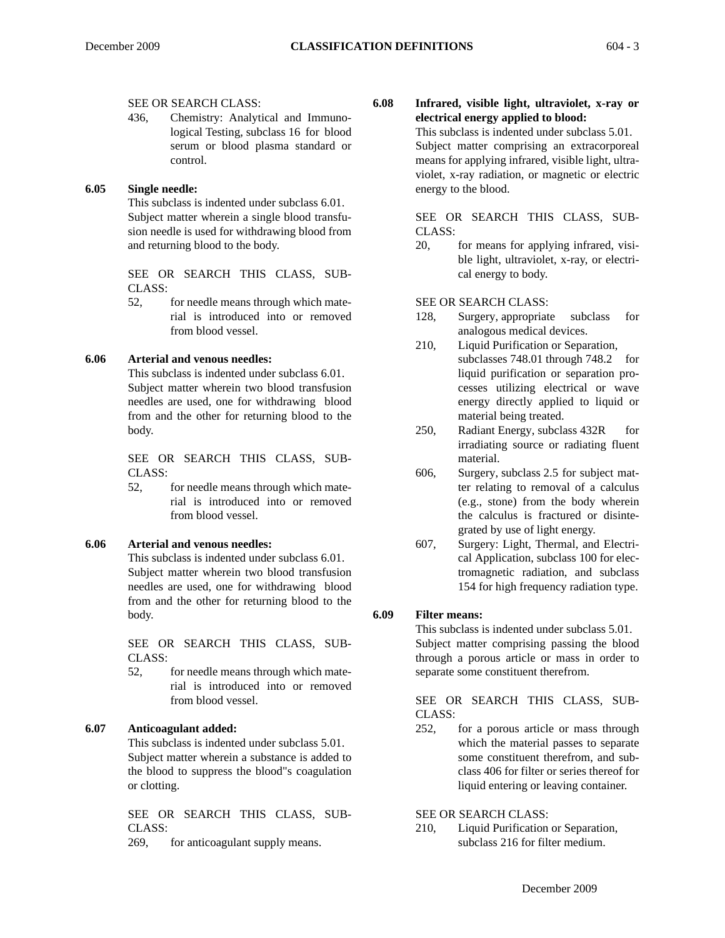## SEE OR SEARCH CLASS:

436, Chemistry: Analytical and Immunological Testing, subclass 16 for blood serum or blood plasma standard or control.

## **6.05 Single needle:**

This subclass is indented under subclass 6.01. Subject matter wherein a single blood transfusion needle is used for withdrawing blood from and returning blood to the body.

SEE OR SEARCH THIS CLASS, SUB-CLASS:

52, for needle means through which material is introduced into or removed from blood vessel.

#### **6.06 Arterial and venous needles:**

This subclass is indented under subclass 6.01. Subject matter wherein two blood transfusion needles are used, one for withdrawing blood from and the other for returning blood to the body.

SEE OR SEARCH THIS CLASS, SUB-CLASS:

52, for needle means through which material is introduced into or removed from blood vessel.

## **6.06 Arterial and venous needles:**

This subclass is indented under subclass 6.01. Subject matter wherein two blood transfusion needles are used, one for withdrawing blood from and the other for returning blood to the body.

SEE OR SEARCH THIS CLASS, SUB-CLASS:

52, for needle means through which material is introduced into or removed from blood vessel.

## **6.07 Anticoagulant added:**

This subclass is indented under subclass 5.01. Subject matter wherein a substance is added to the blood to suppress the blood"s coagulation or clotting.

SEE OR SEARCH THIS CLASS, SUB-CLASS:

269, for anticoagulant supply means.

**6.08 Infrared, visible light, ultraviolet, x-ray or electrical energy applied to blood:**

> This subclass is indented under subclass 5.01. Subject matter comprising an extracorporeal means for applying infrared, visible light, ultraviolet, x-ray radiation, or magnetic or electric energy to the blood.

> SEE OR SEARCH THIS CLASS, SUB-CLASS:

> 20, for means for applying infrared, visible light, ultraviolet, x-ray, or electrical energy to body.

SEE OR SEARCH CLASS:

- 128, Surgery, appropriate subclass for analogous medical devices.
- 210, Liquid Purification or Separation, subclasses 748.01 through 748.2 for liquid purification or separation processes utilizing electrical or wave energy directly applied to liquid or material being treated.
- 250, Radiant Energy, subclass 432R for irradiating source or radiating fluent material.
- 606, Surgery, subclass 2.5 for subject matter relating to removal of a calculus (e.g., stone) from the body wherein the calculus is fractured or disintegrated by use of light energy.
- 607, Surgery: Light, Thermal, and Electrical Application, subclass 100 for electromagnetic radiation, and subclass 154 for high frequency radiation type.

## **6.09 Filter means:**

This subclass is indented under subclass 5.01. Subject matter comprising passing the blood through a porous article or mass in order to separate some constituent therefrom.

SEE OR SEARCH THIS CLASS, SUB-CLASS:

252, for a porous article or mass through which the material passes to separate some constituent therefrom, and subclass 406 for filter or series thereof for liquid entering or leaving container.

## SEE OR SEARCH CLASS:

210, Liquid Purification or Separation, subclass 216 for filter medium.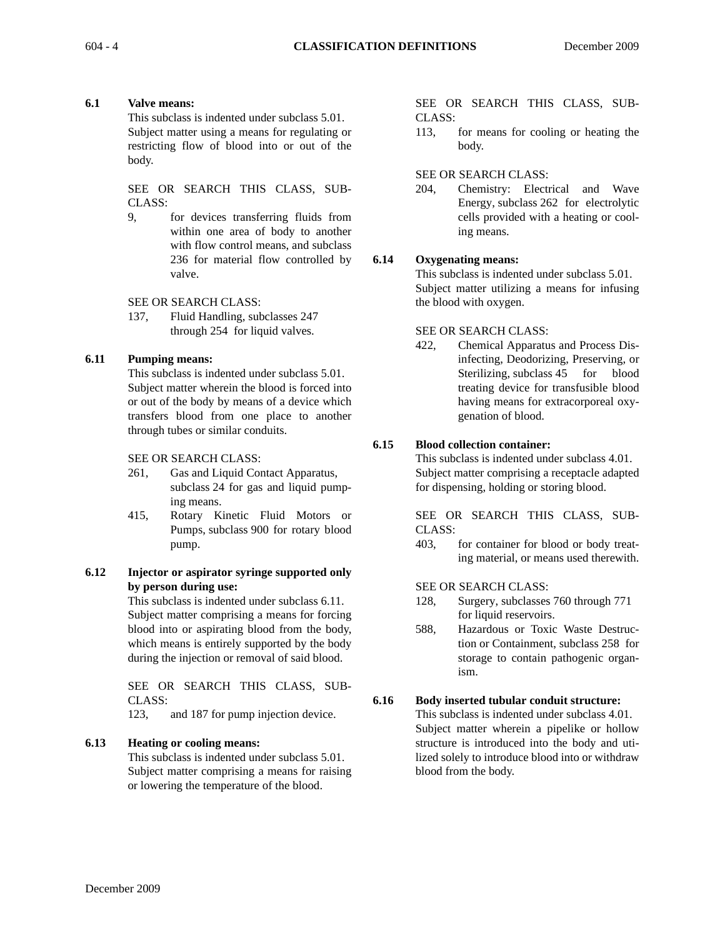## **6.1 Valve means:**

This subclass is indented under subclass 5.01. Subject matter using a means for regulating or restricting flow of blood into or out of the body.

SEE OR SEARCH THIS CLASS, SUB-CLASS:

9, for devices transferring fluids from within one area of body to another with flow control means, and subclass 236 for material flow controlled by valve.

SEE OR SEARCH CLASS:

137, Fluid Handling, subclasses 247 through 254 for liquid valves.

## **6.11 Pumping means:**

This subclass is indented under subclass 5.01. Subject matter wherein the blood is forced into or out of the body by means of a device which transfers blood from one place to another through tubes or similar conduits.

SEE OR SEARCH CLASS:

- 261, Gas and Liquid Contact Apparatus, subclass 24 for gas and liquid pumping means.
- 415, Rotary Kinetic Fluid Motors or Pumps, subclass 900 for rotary blood pump.

## **6.12 Injector or aspirator syringe supported only by person during use:**

This subclass is indented under subclass 6.11. Subject matter comprising a means for forcing blood into or aspirating blood from the body, which means is entirely supported by the body during the injection or removal of said blood.

SEE OR SEARCH THIS CLASS, SUB-CLASS:

123, and 187 for pump injection device.

## **6.13 Heating or cooling means:**

This subclass is indented under subclass 5.01. Subject matter comprising a means for raising or lowering the temperature of the blood.

SEE OR SEARCH THIS CLASS, SUB-CLASS:

113, for means for cooling or heating the body.

## SEE OR SEARCH CLASS:

204, Chemistry: Electrical and Wave Energy, subclass 262 for electrolytic cells provided with a heating or cooling means.

## **6.14 Oxygenating means:**

This subclass is indented under subclass 5.01. Subject matter utilizing a means for infusing the blood with oxygen.

#### SEE OR SEARCH CLASS:

422, Chemical Apparatus and Process Disinfecting, Deodorizing, Preserving, or Sterilizing, subclass 45 for blood treating device for transfusible blood having means for extracorporeal oxygenation of blood.

## **6.15 Blood collection container:**

This subclass is indented under subclass 4.01. Subject matter comprising a receptacle adapted for dispensing, holding or storing blood.

SEE OR SEARCH THIS CLASS, SUB-CLASS:

403, for container for blood or body treating material, or means used therewith.

SEE OR SEARCH CLASS:

- 128, Surgery, subclasses 760 through 771 for liquid reservoirs.
- 588, Hazardous or Toxic Waste Destruction or Containment, subclass 258 for storage to contain pathogenic organism.

## **6.16 Body inserted tubular conduit structure:**

This subclass is indented under subclass 4.01. Subject matter wherein a pipelike or hollow structure is introduced into the body and utilized solely to introduce blood into or withdraw blood from the body.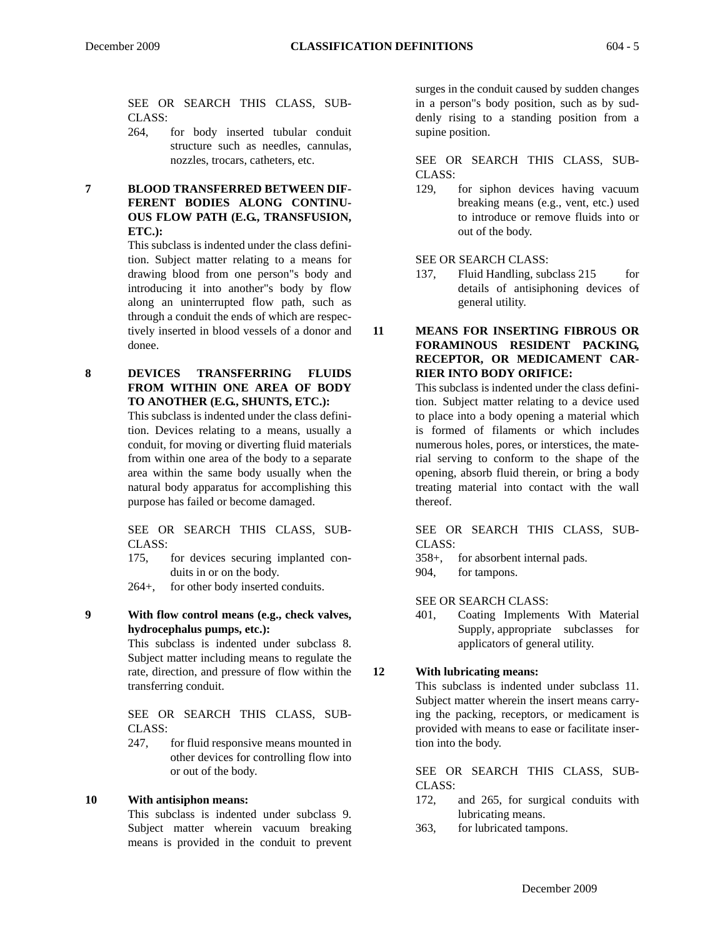SEE OR SEARCH THIS CLASS, SUB-CLASS:

- 264, for body inserted tubular conduit structure such as needles, cannulas, nozzles, trocars, catheters, etc.
- **7 BLOOD TRANSFERRED BETWEEN DIF-FERENT BODIES ALONG CONTINU-OUS FLOW PATH (E.G., TRANSFUSION, ETC.):**

This subclass is indented under the class definition. Subject matter relating to a means for drawing blood from one person"s body and introducing it into another"s body by flow along an uninterrupted flow path, such as through a conduit the ends of which are respectively inserted in blood vessels of a donor and donee.

**8 DEVICES TRANSFERRING FLUIDS FROM WITHIN ONE AREA OF BODY TO ANOTHER (E.G., SHUNTS, ETC.):**

This subclass is indented under the class definition. Devices relating to a means, usually a conduit, for moving or diverting fluid materials from within one area of the body to a separate area within the same body usually when the natural body apparatus for accomplishing this purpose has failed or become damaged.

SEE OR SEARCH THIS CLASS, SUB-CLASS:

175, for devices securing implanted conduits in or on the body.

264+, for other body inserted conduits.

**9 With flow control means (e.g., check valves, hydrocephalus pumps, etc.):**

This subclass is indented under subclass 8. Subject matter including means to regulate the rate, direction, and pressure of flow within the transferring conduit.

SEE OR SEARCH THIS CLASS, SUB-CLASS:

247, for fluid responsive means mounted in other devices for controlling flow into or out of the body.

#### **10 With antisiphon means:**

This subclass is indented under subclass 9. Subject matter wherein vacuum breaking means is provided in the conduit to prevent surges in the conduit caused by sudden changes in a person"s body position, such as by suddenly rising to a standing position from a supine position.

SEE OR SEARCH THIS CLASS, SUB-CLASS:

129, for siphon devices having vacuum breaking means (e.g., vent, etc.) used to introduce or remove fluids into or out of the body.

SEE OR SEARCH CLASS:

137, Fluid Handling, subclass 215 for details of antisiphoning devices of general utility.

**11 MEANS FOR INSERTING FIBROUS OR FORAMINOUS RESIDENT PACKING, RECEPTOR, OR MEDICAMENT CAR-RIER INTO BODY ORIFICE:**

> This subclass is indented under the class definition. Subject matter relating to a device used to place into a body opening a material which is formed of filaments or which includes numerous holes, pores, or interstices, the material serving to conform to the shape of the opening, absorb fluid therein, or bring a body treating material into contact with the wall thereof.

SEE OR SEARCH THIS CLASS, SUB-CLASS:

358+, for absorbent internal pads.

904, for tampons.

SEE OR SEARCH CLASS:

401, Coating Implements With Material Supply, appropriate subclasses for applicators of general utility.

#### **12 With lubricating means:**

This subclass is indented under subclass 11. Subject matter wherein the insert means carrying the packing, receptors, or medicament is provided with means to ease or facilitate insertion into the body.

SEE OR SEARCH THIS CLASS, SUB-CLASS:

- 172, and 265, for surgical conduits with lubricating means.
- 363, for lubricated tampons.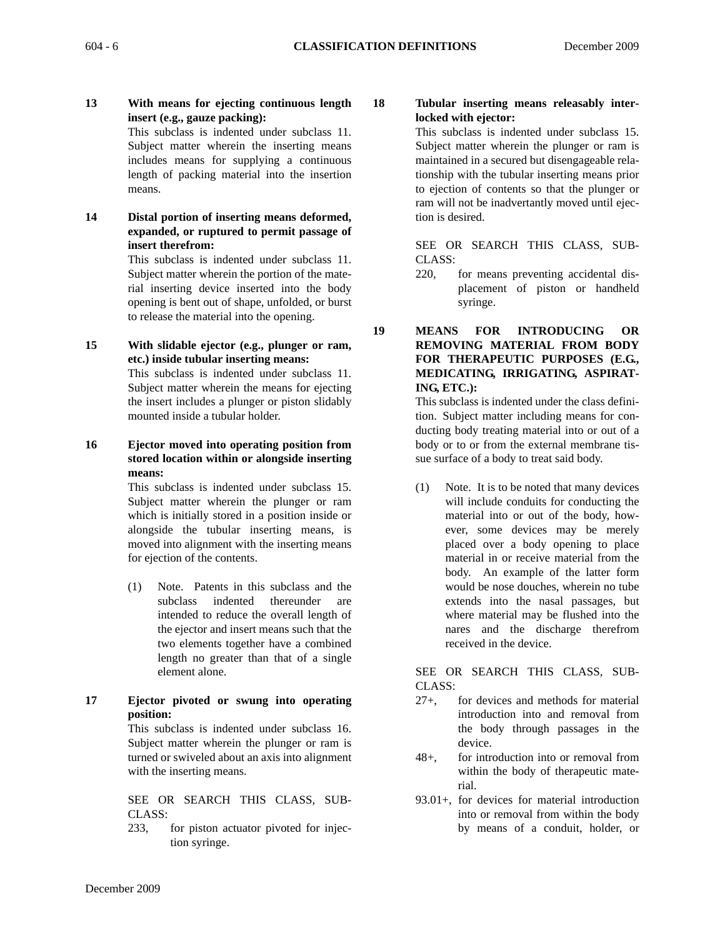**13 With means for ejecting continuous length insert (e.g., gauze packing):**

This subclass is indented under subclass 11. Subject matter wherein the inserting means includes means for supplying a continuous length of packing material into the insertion means.

**14 Distal portion of inserting means deformed, expanded, or ruptured to permit passage of insert therefrom:**

> This subclass is indented under subclass 11. Subject matter wherein the portion of the material inserting device inserted into the body opening is bent out of shape, unfolded, or burst to release the material into the opening.

**15 With slidable ejector (e.g., plunger or ram, etc.) inside tubular inserting means:** 

This subclass is indented under subclass 11. Subject matter wherein the means for ejecting the insert includes a plunger or piston slidably mounted inside a tubular holder.

**16 Ejector moved into operating position from stored location within or alongside inserting means:**

> This subclass is indented under subclass 15. Subject matter wherein the plunger or ram which is initially stored in a position inside or alongside the tubular inserting means, is moved into alignment with the inserting means for ejection of the contents.

- (1) Note. Patents in this subclass and the subclass indented thereunder are intended to reduce the overall length of the ejector and insert means such that the two elements together have a combined length no greater than that of a single element alone.
- **17 Ejector pivoted or swung into operating position:**

This subclass is indented under subclass 16. Subject matter wherein the plunger or ram is turned or swiveled about an axis into alignment with the inserting means.

SEE OR SEARCH THIS CLASS, SUB-CLASS:

233, for piston actuator pivoted for injection syringe.

**18 Tubular inserting means releasably interlocked with ejector:**

This subclass is indented under subclass 15. Subject matter wherein the plunger or ram is maintained in a secured but disengageable relationship with the tubular inserting means prior to ejection of contents so that the plunger or ram will not be inadvertantly moved until ejection is desired.

SEE OR SEARCH THIS CLASS, SUB-CLASS:

220, for means preventing accidental displacement of piston or handheld syringe.

**19 MEANS FOR INTRODUCING OR REMOVING MATERIAL FROM BODY FOR THERAPEUTIC PURPOSES (E.G., MEDICATING, IRRIGATING, ASPIRAT-ING, ETC.):**

> This subclass is indented under the class definition. Subject matter including means for conducting body treating material into or out of a body or to or from the external membrane tissue surface of a body to treat said body.

> (1) Note. It is to be noted that many devices will include conduits for conducting the material into or out of the body, however, some devices may be merely placed over a body opening to place material in or receive material from the body. An example of the latter form would be nose douches, wherein no tube extends into the nasal passages, but where material may be flushed into the nares and the discharge therefrom received in the device.

SEE OR SEARCH THIS CLASS, SUB-CLASS:

- 27+, for devices and methods for material introduction into and removal from the body through passages in the device.
- 48+, for introduction into or removal from within the body of therapeutic material.
- 93.01+, for devices for material introduction into or removal from within the body by means of a conduit, holder, or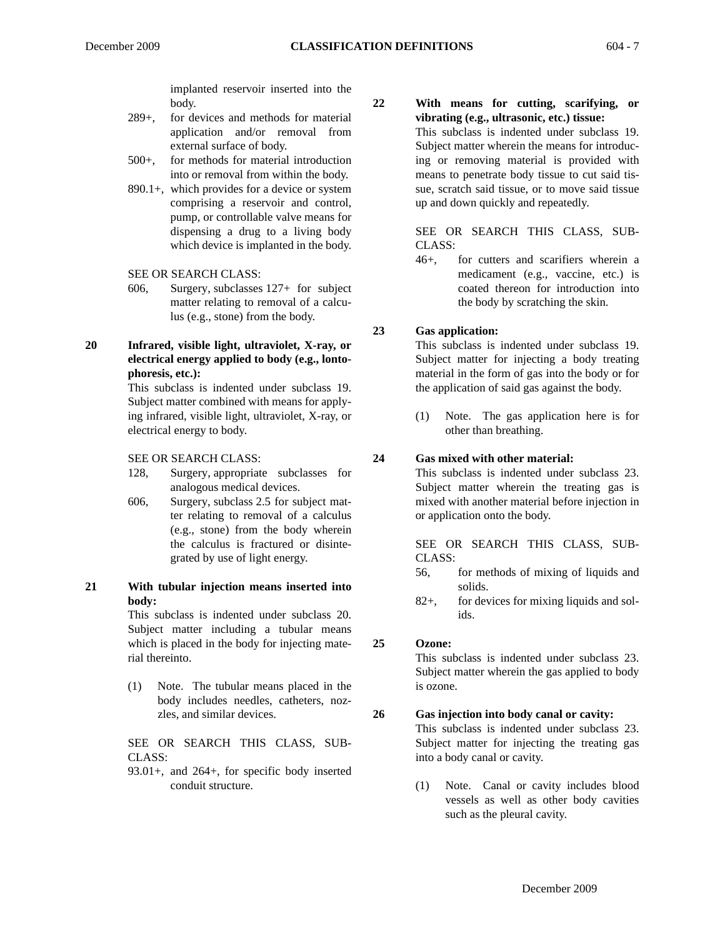implanted reservoir inserted into the body.

- 289+, for devices and methods for material application and/or removal from external surface of body.
- 500+, for methods for material introduction into or removal from within the body.
- 890.1+, which provides for a device or system comprising a reservoir and control, pump, or controllable valve means for dispensing a drug to a living body which device is implanted in the body.
- SEE OR SEARCH CLASS:
- 606, Surgery, subclasses 127+ for subject matter relating to removal of a calculus (e.g., stone) from the body.
- **20 Infrared, visible light, ultraviolet, X-ray, or electrical energy applied to body (e.g., lontophoresis, etc.):**

This subclass is indented under subclass 19. Subject matter combined with means for applying infrared, visible light, ultraviolet, X-ray, or electrical energy to body.

#### SEE OR SEARCH CLASS:

- 128, Surgery, appropriate subclasses for analogous medical devices.
- 606, Surgery, subclass 2.5 for subject matter relating to removal of a calculus (e.g., stone) from the body wherein the calculus is fractured or disintegrated by use of light energy.
- **21 With tubular injection means inserted into body:**

This subclass is indented under subclass 20. Subject matter including a tubular means which is placed in the body for injecting material thereinto.

(1) Note. The tubular means placed in the body includes needles, catheters, nozzles, and similar devices.

SEE OR SEARCH THIS CLASS, SUB-CLASS:

93.01+, and 264+, for specific body inserted conduit structure.

## **22 With means for cutting, scarifying, or vibrating (e.g., ultrasonic, etc.) tissue:**

This subclass is indented under subclass 19. Subject matter wherein the means for introducing or removing material is provided with means to penetrate body tissue to cut said tissue, scratch said tissue, or to move said tissue up and down quickly and repeatedly.

SEE OR SEARCH THIS CLASS, SUB-CLASS:

46+, for cutters and scarifiers wherein a medicament (e.g., vaccine, etc.) is coated thereon for introduction into the body by scratching the skin.

#### **23 Gas application:**

This subclass is indented under subclass 19. Subject matter for injecting a body treating material in the form of gas into the body or for the application of said gas against the body.

(1) Note. The gas application here is for other than breathing.

## **24 Gas mixed with other material:**

This subclass is indented under subclass 23. Subject matter wherein the treating gas is mixed with another material before injection in or application onto the body.

SEE OR SEARCH THIS CLASS, SUB-CLASS:

- 56, for methods of mixing of liquids and solids.
- 82+, for devices for mixing liquids and solids.

## **25 Ozone:**

This subclass is indented under subclass 23. Subject matter wherein the gas applied to body is ozone.

## **26 Gas injection into body canal or cavity:**

This subclass is indented under subclass 23. Subject matter for injecting the treating gas into a body canal or cavity.

(1) Note. Canal or cavity includes blood vessels as well as other body cavities such as the pleural cavity.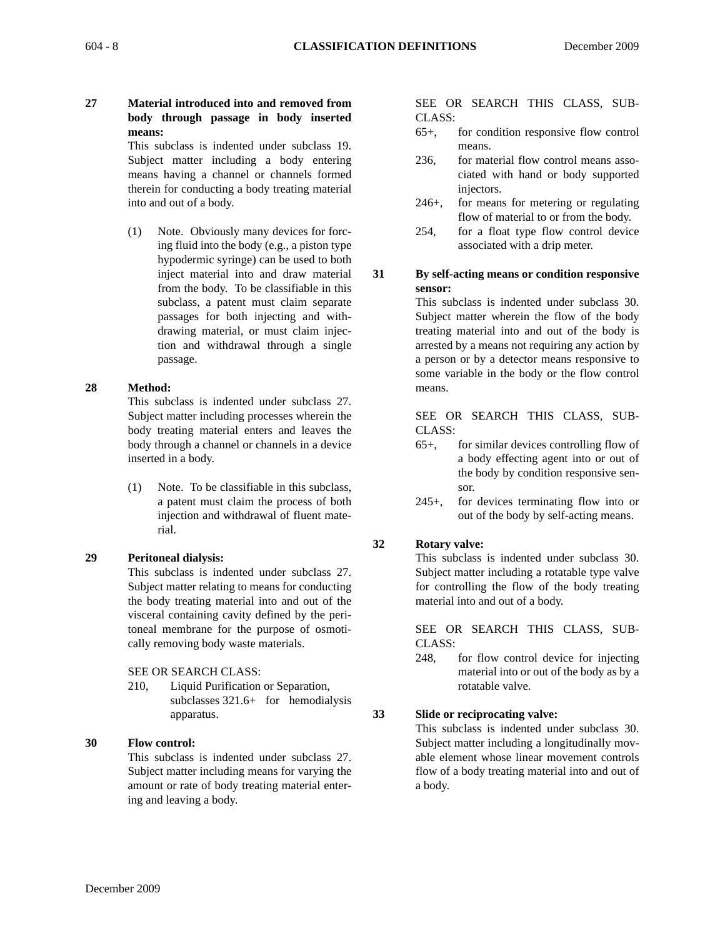- 
- **27 Material introduced into and removed from body through passage in body inserted means:**

This subclass is indented under subclass 19. Subject matter including a body entering means having a channel or channels formed therein for conducting a body treating material into and out of a body.

(1) Note. Obviously many devices for forcing fluid into the body (e.g., a piston type hypodermic syringe) can be used to both inject material into and draw material from the body. To be classifiable in this subclass, a patent must claim separate passages for both injecting and withdrawing material, or must claim injection and withdrawal through a single passage.

## **28 Method:**

This subclass is indented under subclass 27. Subject matter including processes wherein the body treating material enters and leaves the body through a channel or channels in a device inserted in a body.

(1) Note. To be classifiable in this subclass, a patent must claim the process of both injection and withdrawal of fluent material.

## **29 Peritoneal dialysis:**

This subclass is indented under subclass 27. Subject matter relating to means for conducting the body treating material into and out of the visceral containing cavity defined by the peritoneal membrane for the purpose of osmotically removing body waste materials.

#### SEE OR SEARCH CLASS:

210, Liquid Purification or Separation, subclasses 321.6+ for hemodialysis apparatus.

## **30 Flow control:**

This subclass is indented under subclass 27. Subject matter including means for varying the amount or rate of body treating material entering and leaving a body.

#### SEE OR SEARCH THIS CLASS, SUB-CLASS:

- 65+, for condition responsive flow control means.
- 236, for material flow control means associated with hand or body supported injectors.
- 246+, for means for metering or regulating flow of material to or from the body.
- 254, for a float type flow control device associated with a drip meter.

## **31 By self-acting means or condition responsive sensor:**

This subclass is indented under subclass 30. Subject matter wherein the flow of the body treating material into and out of the body is arrested by a means not requiring any action by a person or by a detector means responsive to some variable in the body or the flow control means.

SEE OR SEARCH THIS CLASS, SUB-CLASS:

- 65+, for similar devices controlling flow of a body effecting agent into or out of the body by condition responsive sensor.
- 245+, for devices terminating flow into or out of the body by self-acting means.

#### **32 Rotary valve:**

This subclass is indented under subclass 30. Subject matter including a rotatable type valve for controlling the flow of the body treating material into and out of a body.

SEE OR SEARCH THIS CLASS, SUB-CLASS:

248, for flow control device for injecting material into or out of the body as by a rotatable valve.

#### **33 Slide or reciprocating valve:**

This subclass is indented under subclass 30. Subject matter including a longitudinally movable element whose linear movement controls flow of a body treating material into and out of a body.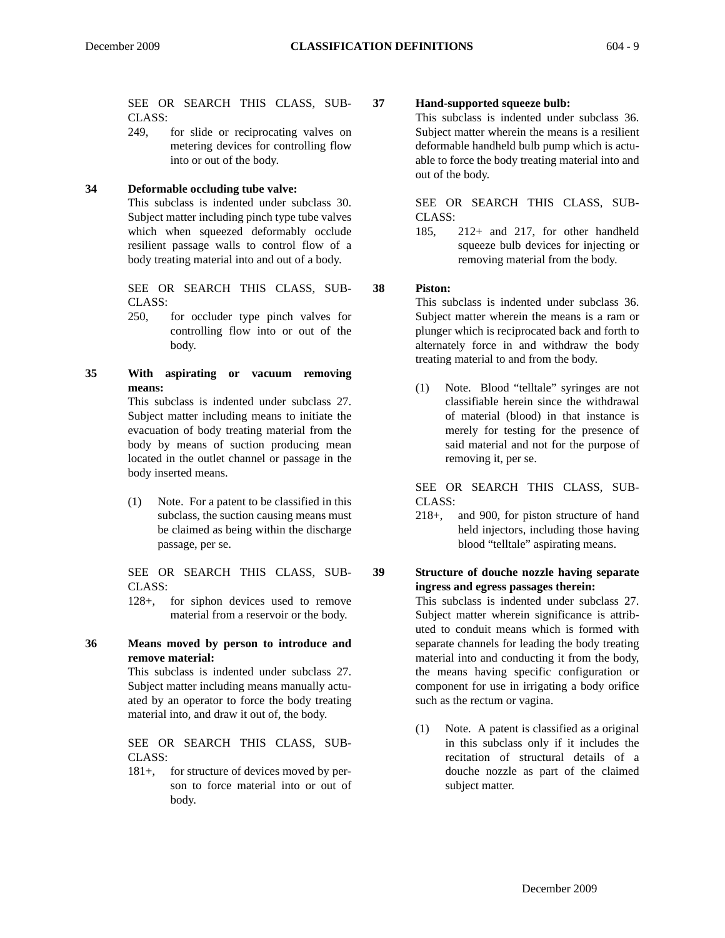SEE OR SEARCH THIS CLASS, SUB-CLASS:

249, for slide or reciprocating valves on metering devices for controlling flow into or out of the body.

## **34 Deformable occluding tube valve:**

This subclass is indented under subclass 30. Subject matter including pinch type tube valves which when squeezed deformably occlude resilient passage walls to control flow of a body treating material into and out of a body.

SEE OR SEARCH THIS CLASS, SUB-CLASS:

- 250, for occluder type pinch valves for controlling flow into or out of the body.
- **35 With aspirating or vacuum removing means:** This subclass is indented under subclass 27.

Subject matter including means to initiate the evacuation of body treating material from the body by means of suction producing mean located in the outlet channel or passage in the body inserted means.

(1) Note. For a patent to be classified in this subclass, the suction causing means must be claimed as being within the discharge passage, per se.

SEE OR SEARCH THIS CLASS, SUB-CLASS:

128+, for siphon devices used to remove material from a reservoir or the body.

## **36 Means moved by person to introduce and remove material:**

This subclass is indented under subclass 27. Subject matter including means manually actuated by an operator to force the body treating material into, and draw it out of, the body.

SEE OR SEARCH THIS CLASS, SUB-CLASS:

181+, for structure of devices moved by person to force material into or out of body.

## **37 Hand-supported squeeze bulb:**

This subclass is indented under subclass 36. Subject matter wherein the means is a resilient deformable handheld bulb pump which is actuable to force the body treating material into and out of the body.

SEE OR SEARCH THIS CLASS, SUB-CLASS:

185, 212+ and 217, for other handheld squeeze bulb devices for injecting or removing material from the body.

## **38 Piston:**

This subclass is indented under subclass 36. Subject matter wherein the means is a ram or plunger which is reciprocated back and forth to alternately force in and withdraw the body treating material to and from the body.

(1) Note. Blood "telltale" syringes are not classifiable herein since the withdrawal of material (blood) in that instance is merely for testing for the presence of said material and not for the purpose of removing it, per se.

SEE OR SEARCH THIS CLASS, SUB-CLASS:

218+, and 900, for piston structure of hand held injectors, including those having blood "telltale" aspirating means.

## **39 Structure of douche nozzle having separate ingress and egress passages therein:**

This subclass is indented under subclass 27. Subject matter wherein significance is attributed to conduit means which is formed with separate channels for leading the body treating material into and conducting it from the body, the means having specific configuration or component for use in irrigating a body orifice such as the rectum or vagina.

(1) Note. A patent is classified as a original in this subclass only if it includes the recitation of structural details of a douche nozzle as part of the claimed subject matter.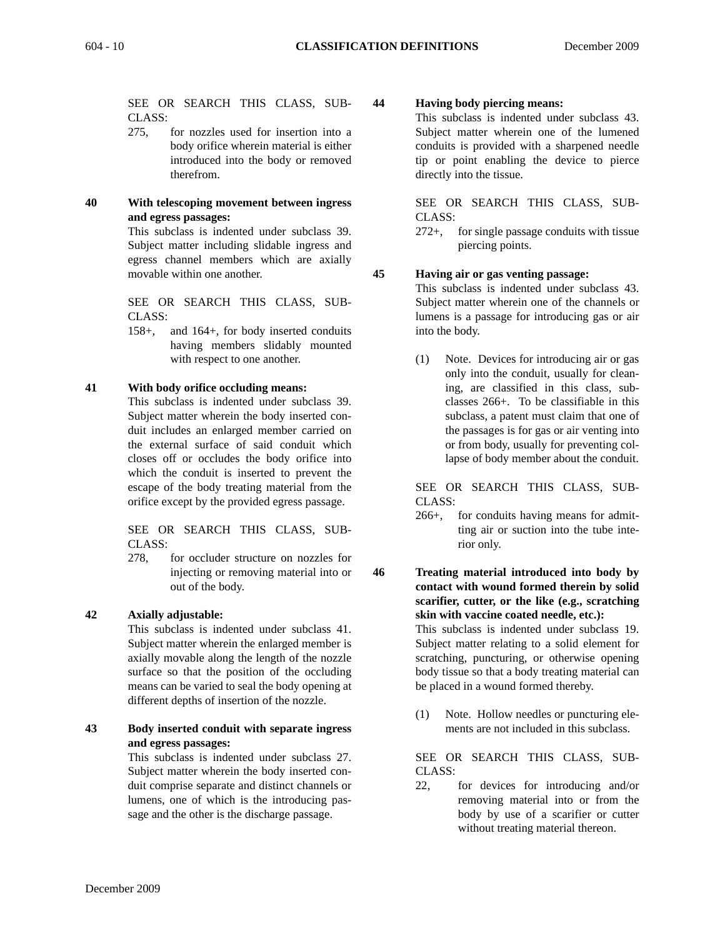SEE OR SEARCH THIS CLASS, SUB-CLASS:

- 275, for nozzles used for insertion into a body orifice wherein material is either introduced into the body or removed therefrom.
- **40 With telescoping movement between ingress and egress passages:**

This subclass is indented under subclass 39. Subject matter including slidable ingress and egress channel members which are axially movable within one another.

SEE OR SEARCH THIS CLASS, SUB-CLASS:

158+, and 164+, for body inserted conduits having members slidably mounted with respect to one another.

## **41 With body orifice occluding means:**

This subclass is indented under subclass 39. Subject matter wherein the body inserted conduit includes an enlarged member carried on the external surface of said conduit which closes off or occludes the body orifice into which the conduit is inserted to prevent the escape of the body treating material from the orifice except by the provided egress passage.

SEE OR SEARCH THIS CLASS, SUB-CLASS:

278, for occluder structure on nozzles for injecting or removing material into or out of the body.

## **42 Axially adjustable:**

This subclass is indented under subclass 41. Subject matter wherein the enlarged member is axially movable along the length of the nozzle surface so that the position of the occluding means can be varied to seal the body opening at different depths of insertion of the nozzle.

## **43 Body inserted conduit with separate ingress and egress passages:**

This subclass is indented under subclass 27. Subject matter wherein the body inserted conduit comprise separate and distinct channels or lumens, one of which is the introducing passage and the other is the discharge passage.

## **44 Having body piercing means:**

This subclass is indented under subclass 43. Subject matter wherein one of the lumened conduits is provided with a sharpened needle tip or point enabling the device to pierce directly into the tissue.

SEE OR SEARCH THIS CLASS, SUB-CLASS:

272+, for single passage conduits with tissue piercing points.

#### **45 Having air or gas venting passage:**

This subclass is indented under subclass 43. Subject matter wherein one of the channels or lumens is a passage for introducing gas or air into the body.

(1) Note. Devices for introducing air or gas only into the conduit, usually for cleaning, are classified in this class, subclasses 266+. To be classifiable in this subclass, a patent must claim that one of the passages is for gas or air venting into or from body, usually for preventing collapse of body member about the conduit.

SEE OR SEARCH THIS CLASS, SUB-CLASS:

266+, for conduits having means for admitting air or suction into the tube interior only.

## **46 Treating material introduced into body by contact with wound formed therein by solid scarifier, cutter, or the like (e.g., scratching skin with vaccine coated needle, etc.):**

This subclass is indented under subclass 19. Subject matter relating to a solid element for scratching, puncturing, or otherwise opening body tissue so that a body treating material can be placed in a wound formed thereby.

(1) Note. Hollow needles or puncturing elements are not included in this subclass.

SEE OR SEARCH THIS CLASS, SUB-CLASS:

22, for devices for introducing and/or removing material into or from the body by use of a scarifier or cutter without treating material thereon.

December 2009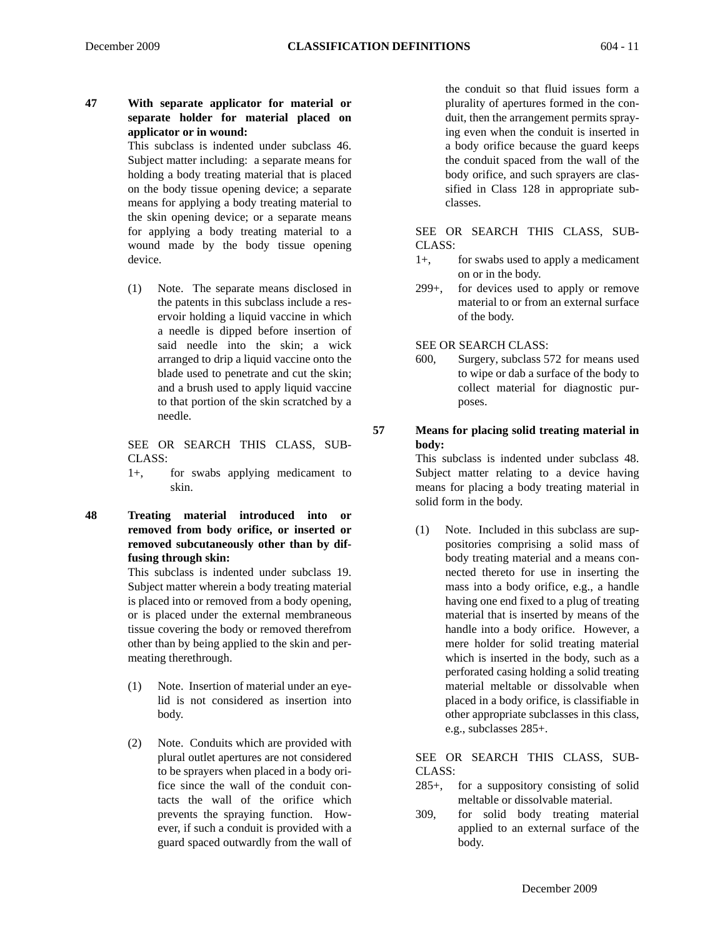## **47 With separate applicator for material or separate holder for material placed on applicator or in wound:**

This subclass is indented under subclass 46. Subject matter including: a separate means for holding a body treating material that is placed on the body tissue opening device; a separate means for applying a body treating material to the skin opening device; or a separate means for applying a body treating material to a wound made by the body tissue opening device.

(1) Note. The separate means disclosed in the patents in this subclass include a reservoir holding a liquid vaccine in which a needle is dipped before insertion of said needle into the skin; a wick arranged to drip a liquid vaccine onto the blade used to penetrate and cut the skin; and a brush used to apply liquid vaccine to that portion of the skin scratched by a needle.

SEE OR SEARCH THIS CLASS, SUB-CLASS:

1+, for swabs applying medicament to skin.

**48 Treating material introduced into or removed from body orifice, or inserted or removed subcutaneously other than by diffusing through skin:**

> This subclass is indented under subclass 19. Subject matter wherein a body treating material is placed into or removed from a body opening, or is placed under the external membraneous tissue covering the body or removed therefrom other than by being applied to the skin and permeating therethrough.

- (1) Note. Insertion of material under an eyelid is not considered as insertion into body.
- (2) Note. Conduits which are provided with plural outlet apertures are not considered to be sprayers when placed in a body orifice since the wall of the conduit contacts the wall of the orifice which prevents the spraying function. However, if such a conduit is provided with a guard spaced outwardly from the wall of

the conduit so that fluid issues form a plurality of apertures formed in the conduit, then the arrangement permits spraying even when the conduit is inserted in a body orifice because the guard keeps the conduit spaced from the wall of the body orifice, and such sprayers are classified in Class 128 in appropriate subclasses.

SEE OR SEARCH THIS CLASS, SUB-CLASS:

- 1+, for swabs used to apply a medicament on or in the body.
- 299+, for devices used to apply or remove material to or from an external surface of the body.

SEE OR SEARCH CLASS:

600, Surgery, subclass 572 for means used to wipe or dab a surface of the body to collect material for diagnostic purposes.

## **57 Means for placing solid treating material in body:**

This subclass is indented under subclass 48. Subject matter relating to a device having means for placing a body treating material in solid form in the body.

(1) Note. Included in this subclass are suppositories comprising a solid mass of body treating material and a means connected thereto for use in inserting the mass into a body orifice, e.g., a handle having one end fixed to a plug of treating material that is inserted by means of the handle into a body orifice. However, a mere holder for solid treating material which is inserted in the body, such as a perforated casing holding a solid treating material meltable or dissolvable when placed in a body orifice, is classifiable in other appropriate subclasses in this class, e.g., subclasses 285+.

SEE OR SEARCH THIS CLASS, SUB-CLASS:

- 285+, for a suppository consisting of solid meltable or dissolvable material.
- 309, for solid body treating material applied to an external surface of the body.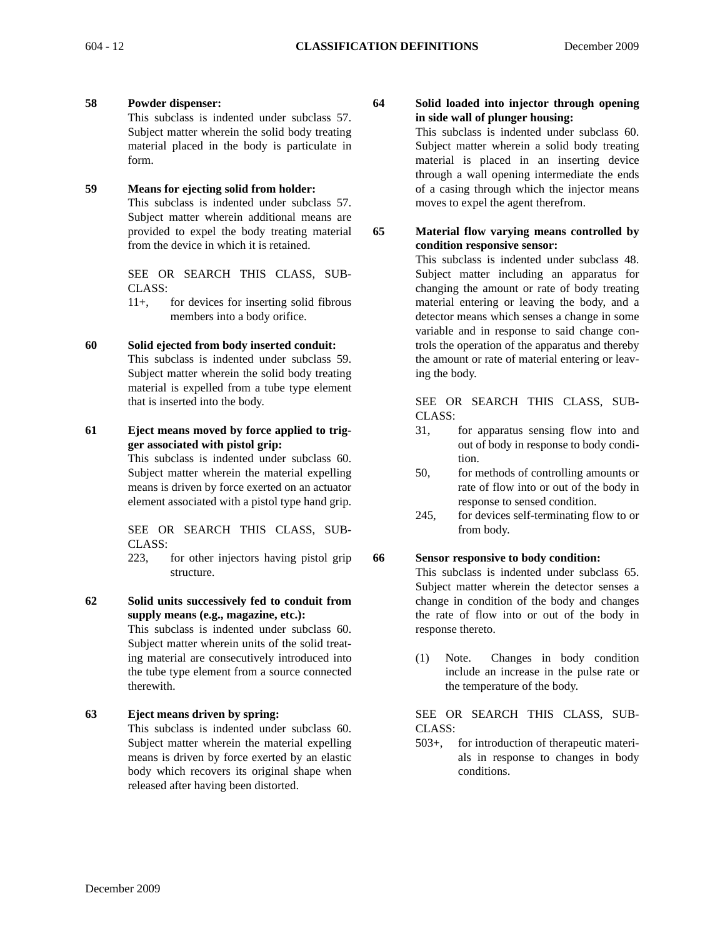**58 Powder dispenser:**

This subclass is indented under subclass 57. Subject matter wherein the solid body treating material placed in the body is particulate in form.

## **59 Means for ejecting solid from holder:**

This subclass is indented under subclass 57. Subject matter wherein additional means are provided to expel the body treating material from the device in which it is retained.

SEE OR SEARCH THIS CLASS, SUB-CLASS:

11+, for devices for inserting solid fibrous members into a body orifice.

## **60 Solid ejected from body inserted conduit:**

This subclass is indented under subclass 59. Subject matter wherein the solid body treating material is expelled from a tube type element that is inserted into the body.

**61 Eject means moved by force applied to trigger associated with pistol grip:** 

> This subclass is indented under subclass 60. Subject matter wherein the material expelling means is driven by force exerted on an actuator element associated with a pistol type hand grip.

SEE OR SEARCH THIS CLASS, SUB-CLASS:

223, for other injectors having pistol grip structure.

**62 Solid units successively fed to conduit from supply means (e.g., magazine, etc.):** 

This subclass is indented under subclass 60. Subject matter wherein units of the solid treating material are consecutively introduced into the tube type element from a source connected therewith.

## **63 Eject means driven by spring:**

This subclass is indented under subclass 60. Subject matter wherein the material expelling means is driven by force exerted by an elastic body which recovers its original shape when released after having been distorted.

**64 Solid loaded into injector through opening in side wall of plunger housing:**

This subclass is indented under subclass 60. Subject matter wherein a solid body treating material is placed in an inserting device through a wall opening intermediate the ends of a casing through which the injector means moves to expel the agent therefrom.

**65 Material flow varying means controlled by condition responsive sensor:**

> This subclass is indented under subclass 48. Subject matter including an apparatus for changing the amount or rate of body treating material entering or leaving the body, and a detector means which senses a change in some variable and in response to said change controls the operation of the apparatus and thereby the amount or rate of material entering or leaving the body.

> SEE OR SEARCH THIS CLASS, SUB-CLASS:

- 31, for apparatus sensing flow into and out of body in response to body condition.
- 50, for methods of controlling amounts or rate of flow into or out of the body in response to sensed condition.
- 245, for devices self-terminating flow to or from body.

#### **66 Sensor responsive to body condition:**

This subclass is indented under subclass 65. Subject matter wherein the detector senses a change in condition of the body and changes the rate of flow into or out of the body in response thereto.

(1) Note. Changes in body condition include an increase in the pulse rate or the temperature of the body.

SEE OR SEARCH THIS CLASS, SUB-CLASS:

503+, for introduction of therapeutic materials in response to changes in body conditions.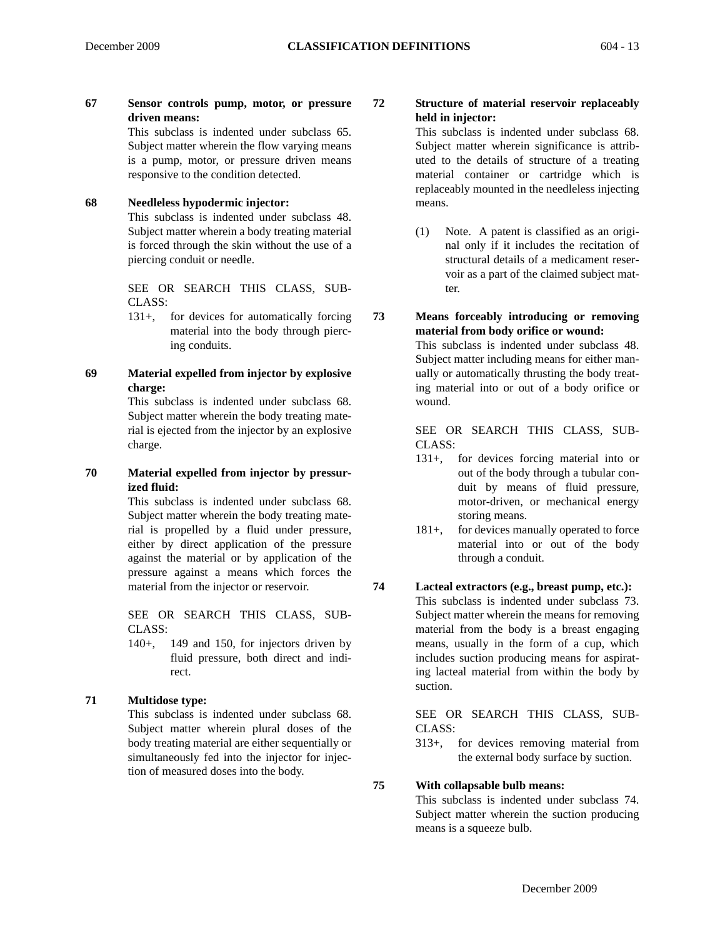**67 Sensor controls pump, motor, or pressure driven means:**

This subclass is indented under subclass 65. Subject matter wherein the flow varying means is a pump, motor, or pressure driven means responsive to the condition detected.

## **68 Needleless hypodermic injector:**

This subclass is indented under subclass 48. Subject matter wherein a body treating material is forced through the skin without the use of a piercing conduit or needle.

SEE OR SEARCH THIS CLASS, SUB-CLASS:

- 131+, for devices for automatically forcing material into the body through piercing conduits.
- **69 Material expelled from injector by explosive charge:**

This subclass is indented under subclass 68. Subject matter wherein the body treating material is ejected from the injector by an explosive charge.

**70 Material expelled from injector by pressurized fluid:**

This subclass is indented under subclass 68. Subject matter wherein the body treating material is propelled by a fluid under pressure, either by direct application of the pressure against the material or by application of the pressure against a means which forces the material from the injector or reservoir.

SEE OR SEARCH THIS CLASS, SUB-CLASS:

140+, 149 and 150, for injectors driven by fluid pressure, both direct and indirect.

## **71 Multidose type:**

This subclass is indented under subclass 68. Subject matter wherein plural doses of the body treating material are either sequentially or simultaneously fed into the injector for injection of measured doses into the body.

## **72 Structure of material reservoir replaceably held in injector:**

This subclass is indented under subclass 68. Subject matter wherein significance is attributed to the details of structure of a treating material container or cartridge which is replaceably mounted in the needleless injecting means.

(1) Note. A patent is classified as an original only if it includes the recitation of structural details of a medicament reservoir as a part of the claimed subject matter.

## **73 Means forceably introducing or removing material from body orifice or wound:**

This subclass is indented under subclass 48. Subject matter including means for either manually or automatically thrusting the body treating material into or out of a body orifice or wound.

SEE OR SEARCH THIS CLASS, SUB-CLASS:

- 131+, for devices forcing material into or out of the body through a tubular conduit by means of fluid pressure, motor-driven, or mechanical energy storing means.
- 181+, for devices manually operated to force material into or out of the body through a conduit.

## **74 Lacteal extractors (e.g., breast pump, etc.):**

This subclass is indented under subclass 73. Subject matter wherein the means for removing material from the body is a breast engaging means, usually in the form of a cup, which includes suction producing means for aspirating lacteal material from within the body by suction.

SEE OR SEARCH THIS CLASS, SUB-CLASS:

313+, for devices removing material from the external body surface by suction.

#### **75 With collapsable bulb means:**

This subclass is indented under subclass 74. Subject matter wherein the suction producing means is a squeeze bulb.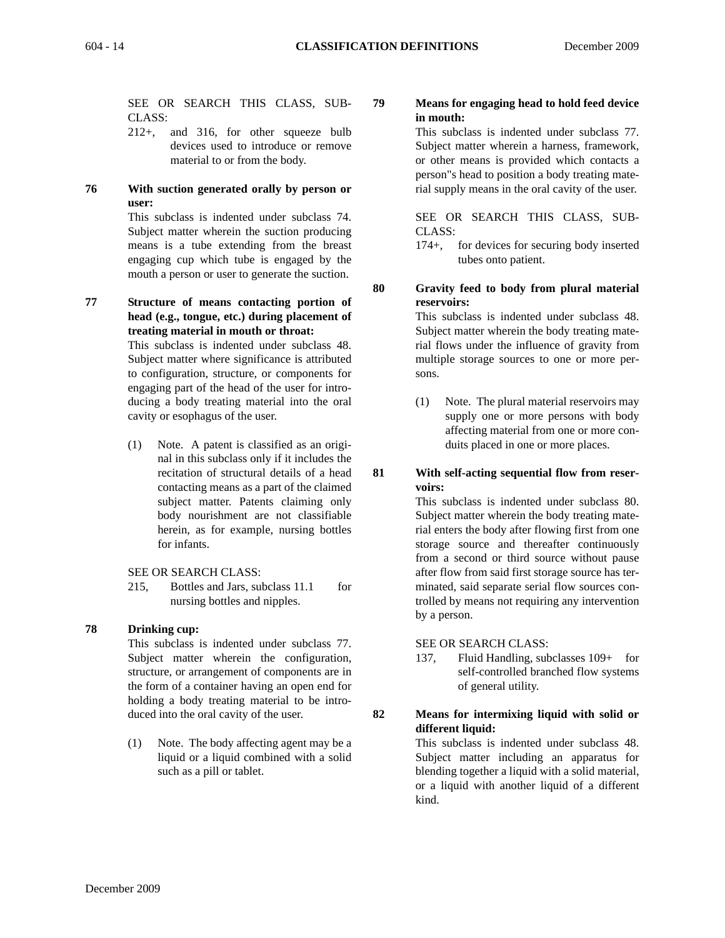SEE OR SEARCH THIS CLASS, SUB-CLASS:

- 212+, and 316, for other squeeze bulb devices used to introduce or remove material to or from the body.
- **76 With suction generated orally by person or user:**

This subclass is indented under subclass 74. Subject matter wherein the suction producing means is a tube extending from the breast engaging cup which tube is engaged by the mouth a person or user to generate the suction.

**77 Structure of means contacting portion of head (e.g., tongue, etc.) during placement of treating material in mouth or throat:** 

> This subclass is indented under subclass 48. Subject matter where significance is attributed to configuration, structure, or components for engaging part of the head of the user for introducing a body treating material into the oral cavity or esophagus of the user.

- (1) Note. A patent is classified as an original in this subclass only if it includes the recitation of structural details of a head contacting means as a part of the claimed subject matter. Patents claiming only body nourishment are not classifiable herein, as for example, nursing bottles for infants.
- SEE OR SEARCH CLASS:
- 215, Bottles and Jars, subclass 11.1 for nursing bottles and nipples.

## **78 Drinking cup:**

This subclass is indented under subclass 77. Subject matter wherein the configuration, structure, or arrangement of components are in the form of a container having an open end for holding a body treating material to be introduced into the oral cavity of the user.

(1) Note. The body affecting agent may be a liquid or a liquid combined with a solid such as a pill or tablet.

## **79 Means for engaging head to hold feed device in mouth:**

This subclass is indented under subclass 77. Subject matter wherein a harness, framework, or other means is provided which contacts a person"s head to position a body treating material supply means in the oral cavity of the user.

SEE OR SEARCH THIS CLASS, SUB-CLASS:

174+, for devices for securing body inserted tubes onto patient.

## **80 Gravity feed to body from plural material reservoirs:**

This subclass is indented under subclass 48. Subject matter wherein the body treating material flows under the influence of gravity from multiple storage sources to one or more persons.

(1) Note. The plural material reservoirs may supply one or more persons with body affecting material from one or more conduits placed in one or more places.

#### **81 With self-acting sequential flow from reservoirs:**

This subclass is indented under subclass 80. Subject matter wherein the body treating material enters the body after flowing first from one storage source and thereafter continuously from a second or third source without pause after flow from said first storage source has terminated, said separate serial flow sources controlled by means not requiring any intervention by a person.

SEE OR SEARCH CLASS:

137, Fluid Handling, subclasses 109+ for self-controlled branched flow systems of general utility.

## **82 Means for intermixing liquid with solid or different liquid:**

This subclass is indented under subclass 48. Subject matter including an apparatus for blending together a liquid with a solid material, or a liquid with another liquid of a different kind.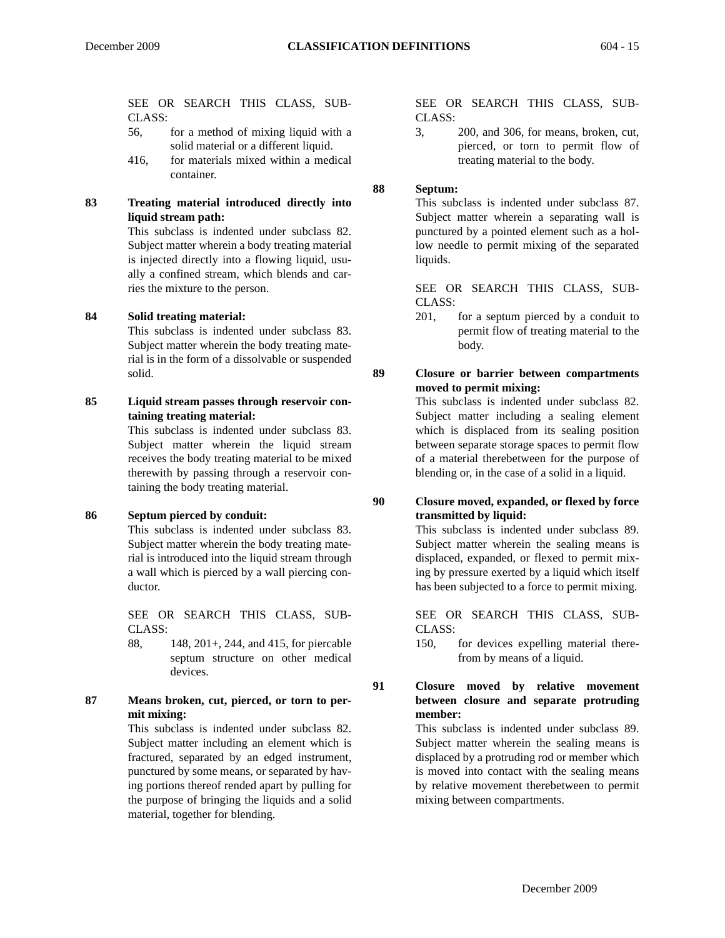SEE OR SEARCH THIS CLASS, SUB-CLASS:

- 56, for a method of mixing liquid with a solid material or a different liquid.
- 416, for materials mixed within a medical container.

## **83 Treating material introduced directly into liquid stream path:**

This subclass is indented under subclass 82. Subject matter wherein a body treating material is injected directly into a flowing liquid, usually a confined stream, which blends and carries the mixture to the person.

## **84 Solid treating material:**

This subclass is indented under subclass 83. Subject matter wherein the body treating material is in the form of a dissolvable or suspended solid.

**85 Liquid stream passes through reservoir containing treating material:**

> This subclass is indented under subclass 83. Subject matter wherein the liquid stream receives the body treating material to be mixed therewith by passing through a reservoir containing the body treating material.

## **86 Septum pierced by conduit:**

This subclass is indented under subclass 83. Subject matter wherein the body treating material is introduced into the liquid stream through a wall which is pierced by a wall piercing conductor.

SEE OR SEARCH THIS CLASS, SUB-CLASS:

88, 148, 201+, 244, and 415, for piercable septum structure on other medical devices.

#### **87 Means broken, cut, pierced, or torn to permit mixing:**

This subclass is indented under subclass 82. Subject matter including an element which is fractured, separated by an edged instrument, punctured by some means, or separated by having portions thereof rended apart by pulling for the purpose of bringing the liquids and a solid material, together for blending.

SEE OR SEARCH THIS CLASS, SUB-CLASS:

3, 200, and 306, for means, broken, cut, pierced, or torn to permit flow of treating material to the body.

## **88 Septum:**

This subclass is indented under subclass 87. Subject matter wherein a separating wall is punctured by a pointed element such as a hollow needle to permit mixing of the separated liquids.

SEE OR SEARCH THIS CLASS, SUB-CLASS:

201, for a septum pierced by a conduit to permit flow of treating material to the body.

## **89 Closure or barrier between compartments moved to permit mixing:**

This subclass is indented under subclass 82. Subject matter including a sealing element which is displaced from its sealing position between separate storage spaces to permit flow of a material therebetween for the purpose of blending or, in the case of a solid in a liquid.

## **90 Closure moved, expanded, or flexed by force transmitted by liquid:**

This subclass is indented under subclass 89. Subject matter wherein the sealing means is displaced, expanded, or flexed to permit mixing by pressure exerted by a liquid which itself has been subjected to a force to permit mixing.

SEE OR SEARCH THIS CLASS, SUB-CLASS:

150, for devices expelling material therefrom by means of a liquid.

## **91 Closure moved by relative movement between closure and separate protruding member:**

This subclass is indented under subclass 89. Subject matter wherein the sealing means is displaced by a protruding rod or member which is moved into contact with the sealing means by relative movement therebetween to permit mixing between compartments.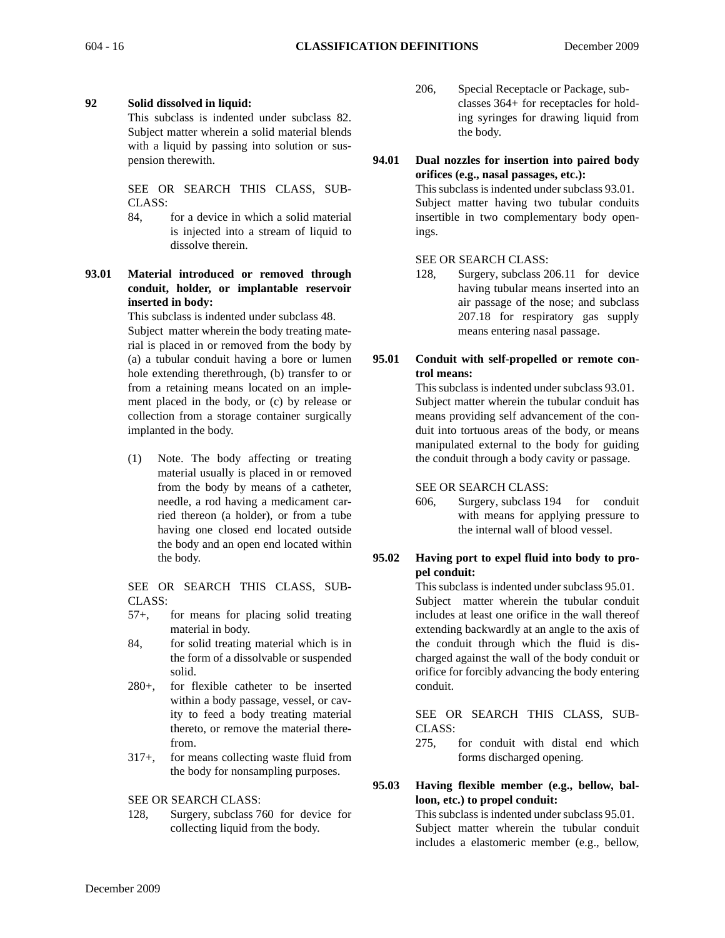## **92 Solid dissolved in liquid:**

This subclass is indented under subclass 82. Subject matter wherein a solid material blends with a liquid by passing into solution or suspension therewith.

SEE OR SEARCH THIS CLASS, SUB-CLASS:

84, for a device in which a solid material is injected into a stream of liquid to dissolve therein.

## **93.01 Material introduced or removed through conduit, holder, or implantable reservoir inserted in body:**

This subclass is indented under subclass 48. Subject matter wherein the body treating material is placed in or removed from the body by (a) a tubular conduit having a bore or lumen hole extending therethrough, (b) transfer to or from a retaining means located on an implement placed in the body, or (c) by release or collection from a storage container surgically implanted in the body.

(1) Note. The body affecting or treating material usually is placed in or removed from the body by means of a catheter, needle, a rod having a medicament carried thereon (a holder), or from a tube having one closed end located outside the body and an open end located within the body.

SEE OR SEARCH THIS CLASS, SUB-CLASS:

- 57+, for means for placing solid treating material in body.
- 84, for solid treating material which is in the form of a dissolvable or suspended solid.
- 280+, for flexible catheter to be inserted within a body passage, vessel, or cavity to feed a body treating material thereto, or remove the material therefrom.
- 317+, for means collecting waste fluid from the body for nonsampling purposes.

SEE OR SEARCH CLASS:

128, Surgery, subclass 760 for device for collecting liquid from the body.

- 206, Special Receptacle or Package, subclasses 364+ for receptacles for holding syringes for drawing liquid from the body.
- **94.01 Dual nozzles for insertion into paired body orifices (e.g., nasal passages, etc.):**

This subclass is indented under subclass 93.01. Subject matter having two tubular conduits insertible in two complementary body openings.

## SEE OR SEARCH CLASS:

- 128, Surgery, subclass 206.11 for device having tubular means inserted into an air passage of the nose; and subclass 207.18 for respiratory gas supply means entering nasal passage.
- **95.01 Conduit with self-propelled or remote control means:**

This subclass is indented under subclass 93.01. Subject matter wherein the tubular conduit has means providing self advancement of the conduit into tortuous areas of the body, or means manipulated external to the body for guiding the conduit through a body cavity or passage.

SEE OR SEARCH CLASS:

606, Surgery, subclass 194 for conduit with means for applying pressure to the internal wall of blood vessel.

## **95.02 Having port to expel fluid into body to propel conduit:**

This subclass is indented under subclass 95.01.

Subject matter wherein the tubular conduit includes at least one orifice in the wall thereof extending backwardly at an angle to the axis of the conduit through which the fluid is discharged against the wall of the body conduit or orifice for forcibly advancing the body entering conduit.

SEE OR SEARCH THIS CLASS, SUB-CLASS:

275, for conduit with distal end which forms discharged opening.

## **95.03 Having flexible member (e.g., bellow, balloon, etc.) to propel conduit:**

This subclass is indented under subclass 95.01. Subject matter wherein the tubular conduit includes a elastomeric member (e.g., bellow,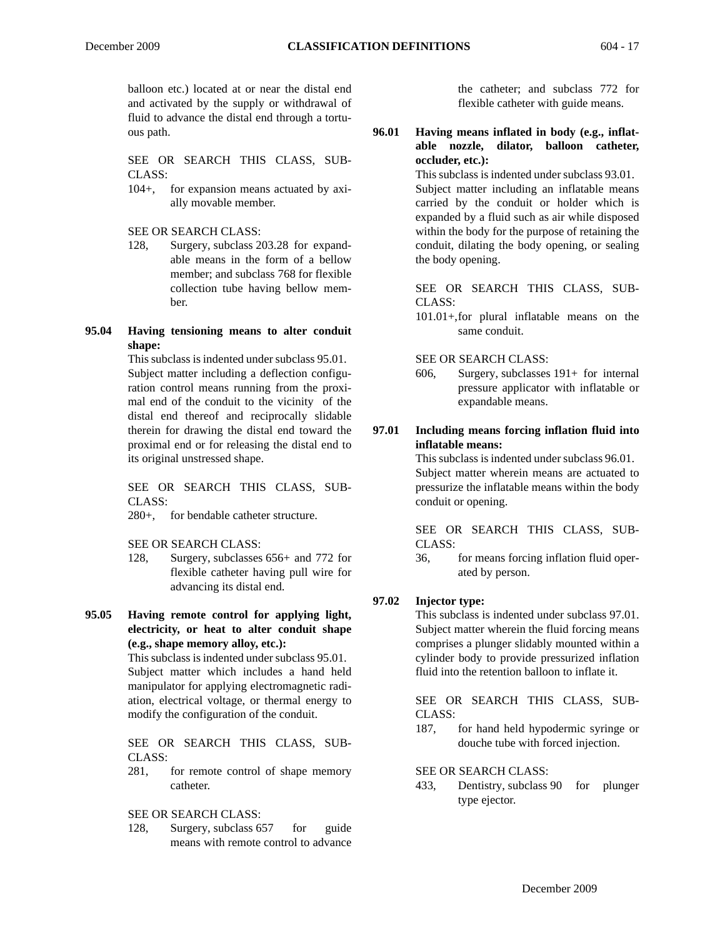balloon etc.) located at or near the distal end and activated by the supply or withdrawal of fluid to advance the distal end through a tortuous path.

SEE OR SEARCH THIS CLASS, SUB-CLASS:

104+, for expansion means actuated by axially movable member.

SEE OR SEARCH CLASS:

- 128, Surgery, subclass 203.28 for expandable means in the form of a bellow member; and subclass 768 for flexible collection tube having bellow member.
- **95.04 Having tensioning means to alter conduit shape:**

This subclass is indented under subclass 95.01. Subject matter including a deflection configuration control means running from the proximal end of the conduit to the vicinity of the distal end thereof and reciprocally slidable therein for drawing the distal end toward the proximal end or for releasing the distal end to its original unstressed shape.

SEE OR SEARCH THIS CLASS, SUB-CLASS:

280+, for bendable catheter structure.

SEE OR SEARCH CLASS:

- 128, Surgery, subclasses 656+ and 772 for flexible catheter having pull wire for advancing its distal end.
- **95.05 Having remote control for applying light, electricity, or heat to alter conduit shape (e.g., shape memory alloy, etc.):**

This subclass is indented under subclass 95.01. Subject matter which includes a hand held manipulator for applying electromagnetic radiation, electrical voltage, or thermal energy to modify the configuration of the conduit.

SEE OR SEARCH THIS CLASS, SUB-CLASS:

281, for remote control of shape memory catheter.

SEE OR SEARCH CLASS:

128, Surgery, subclass 657 for guide means with remote control to advance

the catheter; and subclass 772 for flexible catheter with guide means.

## **96.01 Having means inflated in body (e.g., inflatable nozzle, dilator, balloon catheter, occluder, etc.):**

This subclass is indented under subclass 93.01. Subject matter including an inflatable means carried by the conduit or holder which is expanded by a fluid such as air while disposed within the body for the purpose of retaining the conduit, dilating the body opening, or sealing the body opening.

SEE OR SEARCH THIS CLASS, SUB-CLASS:

101.01+,for plural inflatable means on the same conduit.

SEE OR SEARCH CLASS:

606, Surgery, subclasses 191+ for internal pressure applicator with inflatable or expandable means.

## **97.01 Including means forcing inflation fluid into inflatable means:**

This subclass is indented under subclass 96.01.

Subject matter wherein means are actuated to pressurize the inflatable means within the body conduit or opening.

SEE OR SEARCH THIS CLASS, SUB-CLASS:

36, for means forcing inflation fluid operated by person.

## **97.02 Injector type:**

This subclass is indented under subclass 97.01. Subject matter wherein the fluid forcing means comprises a plunger slidably mounted within a cylinder body to provide pressurized inflation fluid into the retention balloon to inflate it.

SEE OR SEARCH THIS CLASS, SUB-CLASS:

187, for hand held hypodermic syringe or douche tube with forced injection.

SEE OR SEARCH CLASS:

433, Dentistry, subclass 90 for plunger type ejector.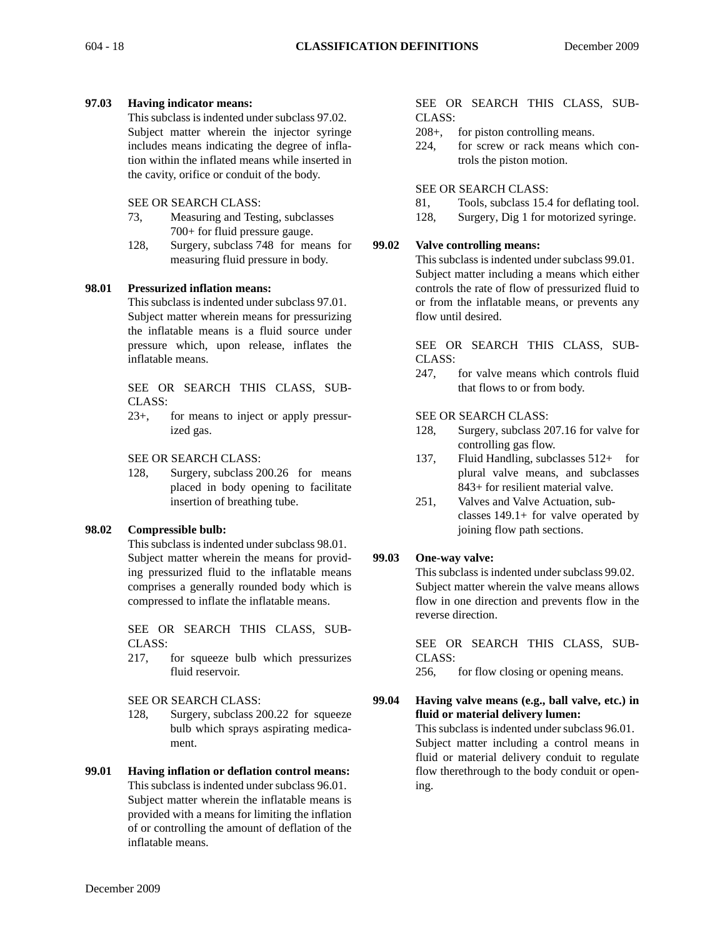## **97.03 Having indicator means:**

This subclass is indented under subclass 97.02. Subject matter wherein the injector syringe includes means indicating the degree of inflation within the inflated means while inserted in the cavity, orifice or conduit of the body.

## SEE OR SEARCH CLASS:

- 73, Measuring and Testing, subclasses 700+ for fluid pressure gauge.
- 128, Surgery, subclass 748 for means for measuring fluid pressure in body.

#### **98.01 Pressurized inflation means:**

This subclass is indented under subclass 97.01. Subject matter wherein means for pressurizing the inflatable means is a fluid source under pressure which, upon release, inflates the inflatable means.

SEE OR SEARCH THIS CLASS, SUB-CLASS:

23+, for means to inject or apply pressurized gas.

SEE OR SEARCH CLASS:

128, Surgery, subclass 200.26 for means placed in body opening to facilitate insertion of breathing tube.

## **98.02 Compressible bulb:**

This subclass is indented under subclass 98.01. Subject matter wherein the means for providing pressurized fluid to the inflatable means comprises a generally rounded body which is compressed to inflate the inflatable means.

SEE OR SEARCH THIS CLASS, SUB-CLASS:

217, for squeeze bulb which pressurizes fluid reservoir.

## SEE OR SEARCH CLASS:

- 128, Surgery, subclass 200.22 for squeeze bulb which sprays aspirating medicament.
- **99.01 Having inflation or deflation control means:** This subclass is indented under subclass 96.01. Subject matter wherein the inflatable means is provided with a means for limiting the inflation of or controlling the amount of deflation of the inflatable means.

#### SEE OR SEARCH THIS CLASS, SUB-CLASS:

- 208+, for piston controlling means.
- 224, for screw or rack means which controls the piston motion.

## SEE OR SEARCH CLASS:

- 81, Tools, subclass 15.4 for deflating tool.
- 128, Surgery, Dig 1 for motorized syringe.

## **99.02 Valve controlling means:**

This subclass is indented under subclass 99.01. Subject matter including a means which either controls the rate of flow of pressurized fluid to or from the inflatable means, or prevents any flow until desired.

SEE OR SEARCH THIS CLASS, SUB-CLASS:

247, for valve means which controls fluid that flows to or from body.

#### SEE OR SEARCH CLASS:

- 128, Surgery, subclass 207.16 for valve for controlling gas flow.
- 137, Fluid Handling, subclasses 512+ for plural valve means, and subclasses 843+ for resilient material valve.
- 251, Valves and Valve Actuation, subclasses 149.1+ for valve operated by joining flow path sections.

## **99.03 One-way valve:**

This subclass is indented under subclass 99.02. Subject matter wherein the valve means allows flow in one direction and prevents flow in the reverse direction.

SEE OR SEARCH THIS CLASS, SUB-CLASS:

256, for flow closing or opening means.

**99.04 Having valve means (e.g., ball valve, etc.) in fluid or material delivery lumen:** This subclass is indented under subclass 96.01. Subject matter including a control means in fluid or material delivery conduit to regulate flow therethrough to the body conduit or opening.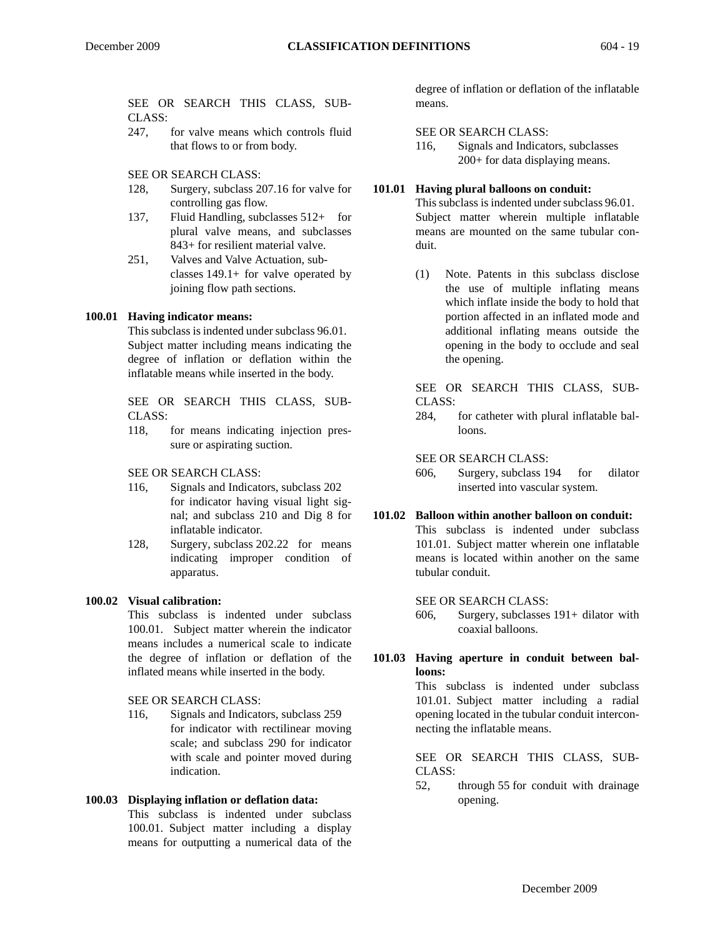SEE OR SEARCH THIS CLASS, SUB-CLASS:

247, for valve means which controls fluid that flows to or from body.

SEE OR SEARCH CLASS:

- 128, Surgery, subclass 207.16 for valve for controlling gas flow.
- 137, Fluid Handling, subclasses 512+ for plural valve means, and subclasses 843+ for resilient material valve.
- 251, Valves and Valve Actuation, subclasses 149.1+ for valve operated by joining flow path sections.

#### **100.01 Having indicator means:**

This subclass is indented under subclass 96.01. Subject matter including means indicating the degree of inflation or deflation within the inflatable means while inserted in the body.

SEE OR SEARCH THIS CLASS, SUB-CLASS:

118, for means indicating injection pressure or aspirating suction.

SEE OR SEARCH CLASS:

- 116, Signals and Indicators, subclass 202 for indicator having visual light signal; and subclass 210 and Dig 8 for inflatable indicator.
- 128, Surgery, subclass 202.22 for means indicating improper condition of apparatus.

## **100.02 Visual calibration:**

This subclass is indented under subclass 100.01. Subject matter wherein the indicator means includes a numerical scale to indicate the degree of inflation or deflation of the inflated means while inserted in the body.

#### SEE OR SEARCH CLASS:

116, Signals and Indicators, subclass 259 for indicator with rectilinear moving scale; and subclass 290 for indicator with scale and pointer moved during indication.

#### **100.03 Displaying inflation or deflation data:**

This subclass is indented under subclass 100.01. Subject matter including a display means for outputting a numerical data of the degree of inflation or deflation of the inflatable means.

#### SEE OR SEARCH CLASS:

116, Signals and Indicators, subclasses 200+ for data displaying means.

### **101.01 Having plural balloons on conduit:**

This subclass is indented under subclass 96.01. Subject matter wherein multiple inflatable means are mounted on the same tubular conduit.

(1) Note. Patents in this subclass disclose the use of multiple inflating means which inflate inside the body to hold that portion affected in an inflated mode and additional inflating means outside the opening in the body to occlude and seal the opening.

#### SEE OR SEARCH THIS CLASS, SUB-CLASS:

284, for catheter with plural inflatable balloons.

#### SEE OR SEARCH CLASS:

606, Surgery, subclass 194 for dilator inserted into vascular system.

## **101.02 Balloon within another balloon on conduit:**

This subclass is indented under subclass 101.01. Subject matter wherein one inflatable means is located within another on the same tubular conduit.

#### SEE OR SEARCH CLASS:

606, Surgery, subclasses 191+ dilator with coaxial balloons.

## **101.03 Having aperture in conduit between balloons:**

This subclass is indented under subclass 101.01. Subject matter including a radial opening located in the tubular conduit interconnecting the inflatable means.

SEE OR SEARCH THIS CLASS, SUB-CLASS:

52, through 55 for conduit with drainage opening.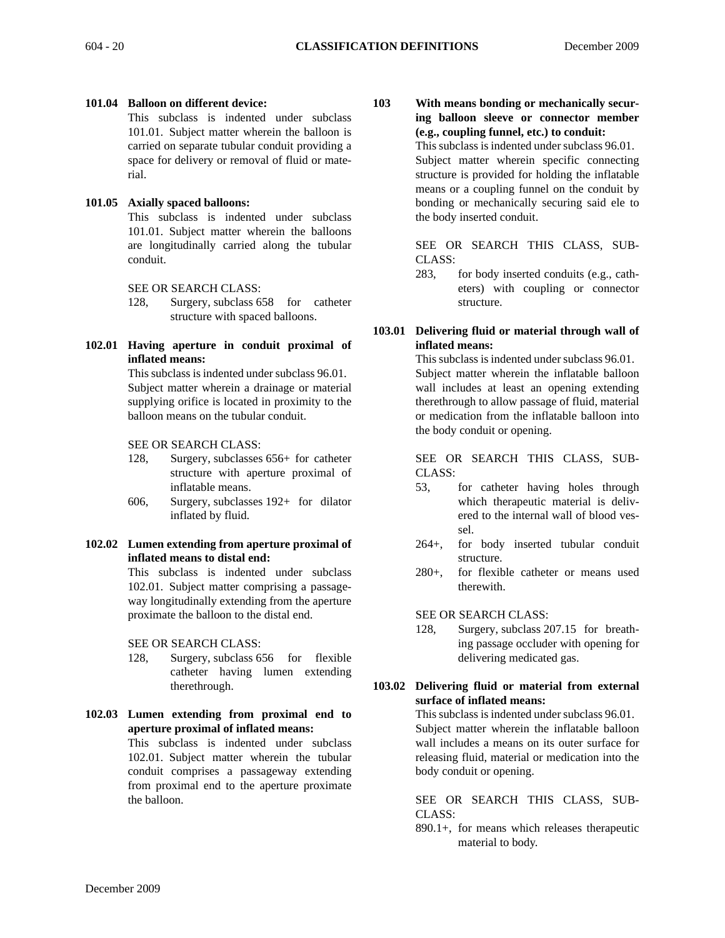#### **101.04 Balloon on different device:**

This subclass is indented under subclass 101.01. Subject matter wherein the balloon is carried on separate tubular conduit providing a space for delivery or removal of fluid or material.

#### **101.05 Axially spaced balloons:**

This subclass is indented under subclass 101.01. Subject matter wherein the balloons are longitudinally carried along the tubular conduit.

SEE OR SEARCH CLASS:

- 128, Surgery, subclass 658 for catheter structure with spaced balloons.
- **102.01 Having aperture in conduit proximal of inflated means:**

This subclass is indented under subclass 96.01. Subject matter wherein a drainage or material supplying orifice is located in proximity to the balloon means on the tubular conduit.

SEE OR SEARCH CLASS:

- 128, Surgery, subclasses 656+ for catheter structure with aperture proximal of inflatable means.
- 606, Surgery, subclasses 192+ for dilator inflated by fluid.

### **102.02 Lumen extending from aperture proximal of inflated means to distal end:**

This subclass is indented under subclass 102.01. Subject matter comprising a passageway longitudinally extending from the aperture proximate the balloon to the distal end.

SEE OR SEARCH CLASS:

- 128, Surgery, subclass 656 for flexible catheter having lumen extending therethrough.
- **102.03 Lumen extending from proximal end to aperture proximal of inflated means:**

This subclass is indented under subclass 102.01. Subject matter wherein the tubular conduit comprises a passageway extending from proximal end to the aperture proximate the balloon.

**103 With means bonding or mechanically securing balloon sleeve or connector member (e.g., coupling funnel, etc.) to conduit:**

This subclass is indented under subclass 96.01. Subject matter wherein specific connecting structure is provided for holding the inflatable means or a coupling funnel on the conduit by bonding or mechanically securing said ele to the body inserted conduit.

SEE OR SEARCH THIS CLASS, SUB-CLASS:

283, for body inserted conduits (e.g., catheters) with coupling or connector structure.

## **103.01 Delivering fluid or material through wall of inflated means:**

This subclass is indented under subclass 96.01. Subject matter wherein the inflatable balloon wall includes at least an opening extending therethrough to allow passage of fluid, material or medication from the inflatable balloon into the body conduit or opening.

SEE OR SEARCH THIS CLASS, SUB-CLASS:

- 53, for catheter having holes through which therapeutic material is delivered to the internal wall of blood vessel.
- 264+, for body inserted tubular conduit structure.
- 280+, for flexible catheter or means used therewith.

SEE OR SEARCH CLASS:

128, Surgery, subclass 207.15 for breathing passage occluder with opening for delivering medicated gas.

## **103.02 Delivering fluid or material from external surface of inflated means:**

This subclass is indented under subclass 96.01. Subject matter wherein the inflatable balloon wall includes a means on its outer surface for releasing fluid, material or medication into the body conduit or opening.

SEE OR SEARCH THIS CLASS, SUB-CLASS:

890.1+, for means which releases therapeutic material to body.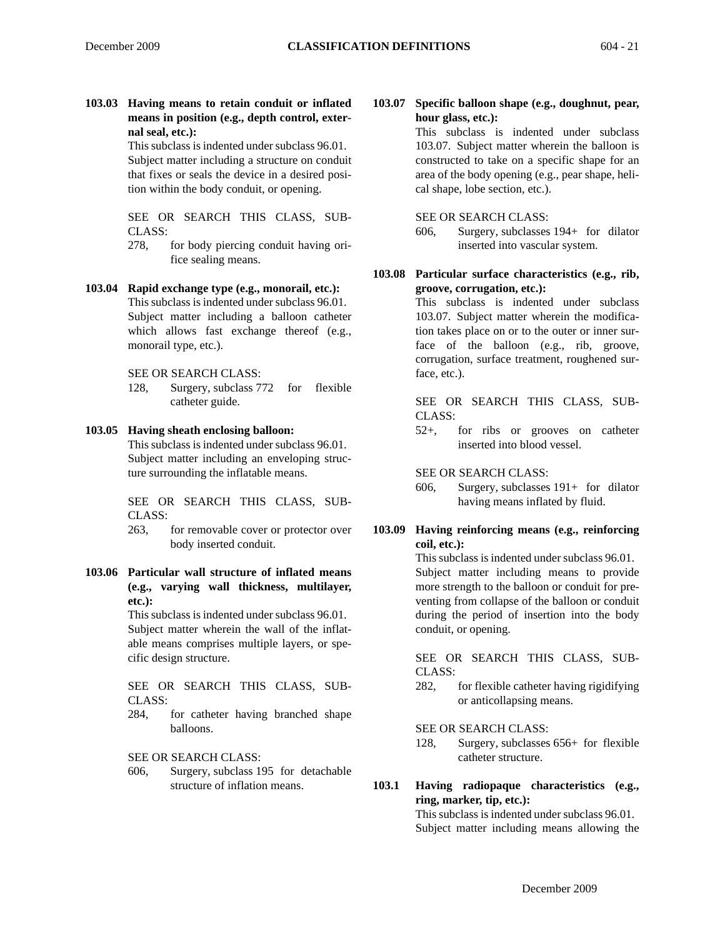**103.03 Having means to retain conduit or inflated means in position (e.g., depth control, external seal, etc.):**

> This subclass is indented under subclass 96.01. Subject matter including a structure on conduit that fixes or seals the device in a desired position within the body conduit, or opening.

SEE OR SEARCH THIS CLASS, SUB-CLASS:

- 278, for body piercing conduit having orifice sealing means.
- **103.04 Rapid exchange type (e.g., monorail, etc.):** This subclass is indented under subclass 96.01. Subject matter including a balloon catheter which allows fast exchange thereof (e.g., monorail type, etc.).

SEE OR SEARCH CLASS:

128, Surgery, subclass 772 for flexible catheter guide.

#### **103.05 Having sheath enclosing balloon:**

This subclass is indented under subclass 96.01. Subject matter including an enveloping structure surrounding the inflatable means.

SEE OR SEARCH THIS CLASS, SUB-CLASS:

263, for removable cover or protector over body inserted conduit.

**103.06 Particular wall structure of inflated means (e.g., varying wall thickness, multilayer, etc.):**

This subclass is indented under subclass 96.01. Subject matter wherein the wall of the inflatable means comprises multiple layers, or specific design structure.

SEE OR SEARCH THIS CLASS, SUB-CLASS:

284, for catheter having branched shape balloons.

SEE OR SEARCH CLASS:

606, Surgery, subclass 195 for detachable structure of inflation means.

**103.07 Specific balloon shape (e.g., doughnut, pear, hour glass, etc.):**

This subclass is indented under subclass 103.07. Subject matter wherein the balloon is constructed to take on a specific shape for an area of the body opening (e.g., pear shape, helical shape, lobe section, etc.).

SEE OR SEARCH CLASS:

- 606, Surgery, subclasses 194+ for dilator inserted into vascular system.
- **103.08 Particular surface characteristics (e.g., rib, groove, corrugation, etc.):**

This subclass is indented under subclass 103.07. Subject matter wherein the modification takes place on or to the outer or inner surface of the balloon (e.g., rib, groove, corrugation, surface treatment, roughened surface, etc.).

SEE OR SEARCH THIS CLASS, SUB-CLASS:

52+, for ribs or grooves on catheter inserted into blood vessel.

SEE OR SEARCH CLASS:

- 606, Surgery, subclasses 191+ for dilator having means inflated by fluid.
- **103.09 Having reinforcing means (e.g., reinforcing coil, etc.):**

This subclass is indented under subclass 96.01. Subject matter including means to provide more strength to the balloon or conduit for preventing from collapse of the balloon or conduit during the period of insertion into the body conduit, or opening.

SEE OR SEARCH THIS CLASS, SUB-CLASS:

282, for flexible catheter having rigidifying or anticollapsing means.

SEE OR SEARCH CLASS:

- 128, Surgery, subclasses 656+ for flexible catheter structure.
- **103.1 Having radiopaque characteristics (e.g., ring, marker, tip, etc.):**

This subclass is indented under subclass 96.01. Subject matter including means allowing the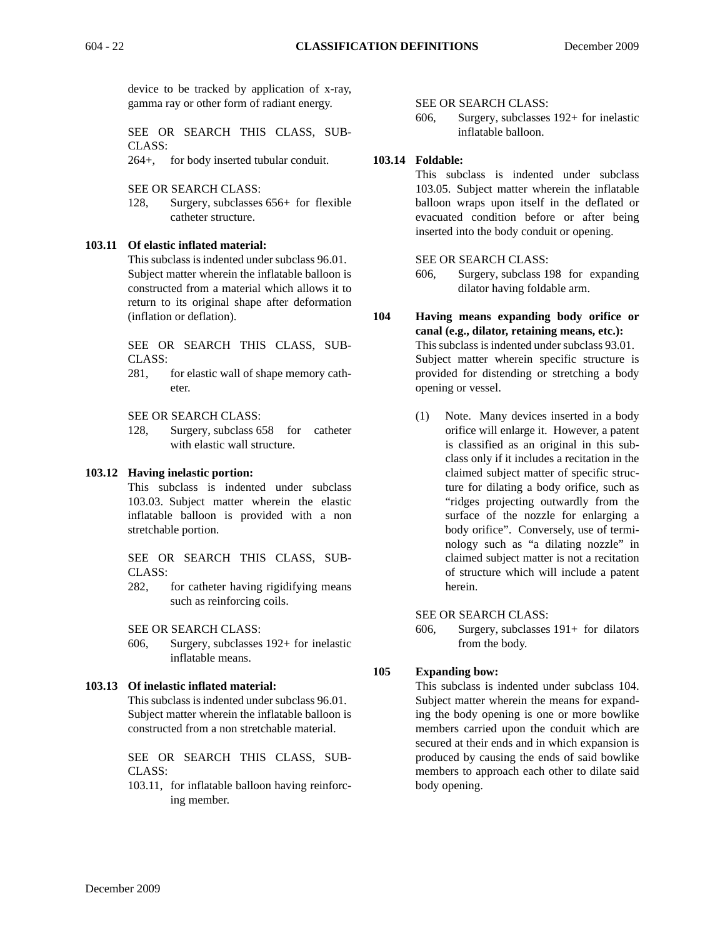device to be tracked by application of x-ray, gamma ray or other form of radiant energy.

SEE OR SEARCH THIS CLASS, SUB-CLASS:

264+, for body inserted tubular conduit.

SEE OR SEARCH CLASS:

128, Surgery, subclasses 656+ for flexible catheter structure.

## **103.11 Of elastic inflated material:**

This subclass is indented under subclass 96.01. Subject matter wherein the inflatable balloon is constructed from a material which allows it to return to its original shape after deformation (inflation or deflation).

SEE OR SEARCH THIS CLASS, SUB-CLASS:

281, for elastic wall of shape memory catheter.

SEE OR SEARCH CLASS:

128, Surgery, subclass 658 for catheter with elastic wall structure.

#### **103.12 Having inelastic portion:**

This subclass is indented under subclass 103.03. Subject matter wherein the elastic inflatable balloon is provided with a non stretchable portion.

SEE OR SEARCH THIS CLASS, SUB-CLASS:

282, for catheter having rigidifying means such as reinforcing coils.

SEE OR SEARCH CLASS:

606, Surgery, subclasses 192+ for inelastic inflatable means.

## **103.13 Of inelastic inflated material:**

This subclass is indented under subclass 96.01. Subject matter wherein the inflatable balloon is constructed from a non stretchable material.

SEE OR SEARCH THIS CLASS, SUB-CLASS:

103.11, for inflatable balloon having reinforcing member.

SEE OR SEARCH CLASS:

606, Surgery, subclasses 192+ for inelastic inflatable balloon.

## **103.14 Foldable:**

This subclass is indented under subclass 103.05. Subject matter wherein the inflatable balloon wraps upon itself in the deflated or evacuated condition before or after being inserted into the body conduit or opening.

#### SEE OR SEARCH CLASS:

- 606, Surgery, subclass 198 for expanding dilator having foldable arm.
- **104 Having means expanding body orifice or canal (e.g., dilator, retaining means, etc.):** This subclass is indented under subclass 93.01. Subject matter wherein specific structure is provided for distending or stretching a body opening or vessel.
	- (1) Note. Many devices inserted in a body orifice will enlarge it. However, a patent is classified as an original in this subclass only if it includes a recitation in the claimed subject matter of specific structure for dilating a body orifice, such as "ridges projecting outwardly from the surface of the nozzle for enlarging a body orifice". Conversely, use of terminology such as "a dilating nozzle" in claimed subject matter is not a recitation of structure which will include a patent herein.

#### SEE OR SEARCH CLASS:

606, Surgery, subclasses 191+ for dilators from the body.

## **105 Expanding bow:**

This subclass is indented under subclass 104. Subject matter wherein the means for expanding the body opening is one or more bowlike members carried upon the conduit which are secured at their ends and in which expansion is produced by causing the ends of said bowlike members to approach each other to dilate said body opening.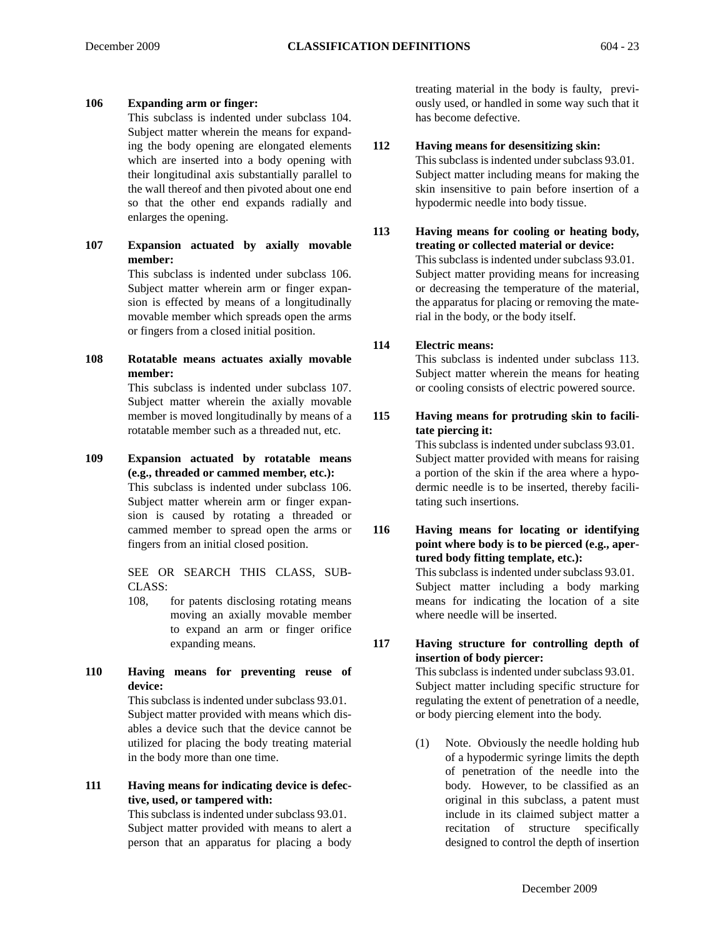## **106 Expanding arm or finger:**

This subclass is indented under subclass 104. Subject matter wherein the means for expanding the body opening are elongated elements which are inserted into a body opening with their longitudinal axis substantially parallel to the wall thereof and then pivoted about one end so that the other end expands radially and enlarges the opening.

**107 Expansion actuated by axially movable member:**

> This subclass is indented under subclass 106. Subject matter wherein arm or finger expansion is effected by means of a longitudinally movable member which spreads open the arms or fingers from a closed initial position.

**108 Rotatable means actuates axially movable member:**

This subclass is indented under subclass 107. Subject matter wherein the axially movable member is moved longitudinally by means of a rotatable member such as a threaded nut, etc.

**109 Expansion actuated by rotatable means (e.g., threaded or cammed member, etc.):**  This subclass is indented under subclass 106. Subject matter wherein arm or finger expansion is caused by rotating a threaded or cammed member to spread open the arms or fingers from an initial closed position.

> SEE OR SEARCH THIS CLASS, SUB-CLASS:

- 108, for patents disclosing rotating means moving an axially movable member to expand an arm or finger orifice expanding means.
- **110 Having means for preventing reuse of device:**

This subclass is indented under subclass 93.01. Subject matter provided with means which disables a device such that the device cannot be utilized for placing the body treating material in the body more than one time.

## **111 Having means for indicating device is defective, used, or tampered with:**

This subclass is indented under subclass 93.01. Subject matter provided with means to alert a person that an apparatus for placing a body

treating material in the body is faulty, previously used, or handled in some way such that it has become defective.

## **112 Having means for desensitizing skin:**

This subclass is indented under subclass 93.01. Subject matter including means for making the skin insensitive to pain before insertion of a hypodermic needle into body tissue.

**113 Having means for cooling or heating body, treating or collected material or device:** This subclass is indented under subclass 93.01. Subject matter providing means for increasing or decreasing the temperature of the material, the apparatus for placing or removing the material in the body, or the body itself.

## **114 Electric means:**

This subclass is indented under subclass 113. Subject matter wherein the means for heating or cooling consists of electric powered source.

**115 Having means for protruding skin to facilitate piercing it:**

> This subclass is indented under subclass 93.01. Subject matter provided with means for raising a portion of the skin if the area where a hypodermic needle is to be inserted, thereby facilitating such insertions.

**116 Having means for locating or identifying point where body is to be pierced (e.g., apertured body fitting template, etc.):**  This subclass is indented under subclass 93.01. Subject matter including a body marking means for indicating the location of a site

where needle will be inserted.

## **117 Having structure for controlling depth of insertion of body piercer:**

This subclass is indented under subclass 93.01. Subject matter including specific structure for regulating the extent of penetration of a needle, or body piercing element into the body.

(1) Note. Obviously the needle holding hub of a hypodermic syringe limits the depth of penetration of the needle into the body. However, to be classified as an original in this subclass, a patent must include in its claimed subject matter a recitation of structure specifically designed to control the depth of insertion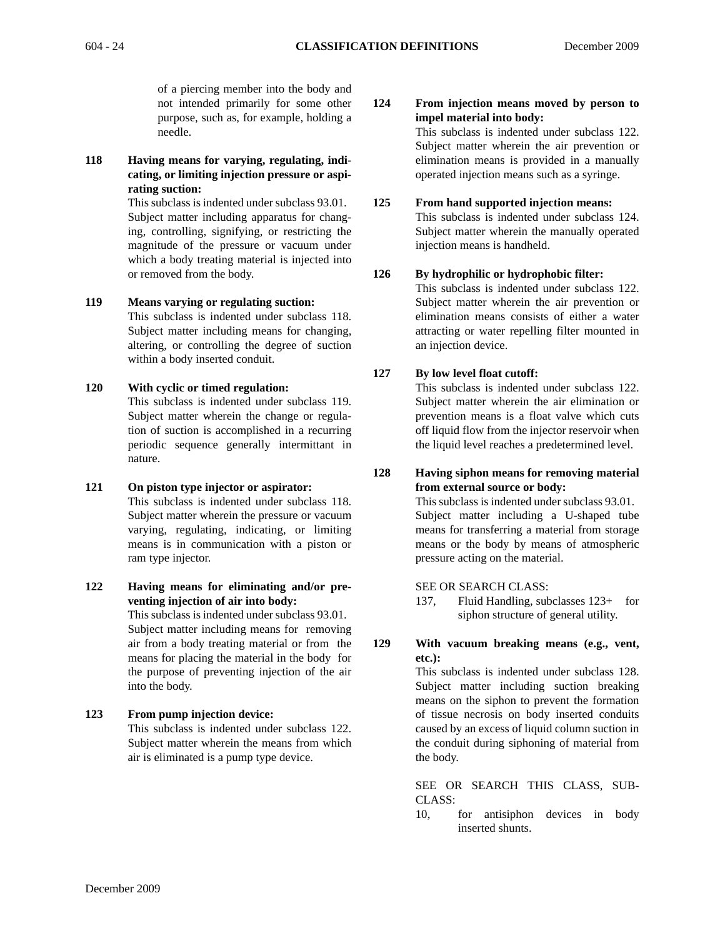of a piercing member into the body and not intended primarily for some other purpose, such as, for example, holding a needle.

**118 Having means for varying, regulating, indicating, or limiting injection pressure or aspirating suction:**

> This subclass is indented under subclass 93.01. Subject matter including apparatus for changing, controlling, signifying, or restricting the magnitude of the pressure or vacuum under which a body treating material is injected into or removed from the body.

**119 Means varying or regulating suction:**  This subclass is indented under subclass 118. Subject matter including means for changing, altering, or controlling the degree of suction within a body inserted conduit.

#### **120 With cyclic or timed regulation:**

This subclass is indented under subclass 119. Subject matter wherein the change or regulation of suction is accomplished in a recurring periodic sequence generally intermittant in nature.

**121 On piston type injector or aspirator:** 

This subclass is indented under subclass 118. Subject matter wherein the pressure or vacuum varying, regulating, indicating, or limiting means is in communication with a piston or ram type injector.

**122 Having means for eliminating and/or preventing injection of air into body:** 

> This subclass is indented under subclass 93.01. Subject matter including means for removing air from a body treating material or from the means for placing the material in the body for the purpose of preventing injection of the air into the body.

**123 From pump injection device:** This subclass is indented under subclass 122. Subject matter wherein the means from which air is eliminated is a pump type device.

## **124 From injection means moved by person to impel material into body:**

This subclass is indented under subclass 122. Subject matter wherein the air prevention or elimination means is provided in a manually operated injection means such as a syringe.

**125 From hand supported injection means:**  This subclass is indented under subclass 124. Subject matter wherein the manually operated injection means is handheld.

## **126 By hydrophilic or hydrophobic filter:**

This subclass is indented under subclass 122. Subject matter wherein the air prevention or elimination means consists of either a water attracting or water repelling filter mounted in an injection device.

## **127 By low level float cutoff:**

This subclass is indented under subclass 122. Subject matter wherein the air elimination or prevention means is a float valve which cuts off liquid flow from the injector reservoir when the liquid level reaches a predetermined level.

**128 Having siphon means for removing material from external source or body:**

> This subclass is indented under subclass 93.01. Subject matter including a U-shaped tube means for transferring a material from storage means or the body by means of atmospheric pressure acting on the material.

## SEE OR SEARCH CLASS:

137, Fluid Handling, subclasses 123+ for siphon structure of general utility.

## **129 With vacuum breaking means (e.g., vent, etc.):**

This subclass is indented under subclass 128. Subject matter including suction breaking means on the siphon to prevent the formation of tissue necrosis on body inserted conduits caused by an excess of liquid column suction in the conduit during siphoning of material from the body.

SEE OR SEARCH THIS CLASS, SUB-CLASS:

10, for antisiphon devices in body inserted shunts.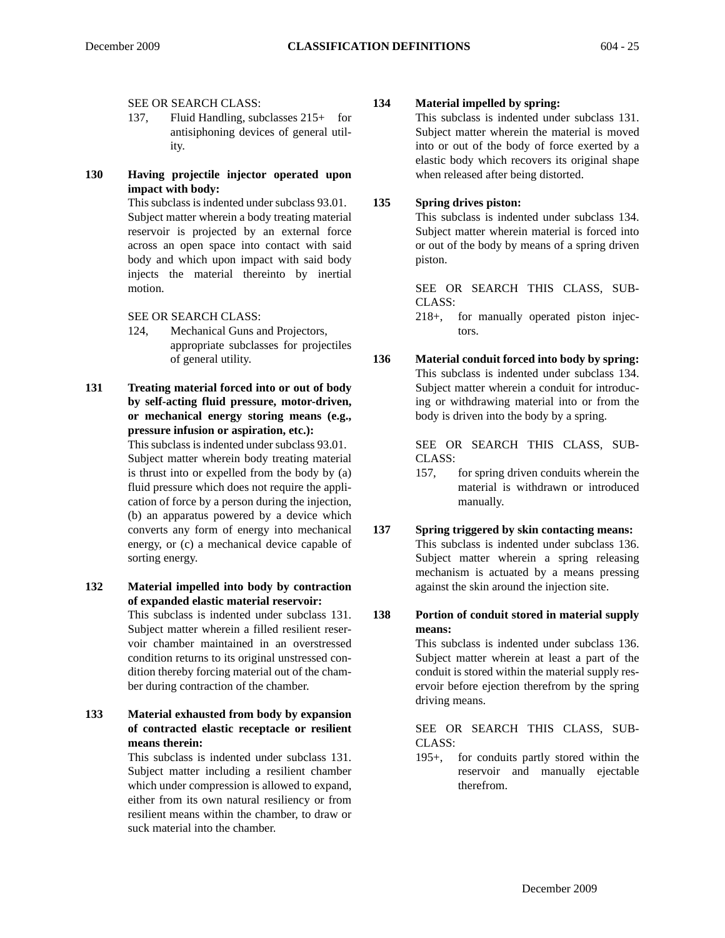SEE OR SEARCH CLASS:

- 137, Fluid Handling, subclasses 215+ for antisiphoning devices of general utility.
- **130 Having projectile injector operated upon impact with body:**

This subclass is indented under subclass 93.01. Subject matter wherein a body treating material reservoir is projected by an external force across an open space into contact with said body and which upon impact with said body injects the material thereinto by inertial motion.

SEE OR SEARCH CLASS:

- 124, Mechanical Guns and Projectors, appropriate subclasses for projectiles of general utility.
- **131 Treating material forced into or out of body by self-acting fluid pressure, motor-driven, or mechanical energy storing means (e.g., pressure infusion or aspiration, etc.):**

This subclass is indented under subclass 93.01. Subject matter wherein body treating material is thrust into or expelled from the body by (a) fluid pressure which does not require the application of force by a person during the injection, (b) an apparatus powered by a device which converts any form of energy into mechanical energy, or (c) a mechanical device capable of sorting energy.

- **132 Material impelled into body by contraction of expanded elastic material reservoir:**  This subclass is indented under subclass 131. Subject matter wherein a filled resilient reservoir chamber maintained in an overstressed condition returns to its original unstressed condition thereby forcing material out of the chamber during contraction of the chamber.
- **133 Material exhausted from body by expansion of contracted elastic receptacle or resilient means therein:**

This subclass is indented under subclass 131. Subject matter including a resilient chamber which under compression is allowed to expand, either from its own natural resiliency or from resilient means within the chamber, to draw or suck material into the chamber.

## **134 Material impelled by spring:**

This subclass is indented under subclass 131. Subject matter wherein the material is moved into or out of the body of force exerted by a elastic body which recovers its original shape when released after being distorted.

## **135 Spring drives piston:**

This subclass is indented under subclass 134. Subject matter wherein material is forced into or out of the body by means of a spring driven piston.

SEE OR SEARCH THIS CLASS, SUB-CLASS:

218+, for manually operated piston injectors.

**136 Material conduit forced into body by spring:** This subclass is indented under subclass 134. Subject matter wherein a conduit for introducing or withdrawing material into or from the body is driven into the body by a spring.

> SEE OR SEARCH THIS CLASS, SUB-CLASS:

> 157, for spring driven conduits wherein the material is withdrawn or introduced manually.

```
137 Spring triggered by skin contacting means:
This subclass is indented under subclass 136.
Subject matter wherein a spring releasing
mechanism is actuated by a means pressing
against the skin around the injection site.
```
**138 Portion of conduit stored in material supply means:**

> This subclass is indented under subclass 136. Subject matter wherein at least a part of the conduit is stored within the material supply reservoir before ejection therefrom by the spring driving means.

## SEE OR SEARCH THIS CLASS, SUB-CLASS:

195+, for conduits partly stored within the reservoir and manually ejectable therefrom.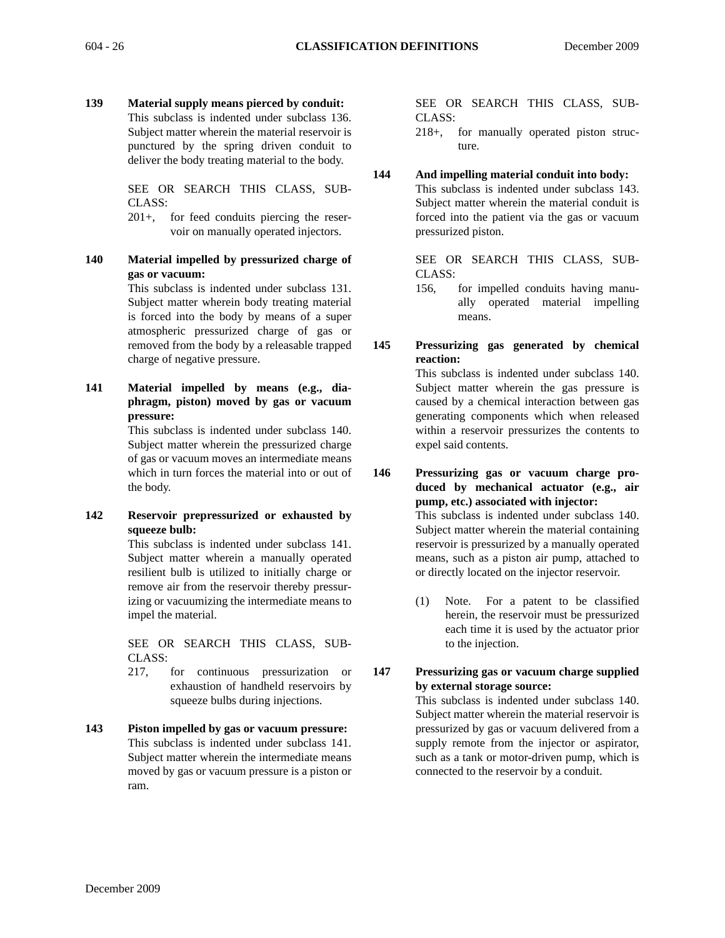**139 Material supply means pierced by conduit:** This subclass is indented under subclass 136. Subject matter wherein the material reservoir is punctured by the spring driven conduit to

> SEE OR SEARCH THIS CLASS, SUB-CLASS:

deliver the body treating material to the body.

201+, for feed conduits piercing the reservoir on manually operated injectors.

**140 Material impelled by pressurized charge of gas or vacuum:**

This subclass is indented under subclass 131. Subject matter wherein body treating material is forced into the body by means of a super atmospheric pressurized charge of gas or removed from the body by a releasable trapped charge of negative pressure.

**141 Material impelled by means (e.g., diaphragm, piston) moved by gas or vacuum pressure:**

> This subclass is indented under subclass 140. Subject matter wherein the pressurized charge of gas or vacuum moves an intermediate means which in turn forces the material into or out of the body.

**142 Reservoir prepressurized or exhausted by squeeze bulb:**

> This subclass is indented under subclass 141. Subject matter wherein a manually operated resilient bulb is utilized to initially charge or remove air from the reservoir thereby pressurizing or vacuumizing the intermediate means to impel the material.

> SEE OR SEARCH THIS CLASS, SUB-CLASS:

- 217, for continuous pressurization or exhaustion of handheld reservoirs by squeeze bulbs during injections.
- **143 Piston impelled by gas or vacuum pressure:** This subclass is indented under subclass 141. Subject matter wherein the intermediate means moved by gas or vacuum pressure is a piston or ram.

SEE OR SEARCH THIS CLASS, SUB-CLASS:

218+, for manually operated piston structure.

**144 And impelling material conduit into body:**

This subclass is indented under subclass 143. Subject matter wherein the material conduit is forced into the patient via the gas or vacuum pressurized piston.

SEE OR SEARCH THIS CLASS, SUB-CLASS:

- 156, for impelled conduits having manually operated material impelling means.
- **145 Pressurizing gas generated by chemical reaction:**

This subclass is indented under subclass 140. Subject matter wherein the gas pressure is caused by a chemical interaction between gas generating components which when released within a reservoir pressurizes the contents to expel said contents.

**146 Pressurizing gas or vacuum charge produced by mechanical actuator (e.g., air pump, etc.) associated with injector:** This subclass is indented under subclass 140. Subject matter wherein the material containing reservoir is pressurized by a manually operated means, such as a piston air pump, attached to or directly located on the injector reservoir.

- (1) Note. For a patent to be classified herein, the reservoir must be pressurized each time it is used by the actuator prior to the injection.
- **147 Pressurizing gas or vacuum charge supplied by external storage source:**

This subclass is indented under subclass 140. Subject matter wherein the material reservoir is pressurized by gas or vacuum delivered from a supply remote from the injector or aspirator, such as a tank or motor-driven pump, which is connected to the reservoir by a conduit.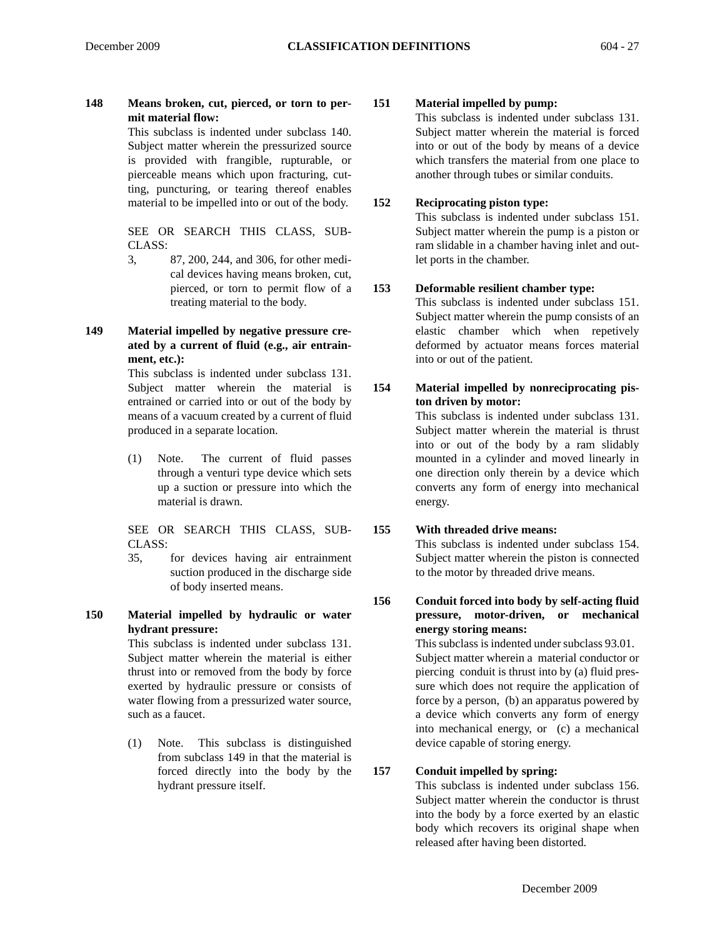**148 Means broken, cut, pierced, or torn to permit material flow:**

This subclass is indented under subclass 140. Subject matter wherein the pressurized source is provided with frangible, rupturable, or pierceable means which upon fracturing, cutting, puncturing, or tearing thereof enables material to be impelled into or out of the body.

SEE OR SEARCH THIS CLASS, SUB-CLASS:

- 3, 87, 200, 244, and 306, for other medical devices having means broken, cut, pierced, or torn to permit flow of a treating material to the body.
- **149 Material impelled by negative pressure created by a current of fluid (e.g., air entrainment, etc.):**

This subclass is indented under subclass 131. Subject matter wherein the material is entrained or carried into or out of the body by means of a vacuum created by a current of fluid produced in a separate location.

(1) Note. The current of fluid passes through a venturi type device which sets up a suction or pressure into which the material is drawn.

SEE OR SEARCH THIS CLASS, SUB-CLASS:

- 35, for devices having air entrainment suction produced in the discharge side of body inserted means.
- **150 Material impelled by hydraulic or water hydrant pressure:**

This subclass is indented under subclass 131. Subject matter wherein the material is either thrust into or removed from the body by force exerted by hydraulic pressure or consists of water flowing from a pressurized water source, such as a faucet.

(1) Note. This subclass is distinguished from subclass 149 in that the material is forced directly into the body by the hydrant pressure itself.

## **151 Material impelled by pump:**

This subclass is indented under subclass 131. Subject matter wherein the material is forced into or out of the body by means of a device which transfers the material from one place to another through tubes or similar conduits.

## **152 Reciprocating piston type:**

This subclass is indented under subclass 151. Subject matter wherein the pump is a piston or ram slidable in a chamber having inlet and outlet ports in the chamber.

## **153 Deformable resilient chamber type:**

This subclass is indented under subclass 151. Subject matter wherein the pump consists of an elastic chamber which when repetively deformed by actuator means forces material into or out of the patient.

## **154 Material impelled by nonreciprocating piston driven by motor:** This subclass is indented under subclass 131. Subject matter wherein the material is thrust into or out of the body by a ram slidably mounted in a cylinder and moved linearly in one direction only therein by a device which converts any form of energy into mechanical energy.

## **155 With threaded drive means:**

This subclass is indented under subclass 154. Subject matter wherein the piston is connected to the motor by threaded drive means.

**156 Conduit forced into body by self-acting fluid pressure, motor-driven, or mechanical energy storing means:**

> This subclass is indented under subclass 93.01. Subject matter wherein a material conductor or piercing conduit is thrust into by (a) fluid pressure which does not require the application of force by a person, (b) an apparatus powered by a device which converts any form of energy into mechanical energy, or (c) a mechanical device capable of storing energy.

## **157 Conduit impelled by spring:**

This subclass is indented under subclass 156. Subject matter wherein the conductor is thrust into the body by a force exerted by an elastic body which recovers its original shape when released after having been distorted.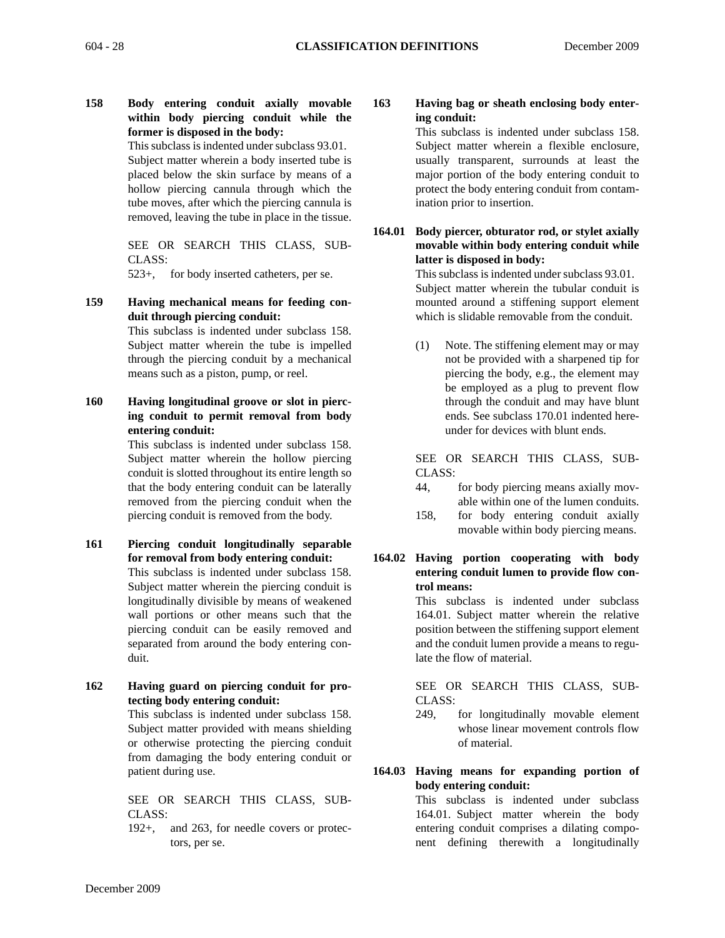**158 Body entering conduit axially movable within body piercing conduit while the former is disposed in the body:**

> This subclass is indented under subclass 93.01. Subject matter wherein a body inserted tube is placed below the skin surface by means of a hollow piercing cannula through which the tube moves, after which the piercing cannula is removed, leaving the tube in place in the tissue.

> SEE OR SEARCH THIS CLASS, SUB-CLASS:

523+, for body inserted catheters, per se.

## **159 Having mechanical means for feeding conduit through piercing conduit:**

This subclass is indented under subclass 158. Subject matter wherein the tube is impelled through the piercing conduit by a mechanical means such as a piston, pump, or reel.

**160 Having longitudinal groove or slot in piercing conduit to permit removal from body entering conduit:**

> This subclass is indented under subclass 158. Subject matter wherein the hollow piercing conduit is slotted throughout its entire length so that the body entering conduit can be laterally removed from the piercing conduit when the piercing conduit is removed from the body.

- **161 Piercing conduit longitudinally separable for removal from body entering conduit:**  This subclass is indented under subclass 158. Subject matter wherein the piercing conduit is longitudinally divisible by means of weakened wall portions or other means such that the piercing conduit can be easily removed and separated from around the body entering conduit.
- **162 Having guard on piercing conduit for protecting body entering conduit:**

This subclass is indented under subclass 158. Subject matter provided with means shielding or otherwise protecting the piercing conduit from damaging the body entering conduit or patient during use.

SEE OR SEARCH THIS CLASS, SUB-CLASS:

192+, and 263, for needle covers or protectors, per se.

**163 Having bag or sheath enclosing body entering conduit:**

This subclass is indented under subclass 158. Subject matter wherein a flexible enclosure, usually transparent, surrounds at least the major portion of the body entering conduit to protect the body entering conduit from contamination prior to insertion.

**164.01 Body piercer, obturator rod, or stylet axially movable within body entering conduit while latter is disposed in body:**

> This subclass is indented under subclass 93.01. Subject matter wherein the tubular conduit is mounted around a stiffening support element which is slidable removable from the conduit.

> (1) Note. The stiffening element may or may not be provided with a sharpened tip for piercing the body, e.g., the element may be employed as a plug to prevent flow through the conduit and may have blunt ends. See subclass 170.01 indented hereunder for devices with blunt ends.

> SEE OR SEARCH THIS CLASS, SUB-CLASS:

- 44, for body piercing means axially movable within one of the lumen conduits.
- 158, for body entering conduit axially movable within body piercing means.
- **164.02 Having portion cooperating with body entering conduit lumen to provide flow control means:**

This subclass is indented under subclass 164.01. Subject matter wherein the relative position between the stiffening support element and the conduit lumen provide a means to regulate the flow of material.

SEE OR SEARCH THIS CLASS, SUB-CLASS:

- 249, for longitudinally movable element whose linear movement controls flow of material.
- **164.03 Having means for expanding portion of body entering conduit:**

This subclass is indented under subclass 164.01. Subject matter wherein the body entering conduit comprises a dilating component defining therewith a longitudinally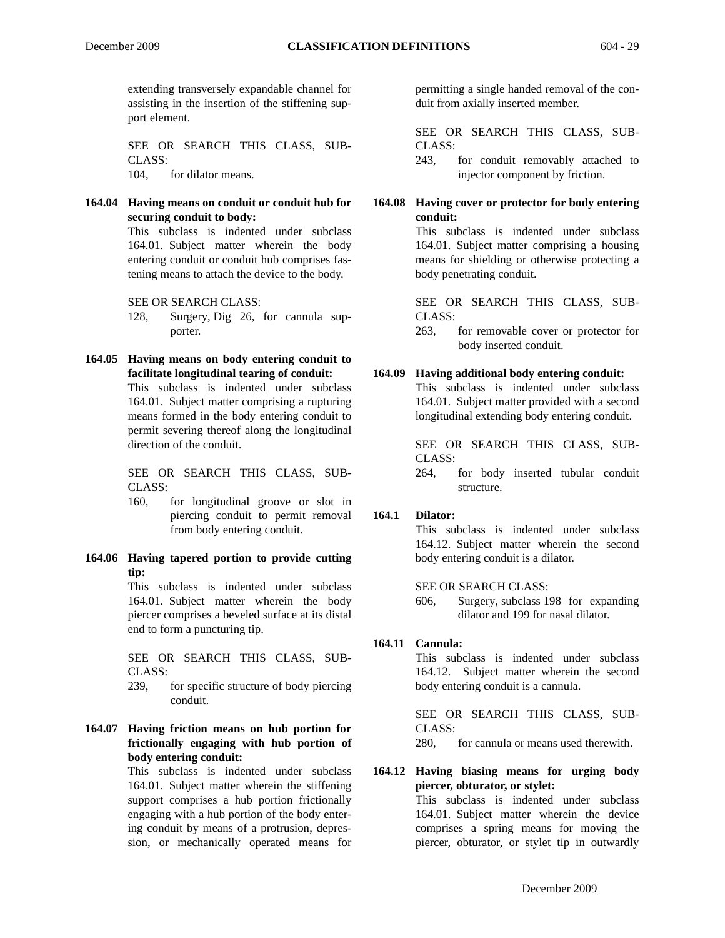extending transversely expandable channel for assisting in the insertion of the stiffening support element.

SEE OR SEARCH THIS CLASS, SUB-CLASS: 104, for dilator means.

**164.04 Having means on conduit or conduit hub for securing conduit to body:**

> This subclass is indented under subclass 164.01. Subject matter wherein the body entering conduit or conduit hub comprises fastening means to attach the device to the body.

SEE OR SEARCH CLASS:

- 128, Surgery, Dig 26, for cannula supporter.
- **164.05 Having means on body entering conduit to facilitate longitudinal tearing of conduit:**

This subclass is indented under subclass 164.01. Subject matter comprising a rupturing means formed in the body entering conduit to permit severing thereof along the longitudinal direction of the conduit.

SEE OR SEARCH THIS CLASS, SUB-CLASS:

- 160, for longitudinal groove or slot in piercing conduit to permit removal from body entering conduit.
- **164.06 Having tapered portion to provide cutting tip:**

This subclass is indented under subclass 164.01. Subject matter wherein the body piercer comprises a beveled surface at its distal end to form a puncturing tip.

SEE OR SEARCH THIS CLASS, SUB-CLASS:

- 239, for specific structure of body piercing conduit.
- **164.07 Having friction means on hub portion for frictionally engaging with hub portion of body entering conduit:**

This subclass is indented under subclass 164.01. Subject matter wherein the stiffening support comprises a hub portion frictionally engaging with a hub portion of the body entering conduit by means of a protrusion, depression, or mechanically operated means for

permitting a single handed removal of the conduit from axially inserted member.

SEE OR SEARCH THIS CLASS, SUB-CLASS:

243, for conduit removably attached to injector component by friction.

## **164.08 Having cover or protector for body entering conduit:**

This subclass is indented under subclass 164.01. Subject matter comprising a housing means for shielding or otherwise protecting a body penetrating conduit.

SEE OR SEARCH THIS CLASS, SUB-CLASS:

263, for removable cover or protector for body inserted conduit.

## **164.09 Having additional body entering conduit:**

This subclass is indented under subclass 164.01. Subject matter provided with a second longitudinal extending body entering conduit.

SEE OR SEARCH THIS CLASS, SUB-CLASS:

264, for body inserted tubular conduit structure.

## **164.1 Dilator:**

This subclass is indented under subclass 164.12. Subject matter wherein the second body entering conduit is a dilator.

## SEE OR SEARCH CLASS:

606, Surgery, subclass 198 for expanding dilator and 199 for nasal dilator.

## **164.11 Cannula:**

This subclass is indented under subclass 164.12. Subject matter wherein the second body entering conduit is a cannula.

SEE OR SEARCH THIS CLASS, SUB-CLASS:

280, for cannula or means used therewith.

## **164.12 Having biasing means for urging body piercer, obturator, or stylet:**

This subclass is indented under subclass 164.01. Subject matter wherein the device comprises a spring means for moving the piercer, obturator, or stylet tip in outwardly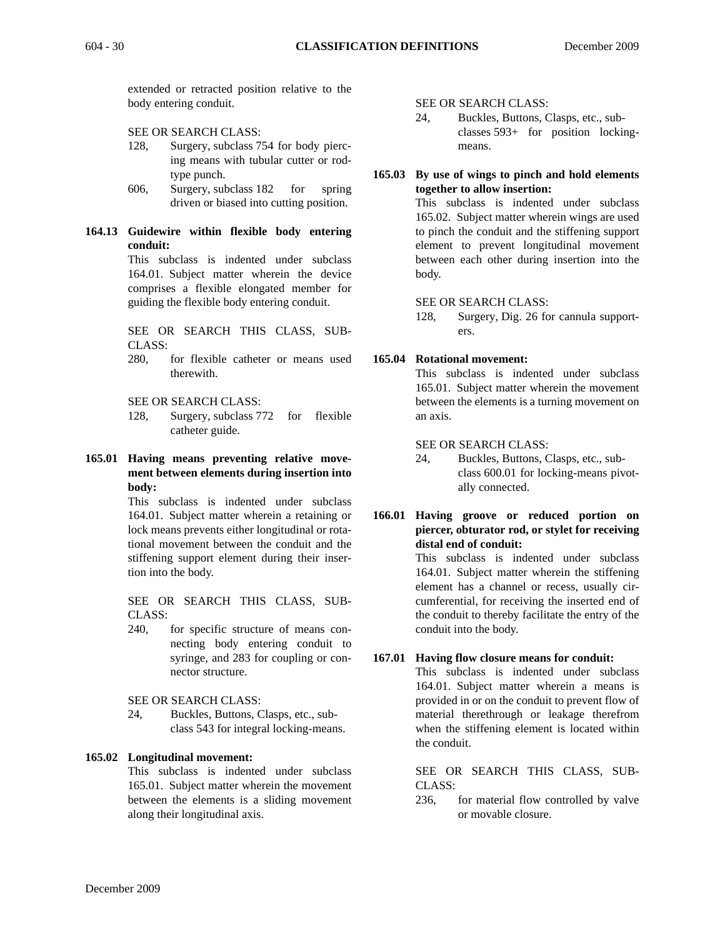extended or retracted position relative to the body entering conduit.

SEE OR SEARCH CLASS:

- 128, Surgery, subclass 754 for body piercing means with tubular cutter or rodtype punch.
- 606, Surgery, subclass 182 for spring driven or biased into cutting position.

## **164.13 Guidewire within flexible body entering conduit:**

This subclass is indented under subclass 164.01. Subject matter wherein the device comprises a flexible elongated member for guiding the flexible body entering conduit.

SEE OR SEARCH THIS CLASS, SUB-CLASS:

280, for flexible catheter or means used therewith.

SEE OR SEARCH CLASS:

- 128, Surgery, subclass 772 for flexible catheter guide.
- **165.01 Having means preventing relative movement between elements during insertion into body:**

This subclass is indented under subclass 164.01. Subject matter wherein a retaining or lock means prevents either longitudinal or rotational movement between the conduit and the stiffening support element during their insertion into the body.

SEE OR SEARCH THIS CLASS, SUB-CLASS:

240, for specific structure of means connecting body entering conduit to syringe, and 283 for coupling or connector structure.

SEE OR SEARCH CLASS:

24, Buckles, Buttons, Clasps, etc., subclass 543 for integral locking-means.

## **165.02 Longitudinal movement:**

This subclass is indented under subclass 165.01. Subject matter wherein the movement between the elements is a sliding movement along their longitudinal axis.

SEE OR SEARCH CLASS:

24, Buckles, Buttons, Clasps, etc., subclasses 593+ for position lockingmeans.

#### **165.03 By use of wings to pinch and hold elements together to allow insertion:**

This subclass is indented under subclass 165.02. Subject matter wherein wings are used to pinch the conduit and the stiffening support element to prevent longitudinal movement between each other during insertion into the body.

#### SEE OR SEARCH CLASS:

128, Surgery, Dig. 26 for cannula supporters.

#### **165.04 Rotational movement:**

This subclass is indented under subclass 165.01. Subject matter wherein the movement between the elements is a turning movement on an axis.

#### SEE OR SEARCH CLASS:

- 24, Buckles, Buttons, Clasps, etc., subclass 600.01 for locking-means pivotally connected.
- **166.01 Having groove or reduced portion on piercer, obturator rod, or stylet for receiving distal end of conduit:**

This subclass is indented under subclass 164.01. Subject matter wherein the stiffening element has a channel or recess, usually circumferential, for receiving the inserted end of the conduit to thereby facilitate the entry of the conduit into the body.

## **167.01 Having flow closure means for conduit:**

This subclass is indented under subclass 164.01. Subject matter wherein a means is provided in or on the conduit to prevent flow of material therethrough or leakage therefrom when the stiffening element is located within the conduit.

SEE OR SEARCH THIS CLASS, SUB-CLASS:

236, for material flow controlled by valve or movable closure.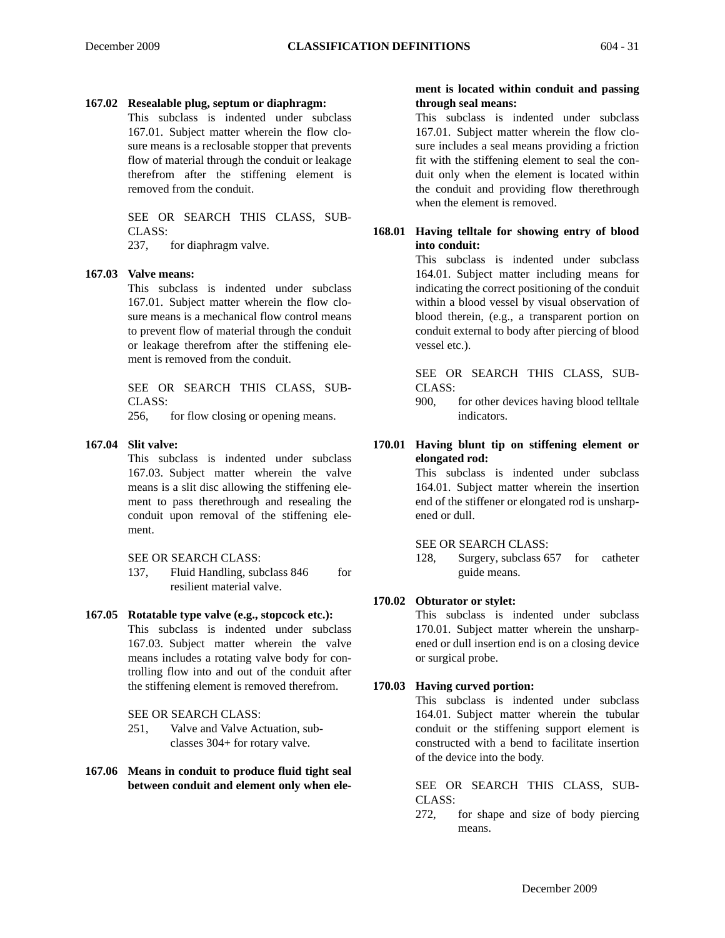#### **167.02 Resealable plug, septum or diaphragm:**

This subclass is indented under subclass 167.01. Subject matter wherein the flow closure means is a reclosable stopper that prevents flow of material through the conduit or leakage therefrom after the stiffening element is removed from the conduit.

## SEE OR SEARCH THIS CLASS, SUB-CLASS:

237, for diaphragm valve.

#### **167.03 Valve means:**

This subclass is indented under subclass 167.01. Subject matter wherein the flow closure means is a mechanical flow control means to prevent flow of material through the conduit or leakage therefrom after the stiffening element is removed from the conduit.

SEE OR SEARCH THIS CLASS, SUB-CLASS:

256, for flow closing or opening means.

#### **167.04 Slit valve:**

This subclass is indented under subclass 167.03. Subject matter wherein the valve means is a slit disc allowing the stiffening element to pass therethrough and resealing the conduit upon removal of the stiffening element.

#### SEE OR SEARCH CLASS:

137, Fluid Handling, subclass 846 for resilient material valve.

## **167.05 Rotatable type valve (e.g., stopcock etc.):**

This subclass is indented under subclass 167.03. Subject matter wherein the valve means includes a rotating valve body for controlling flow into and out of the conduit after the stiffening element is removed therefrom.

SEE OR SEARCH CLASS:

- 251, Valve and Valve Actuation, subclasses 304+ for rotary valve.
- **167.06 Means in conduit to produce fluid tight seal between conduit and element only when ele-**

#### **ment is located within conduit and passing through seal means:**

This subclass is indented under subclass 167.01. Subject matter wherein the flow closure includes a seal means providing a friction fit with the stiffening element to seal the conduit only when the element is located within the conduit and providing flow therethrough when the element is removed.

### **168.01 Having telltale for showing entry of blood into conduit:**

This subclass is indented under subclass 164.01. Subject matter including means for indicating the correct positioning of the conduit within a blood vessel by visual observation of blood therein, (e.g., a transparent portion on conduit external to body after piercing of blood vessel etc.).

SEE OR SEARCH THIS CLASS, SUB-CLASS:

900, for other devices having blood telltale indicators.

**170.01 Having blunt tip on stiffening element or elongated rod:**

> This subclass is indented under subclass 164.01. Subject matter wherein the insertion end of the stiffener or elongated rod is unsharpened or dull.

#### SEE OR SEARCH CLASS:

128, Surgery, subclass 657 for catheter guide means.

## **170.02 Obturator or stylet:**

This subclass is indented under subclass 170.01. Subject matter wherein the unsharpened or dull insertion end is on a closing device or surgical probe.

#### **170.03 Having curved portion:**

This subclass is indented under subclass 164.01. Subject matter wherein the tubular conduit or the stiffening support element is constructed with a bend to facilitate insertion of the device into the body.

SEE OR SEARCH THIS CLASS, SUB-CLASS:

272, for shape and size of body piercing means.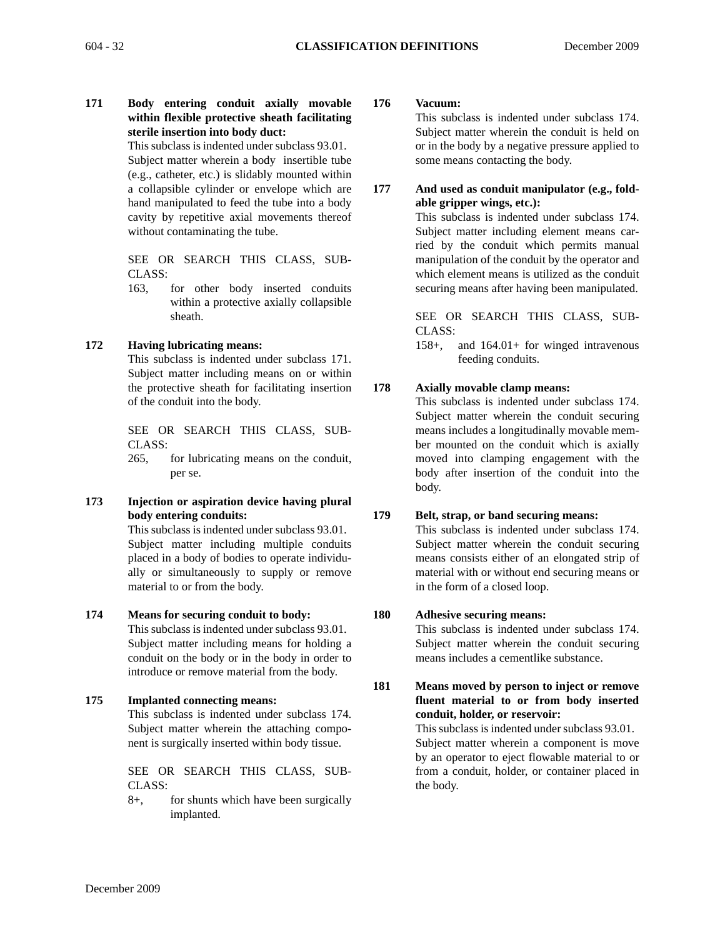**171 Body entering conduit axially movable within flexible protective sheath facilitating sterile insertion into body duct:**

This subclass is indented under subclass 93.01. Subject matter wherein a body insertible tube (e.g., catheter, etc.) is slidably mounted within a collapsible cylinder or envelope which are hand manipulated to feed the tube into a body cavity by repetitive axial movements thereof without contaminating the tube.

SEE OR SEARCH THIS CLASS, SUB-CLASS:

163, for other body inserted conduits within a protective axially collapsible sheath.

## **172 Having lubricating means:**

This subclass is indented under subclass 171. Subject matter including means on or within the protective sheath for facilitating insertion of the conduit into the body.

SEE OR SEARCH THIS CLASS, SUB-CLASS:

- 265, for lubricating means on the conduit, per se.
- **173 Injection or aspiration device having plural body entering conduits:**

This subclass is indented under subclass 93.01. Subject matter including multiple conduits placed in a body of bodies to operate individually or simultaneously to supply or remove material to or from the body.

## **174 Means for securing conduit to body:**

This subclass is indented under subclass 93.01. Subject matter including means for holding a conduit on the body or in the body in order to introduce or remove material from the body.

## **175 Implanted connecting means:**

This subclass is indented under subclass 174. Subject matter wherein the attaching component is surgically inserted within body tissue.

SEE OR SEARCH THIS CLASS, SUB-CLASS:

8+, for shunts which have been surgically implanted.

#### **176 Vacuum:**

This subclass is indented under subclass 174. Subject matter wherein the conduit is held on or in the body by a negative pressure applied to some means contacting the body.

**177 And used as conduit manipulator (e.g., foldable gripper wings, etc.):**

> This subclass is indented under subclass 174. Subject matter including element means carried by the conduit which permits manual manipulation of the conduit by the operator and which element means is utilized as the conduit securing means after having been manipulated.

> SEE OR SEARCH THIS CLASS, SUB-CLASS:

> 158+, and 164.01+ for winged intravenous feeding conduits.

## **178 Axially movable clamp means:**

This subclass is indented under subclass 174. Subject matter wherein the conduit securing means includes a longitudinally movable member mounted on the conduit which is axially moved into clamping engagement with the body after insertion of the conduit into the body.

## **179 Belt, strap, or band securing means:**

This subclass is indented under subclass 174. Subject matter wherein the conduit securing means consists either of an elongated strip of material with or without end securing means or in the form of a closed loop.

## **180 Adhesive securing means:**

This subclass is indented under subclass 174. Subject matter wherein the conduit securing means includes a cementlike substance.

**181 Means moved by person to inject or remove fluent material to or from body inserted conduit, holder, or reservoir:** This subclass is indented under subclass 93.01.

Subject matter wherein a component is move by an operator to eject flowable material to or from a conduit, holder, or container placed in the body.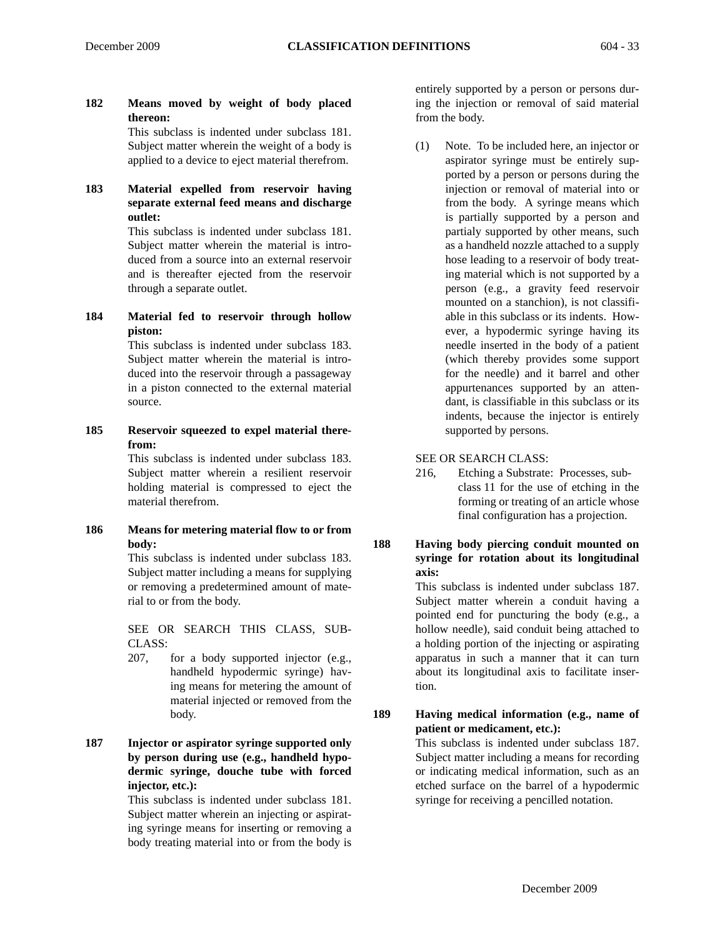**182 Means moved by weight of body placed thereon:** This subclass is indented under subclass 181.

Subject matter wherein the weight of a body is applied to a device to eject material therefrom.

**183 Material expelled from reservoir having separate external feed means and discharge outlet:**

> This subclass is indented under subclass 181. Subject matter wherein the material is introduced from a source into an external reservoir and is thereafter ejected from the reservoir through a separate outlet.

**184 Material fed to reservoir through hollow piston:**

This subclass is indented under subclass 183. Subject matter wherein the material is introduced into the reservoir through a passageway in a piston connected to the external material source.

**185 Reservoir squeezed to expel material therefrom:**

This subclass is indented under subclass 183. Subject matter wherein a resilient reservoir holding material is compressed to eject the material therefrom.

**186 Means for metering material flow to or from body:**

This subclass is indented under subclass 183. Subject matter including a means for supplying or removing a predetermined amount of material to or from the body.

SEE OR SEARCH THIS CLASS, SUB-CLASS:

- 207, for a body supported injector (e.g., handheld hypodermic syringe) having means for metering the amount of material injected or removed from the body.
- **187 Injector or aspirator syringe supported only by person during use (e.g., handheld hypodermic syringe, douche tube with forced injector, etc.):**

This subclass is indented under subclass 181. Subject matter wherein an injecting or aspirating syringe means for inserting or removing a body treating material into or from the body is

entirely supported by a person or persons during the injection or removal of said material from the body.

(1) Note. To be included here, an injector or aspirator syringe must be entirely supported by a person or persons during the injection or removal of material into or from the body. A syringe means which is partially supported by a person and partialy supported by other means, such as a handheld nozzle attached to a supply hose leading to a reservoir of body treating material which is not supported by a person (e.g., a gravity feed reservoir mounted on a stanchion), is not classifiable in this subclass or its indents. However, a hypodermic syringe having its needle inserted in the body of a patient (which thereby provides some support for the needle) and it barrel and other appurtenances supported by an attendant, is classifiable in this subclass or its indents, because the injector is entirely supported by persons.

SEE OR SEARCH CLASS:

- 216, Etching a Substrate: Processes, subclass 11 for the use of etching in the forming or treating of an article whose final configuration has a projection.
- **188 Having body piercing conduit mounted on syringe for rotation about its longitudinal axis:**

This subclass is indented under subclass 187. Subject matter wherein a conduit having a pointed end for puncturing the body (e.g., a hollow needle), said conduit being attached to a holding portion of the injecting or aspirating apparatus in such a manner that it can turn about its longitudinal axis to facilitate insertion.

**189 Having medical information (e.g., name of patient or medicament, etc.):**

This subclass is indented under subclass 187. Subject matter including a means for recording or indicating medical information, such as an etched surface on the barrel of a hypodermic syringe for receiving a pencilled notation.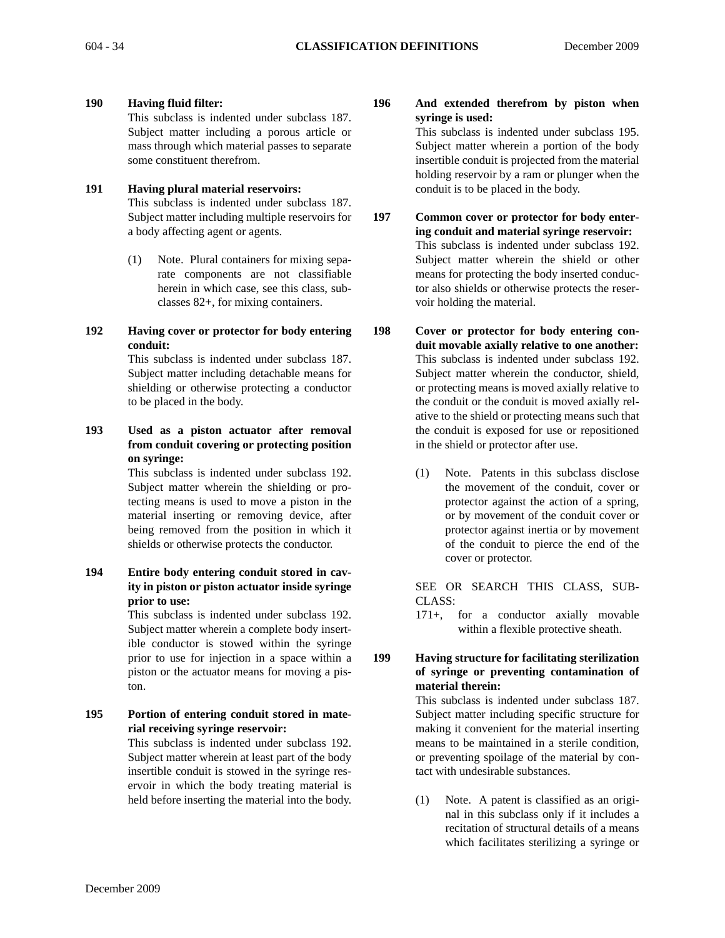**190 Having fluid filter:**

This subclass is indented under subclass 187. Subject matter including a porous article or mass through which material passes to separate some constituent therefrom.

## **191 Having plural material reservoirs:** This subclass is indented under subclass 187. Subject matter including multiple reservoirs for a body affecting agent or agents.

- (1) Note. Plural containers for mixing separate components are not classifiable herein in which case, see this class, subclasses 82+, for mixing containers.
- **192 Having cover or protector for body entering conduit:**

This subclass is indented under subclass 187. Subject matter including detachable means for shielding or otherwise protecting a conductor to be placed in the body.

**193 Used as a piston actuator after removal from conduit covering or protecting position on syringe:**

> This subclass is indented under subclass 192. Subject matter wherein the shielding or protecting means is used to move a piston in the material inserting or removing device, after being removed from the position in which it shields or otherwise protects the conductor.

**194 Entire body entering conduit stored in cavity in piston or piston actuator inside syringe prior to use:**

> This subclass is indented under subclass 192. Subject matter wherein a complete body insertible conductor is stowed within the syringe prior to use for injection in a space within a piston or the actuator means for moving a piston.

**195 Portion of entering conduit stored in material receiving syringe reservoir:** 

This subclass is indented under subclass 192. Subject matter wherein at least part of the body insertible conduit is stowed in the syringe reservoir in which the body treating material is held before inserting the material into the body. **196 And extended therefrom by piston when syringe is used:**

> This subclass is indented under subclass 195. Subject matter wherein a portion of the body insertible conduit is projected from the material holding reservoir by a ram or plunger when the conduit is to be placed in the body.

- **197 Common cover or protector for body entering conduit and material syringe reservoir:** This subclass is indented under subclass 192. Subject matter wherein the shield or other means for protecting the body inserted conductor also shields or otherwise protects the reservoir holding the material.
- **198 Cover or protector for body entering conduit movable axially relative to one another:** This subclass is indented under subclass 192. Subject matter wherein the conductor, shield, or protecting means is moved axially relative to the conduit or the conduit is moved axially relative to the shield or protecting means such that the conduit is exposed for use or repositioned in the shield or protector after use.
	- (1) Note. Patents in this subclass disclose the movement of the conduit, cover or protector against the action of a spring, or by movement of the conduit cover or protector against inertia or by movement of the conduit to pierce the end of the cover or protector.

SEE OR SEARCH THIS CLASS, SUB-CLASS:

- 171+, for a conductor axially movable within a flexible protective sheath.
- **199 Having structure for facilitating sterilization of syringe or preventing contamination of material therein:**

This subclass is indented under subclass 187. Subject matter including specific structure for making it convenient for the material inserting means to be maintained in a sterile condition, or preventing spoilage of the material by contact with undesirable substances.

(1) Note. A patent is classified as an original in this subclass only if it includes a recitation of structural details of a means which facilitates sterilizing a syringe or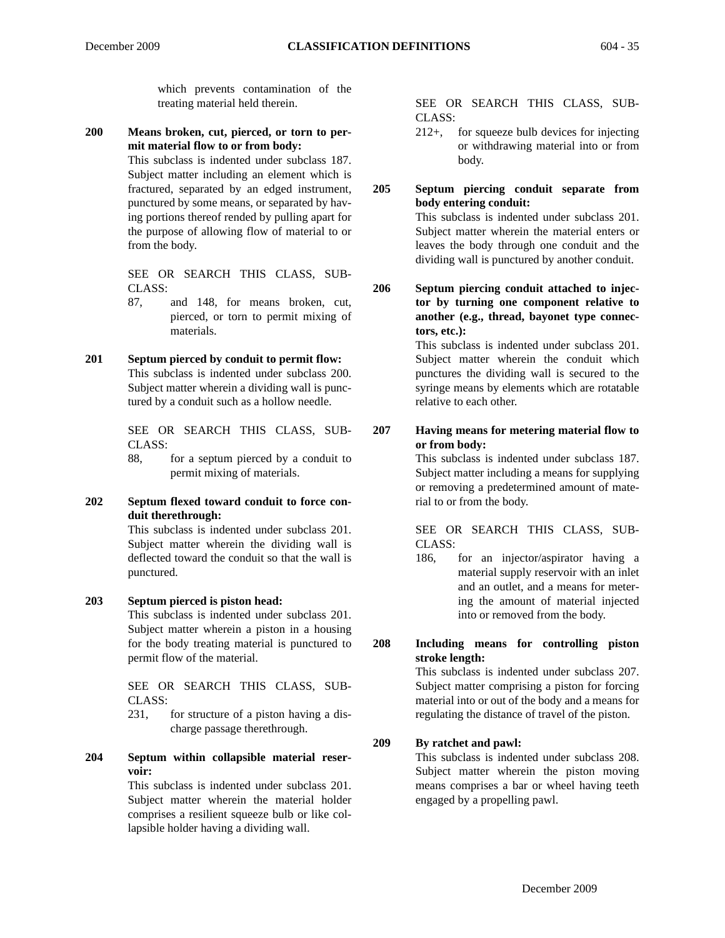which prevents contamination of the treating material held therein.

**200 Means broken, cut, pierced, or torn to permit material flow to or from body:**

> This subclass is indented under subclass 187. Subject matter including an element which is fractured, separated by an edged instrument, punctured by some means, or separated by having portions thereof rended by pulling apart for the purpose of allowing flow of material to or from the body.

SEE OR SEARCH THIS CLASS, SUB-CLASS:

- 87, and 148, for means broken, cut, pierced, or torn to permit mixing of materials.
- **201 Septum pierced by conduit to permit flow:** This subclass is indented under subclass 200. Subject matter wherein a dividing wall is punctured by a conduit such as a hollow needle.

SEE OR SEARCH THIS CLASS, SUB-CLASS:

88, for a septum pierced by a conduit to permit mixing of materials.

## **202 Septum flexed toward conduit to force conduit therethrough:**

This subclass is indented under subclass 201. Subject matter wherein the dividing wall is deflected toward the conduit so that the wall is punctured.

## **203 Septum pierced is piston head:**

This subclass is indented under subclass 201. Subject matter wherein a piston in a housing for the body treating material is punctured to permit flow of the material.

SEE OR SEARCH THIS CLASS, SUB-CLASS:

231, for structure of a piston having a discharge passage therethrough.

## **204 Septum within collapsible material reservoir:**

This subclass is indented under subclass 201. Subject matter wherein the material holder comprises a resilient squeeze bulb or like collapsible holder having a dividing wall.

SEE OR SEARCH THIS CLASS, SUB-CLASS:

212+, for squeeze bulb devices for injecting or withdrawing material into or from body.

## **205 Septum piercing conduit separate from body entering conduit:**

This subclass is indented under subclass 201. Subject matter wherein the material enters or leaves the body through one conduit and the dividing wall is punctured by another conduit.

**206 Septum piercing conduit attached to injector by turning one component relative to another (e.g., thread, bayonet type connectors, etc.):**

This subclass is indented under subclass 201. Subject matter wherein the conduit which punctures the dividing wall is secured to the syringe means by elements which are rotatable relative to each other.

**207 Having means for metering material flow to or from body:**

This subclass is indented under subclass 187. Subject matter including a means for supplying or removing a predetermined amount of material to or from the body.

SEE OR SEARCH THIS CLASS, SUB-CLASS:

186, for an injector/aspirator having a material supply reservoir with an inlet and an outlet, and a means for metering the amount of material injected into or removed from the body.

## **208 Including means for controlling piston stroke length:**

This subclass is indented under subclass 207. Subject matter comprising a piston for forcing material into or out of the body and a means for regulating the distance of travel of the piston.

## **209 By ratchet and pawl:**

This subclass is indented under subclass 208. Subject matter wherein the piston moving means comprises a bar or wheel having teeth engaged by a propelling pawl.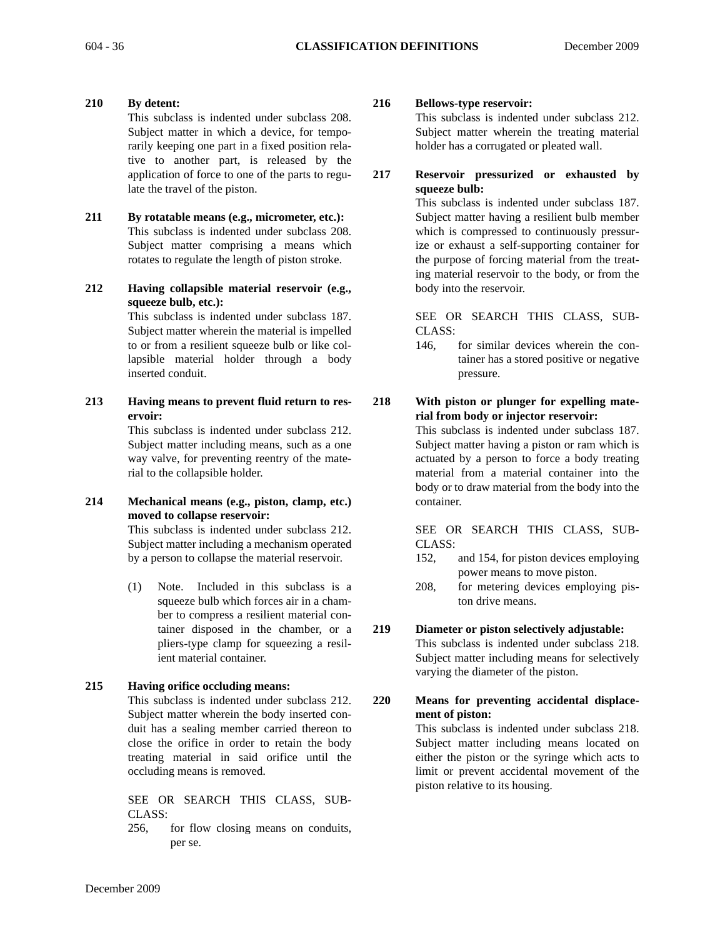- **210 By detent:** This subclass is indented under subclass 208. Subject matter in which a device, for temporarily keeping one part in a fixed position relative to another part, is released by the application of force to one of the parts to regulate the travel of the piston.
- **211 By rotatable means (e.g., micrometer, etc.):** This subclass is indented under subclass 208. Subject matter comprising a means which rotates to regulate the length of piston stroke.
- **212 Having collapsible material reservoir (e.g., squeeze bulb, etc.):**

This subclass is indented under subclass 187. Subject matter wherein the material is impelled to or from a resilient squeeze bulb or like collapsible material holder through a body inserted conduit.

**213 Having means to prevent fluid return to reservoir:**

This subclass is indented under subclass 212. Subject matter including means, such as a one way valve, for preventing reentry of the material to the collapsible holder.

**214 Mechanical means (e.g., piston, clamp, etc.) moved to collapse reservoir:**

> This subclass is indented under subclass 212. Subject matter including a mechanism operated by a person to collapse the material reservoir.

> (1) Note. Included in this subclass is a squeeze bulb which forces air in a chamber to compress a resilient material container disposed in the chamber, or a pliers-type clamp for squeezing a resilient material container.

## **215 Having orifice occluding means:**

This subclass is indented under subclass 212. Subject matter wherein the body inserted conduit has a sealing member carried thereon to close the orifice in order to retain the body treating material in said orifice until the occluding means is removed.

SEE OR SEARCH THIS CLASS, SUB-CLASS:

256, for flow closing means on conduits, per se.

## **216 Bellows-type reservoir:**

This subclass is indented under subclass 212. Subject matter wherein the treating material holder has a corrugated or pleated wall.

**217 Reservoir pressurized or exhausted by squeeze bulb:**

> This subclass is indented under subclass 187. Subject matter having a resilient bulb member which is compressed to continuously pressurize or exhaust a self-supporting container for the purpose of forcing material from the treating material reservoir to the body, or from the body into the reservoir.

> SEE OR SEARCH THIS CLASS, SUB-CLASS:

> 146, for similar devices wherein the container has a stored positive or negative pressure.

#### **218 With piston or plunger for expelling material from body or injector reservoir:**

This subclass is indented under subclass 187. Subject matter having a piston or ram which is actuated by a person to force a body treating material from a material container into the body or to draw material from the body into the container.

SEE OR SEARCH THIS CLASS, SUB-CLASS:

- 152, and 154, for piston devices employing power means to move piston.
- 208, for metering devices employing piston drive means.

# **219 Diameter or piston selectively adjustable:** This subclass is indented under subclass 218.

Subject matter including means for selectively varying the diameter of the piston.

**220 Means for preventing accidental displacement of piston:**

This subclass is indented under subclass 218. Subject matter including means located on either the piston or the syringe which acts to limit or prevent accidental movement of the piston relative to its housing.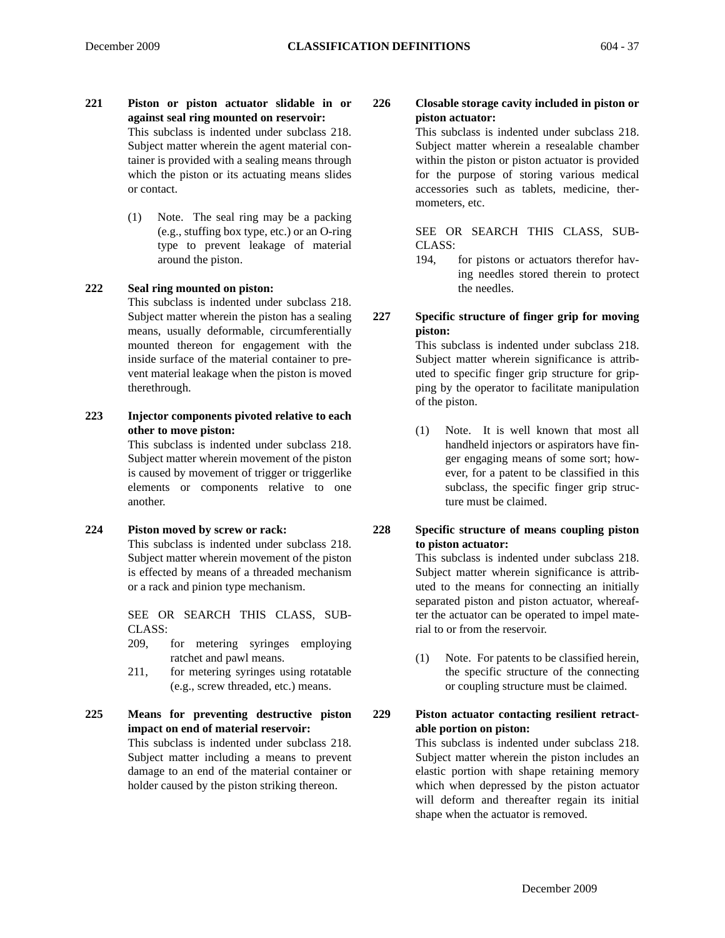- **221 Piston or piston actuator slidable in or against seal ring mounted on reservoir:** This subclass is indented under subclass 218. Subject matter wherein the agent material container is provided with a sealing means through which the piston or its actuating means slides or contact.
	- (1) Note. The seal ring may be a packing (e.g., stuffing box type, etc.) or an O-ring type to prevent leakage of material around the piston.

#### **222 Seal ring mounted on piston:**

This subclass is indented under subclass 218. Subject matter wherein the piston has a sealing means, usually deformable, circumferentially mounted thereon for engagement with the inside surface of the material container to prevent material leakage when the piston is moved therethrough.

**223 Injector components pivoted relative to each other to move piston:**

> This subclass is indented under subclass 218. Subject matter wherein movement of the piston is caused by movement of trigger or triggerlike elements or components relative to one another.

**224 Piston moved by screw or rack:**

This subclass is indented under subclass 218. Subject matter wherein movement of the piston is effected by means of a threaded mechanism or a rack and pinion type mechanism.

SEE OR SEARCH THIS CLASS, SUB-CLASS:

- 209, for metering syringes employing ratchet and pawl means.
- 211, for metering syringes using rotatable (e.g., screw threaded, etc.) means.

# **225 Means for preventing destructive piston impact on end of material reservoir:**

This subclass is indented under subclass 218. Subject matter including a means to prevent damage to an end of the material container or holder caused by the piston striking thereon.

**226 Closable storage cavity included in piston or piston actuator:**

> This subclass is indented under subclass 218. Subject matter wherein a resealable chamber within the piston or piston actuator is provided for the purpose of storing various medical accessories such as tablets, medicine, thermometers, etc.

> SEE OR SEARCH THIS CLASS, SUB-CLASS:

- 194, for pistons or actuators therefor having needles stored therein to protect the needles.
- **227 Specific structure of finger grip for moving piston:**

This subclass is indented under subclass 218. Subject matter wherein significance is attributed to specific finger grip structure for gripping by the operator to facilitate manipulation of the piston.

- (1) Note. It is well known that most all handheld injectors or aspirators have finger engaging means of some sort; however, for a patent to be classified in this subclass, the specific finger grip structure must be claimed.
- **228 Specific structure of means coupling piston to piston actuator:**

This subclass is indented under subclass 218. Subject matter wherein significance is attributed to the means for connecting an initially separated piston and piston actuator, whereafter the actuator can be operated to impel material to or from the reservoir.

(1) Note. For patents to be classified herein, the specific structure of the connecting or coupling structure must be claimed.

**229 Piston actuator contacting resilient retractable portion on piston:**

> This subclass is indented under subclass 218. Subject matter wherein the piston includes an elastic portion with shape retaining memory which when depressed by the piston actuator will deform and thereafter regain its initial shape when the actuator is removed.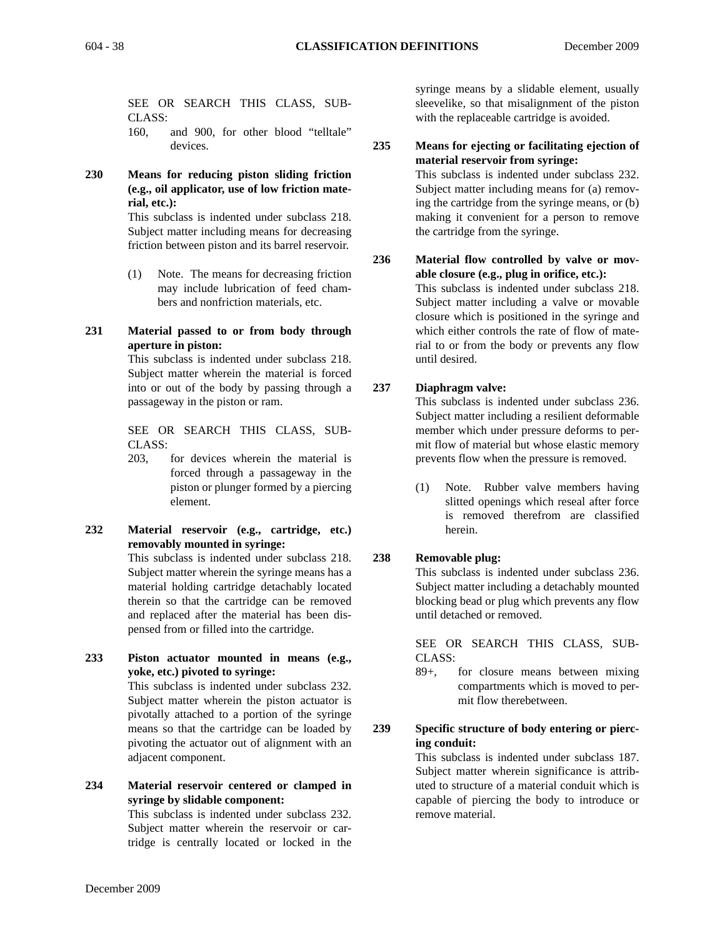SEE OR SEARCH THIS CLASS, SUB-CLASS:

160, and 900, for other blood "telltale" devices.

**230 Means for reducing piston sliding friction (e.g., oil applicator, use of low friction material, etc.):**

> This subclass is indented under subclass 218. Subject matter including means for decreasing friction between piston and its barrel reservoir.

> (1) Note. The means for decreasing friction may include lubrication of feed chambers and nonfriction materials, etc.

#### **231 Material passed to or from body through aperture in piston:**

This subclass is indented under subclass 218. Subject matter wherein the material is forced into or out of the body by passing through a passageway in the piston or ram.

SEE OR SEARCH THIS CLASS, SUB-CLASS:

- 203, for devices wherein the material is forced through a passageway in the piston or plunger formed by a piercing element.
- **232 Material reservoir (e.g., cartridge, etc.) removably mounted in syringe:**

This subclass is indented under subclass 218. Subject matter wherein the syringe means has a material holding cartridge detachably located therein so that the cartridge can be removed and replaced after the material has been dispensed from or filled into the cartridge.

**233 Piston actuator mounted in means (e.g., yoke, etc.) pivoted to syringe:**

This subclass is indented under subclass 232. Subject matter wherein the piston actuator is pivotally attached to a portion of the syringe means so that the cartridge can be loaded by pivoting the actuator out of alignment with an adjacent component.

# **234 Material reservoir centered or clamped in syringe by slidable component:**

This subclass is indented under subclass 232. Subject matter wherein the reservoir or cartridge is centrally located or locked in the syringe means by a slidable element, usually sleevelike, so that misalignment of the piston with the replaceable cartridge is avoided.

**235 Means for ejecting or facilitating ejection of material reservoir from syringe:** This subclass is indented under subclass 232. Subject matter including means for (a) removing the cartridge from the syringe means, or (b) making it convenient for a person to remove the cartridge from the syringe.

**236 Material flow controlled by valve or movable closure (e.g., plug in orifice, etc.):** This subclass is indented under subclass 218. Subject matter including a valve or movable closure which is positioned in the syringe and which either controls the rate of flow of material to or from the body or prevents any flow until desired.

# **237 Diaphragm valve:**

This subclass is indented under subclass 236. Subject matter including a resilient deformable member which under pressure deforms to permit flow of material but whose elastic memory prevents flow when the pressure is removed.

(1) Note. Rubber valve members having slitted openings which reseal after force is removed therefrom are classified herein.

#### **238 Removable plug:**

This subclass is indented under subclass 236. Subject matter including a detachably mounted blocking bead or plug which prevents any flow until detached or removed.

SEE OR SEARCH THIS CLASS, SUB-CLASS:

89+, for closure means between mixing compartments which is moved to permit flow therebetween.

# **239 Specific structure of body entering or piercing conduit:**

This subclass is indented under subclass 187. Subject matter wherein significance is attributed to structure of a material conduit which is capable of piercing the body to introduce or remove material.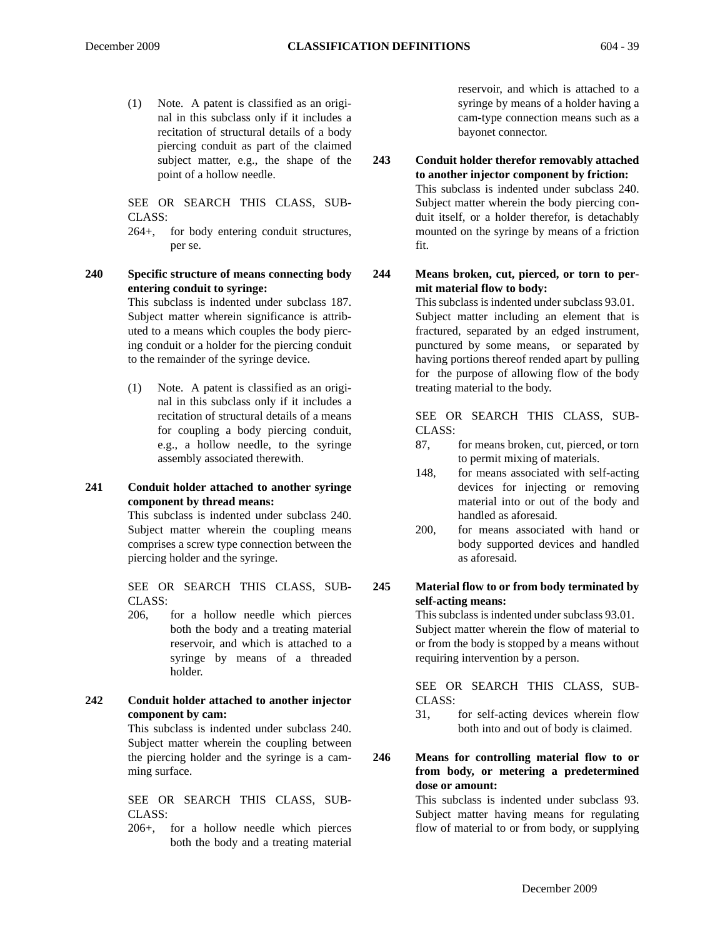(1) Note. A patent is classified as an original in this subclass only if it includes a recitation of structural details of a body piercing conduit as part of the claimed subject matter, e.g., the shape of the point of a hollow needle.

SEE OR SEARCH THIS CLASS, SUB-CLASS:

264+, for body entering conduit structures, per se.

**240 Specific structure of means connecting body entering conduit to syringe:**

This subclass is indented under subclass 187. Subject matter wherein significance is attributed to a means which couples the body piercing conduit or a holder for the piercing conduit to the remainder of the syringe device.

(1) Note. A patent is classified as an original in this subclass only if it includes a recitation of structural details of a means for coupling a body piercing conduit, e.g., a hollow needle, to the syringe assembly associated therewith.

#### **241 Conduit holder attached to another syringe component by thread means:**

This subclass is indented under subclass 240. Subject matter wherein the coupling means comprises a screw type connection between the piercing holder and the syringe.

SEE OR SEARCH THIS CLASS, SUB-CLASS:

206, for a hollow needle which pierces both the body and a treating material reservoir, and which is attached to a syringe by means of a threaded holder.

#### **242 Conduit holder attached to another injector component by cam:**

This subclass is indented under subclass 240. Subject matter wherein the coupling between the piercing holder and the syringe is a camming surface.

SEE OR SEARCH THIS CLASS, SUB-CLASS:

206+, for a hollow needle which pierces both the body and a treating material

reservoir, and which is attached to a syringe by means of a holder having a cam-type connection means such as a bayonet connector.

**243 Conduit holder therefor removably attached to another injector component by friction:** This subclass is indented under subclass 240. Subject matter wherein the body piercing conduit itself, or a holder therefor, is detachably mounted on the syringe by means of a friction fit.

**244 Means broken, cut, pierced, or torn to permit material flow to body:**

> This subclass is indented under subclass 93.01. Subject matter including an element that is fractured, separated by an edged instrument, punctured by some means, or separated by having portions thereof rended apart by pulling for the purpose of allowing flow of the body treating material to the body.

> SEE OR SEARCH THIS CLASS, SUB-CLASS:

- 87, for means broken, cut, pierced, or torn to permit mixing of materials.
- 148, for means associated with self-acting devices for injecting or removing material into or out of the body and handled as aforesaid.
- 200, for means associated with hand or body supported devices and handled as aforesaid.

#### **245 Material flow to or from body terminated by self-acting means:**

This subclass is indented under subclass 93.01. Subject matter wherein the flow of material to or from the body is stopped by a means without requiring intervention by a person.

SEE OR SEARCH THIS CLASS, SUB-CLASS:

31, for self-acting devices wherein flow both into and out of body is claimed.

#### **246 Means for controlling material flow to or from body, or metering a predetermined dose or amount:**

This subclass is indented under subclass 93. Subject matter having means for regulating flow of material to or from body, or supplying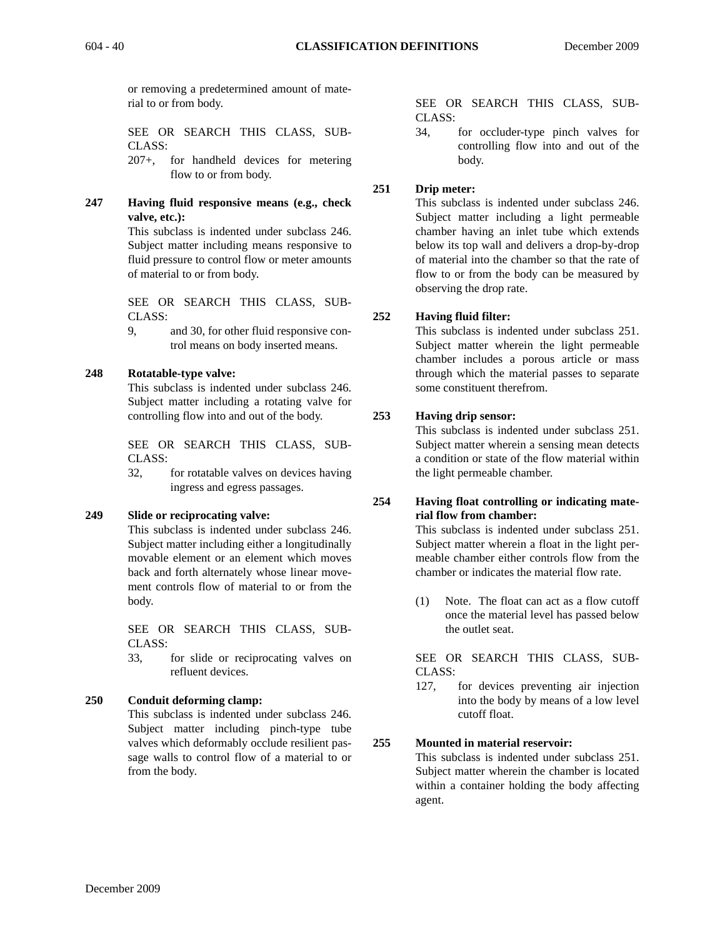or removing a predetermined amount of material to or from body.

SEE OR SEARCH THIS CLASS, SUB-CLASS:

207+, for handheld devices for metering flow to or from body.

**247 Having fluid responsive means (e.g., check valve, etc.):**

> This subclass is indented under subclass 246. Subject matter including means responsive to fluid pressure to control flow or meter amounts of material to or from body.

SEE OR SEARCH THIS CLASS, SUB-CLASS:

9, and 30, for other fluid responsive control means on body inserted means.

# **248 Rotatable-type valve:**

This subclass is indented under subclass 246. Subject matter including a rotating valve for controlling flow into and out of the body.

SEE OR SEARCH THIS CLASS, SUB-CLASS:

32, for rotatable valves on devices having ingress and egress passages.

#### **249 Slide or reciprocating valve:**

This subclass is indented under subclass 246. Subject matter including either a longitudinally movable element or an element which moves back and forth alternately whose linear movement controls flow of material to or from the body.

SEE OR SEARCH THIS CLASS, SUB-CLASS:

33, for slide or reciprocating valves on refluent devices.

# **250 Conduit deforming clamp:**

This subclass is indented under subclass 246. Subject matter including pinch-type tube valves which deformably occlude resilient passage walls to control flow of a material to or from the body.

SEE OR SEARCH THIS CLASS, SUB-CLASS:

34, for occluder-type pinch valves for controlling flow into and out of the body.

# **251 Drip meter:**

This subclass is indented under subclass 246. Subject matter including a light permeable chamber having an inlet tube which extends below its top wall and delivers a drop-by-drop of material into the chamber so that the rate of flow to or from the body can be measured by observing the drop rate.

# **252 Having fluid filter:**

This subclass is indented under subclass 251. Subject matter wherein the light permeable chamber includes a porous article or mass through which the material passes to separate some constituent therefrom.

# **253 Having drip sensor:**

This subclass is indented under subclass 251. Subject matter wherein a sensing mean detects a condition or state of the flow material within the light permeable chamber.

# **254 Having float controlling or indicating material flow from chamber:**

This subclass is indented under subclass 251. Subject matter wherein a float in the light permeable chamber either controls flow from the chamber or indicates the material flow rate.

(1) Note. The float can act as a flow cutoff once the material level has passed below the outlet seat.

SEE OR SEARCH THIS CLASS, SUB-CLASS:

127, for devices preventing air injection into the body by means of a low level cutoff float.

# **255 Mounted in material reservoir:**

This subclass is indented under subclass 251. Subject matter wherein the chamber is located within a container holding the body affecting agent.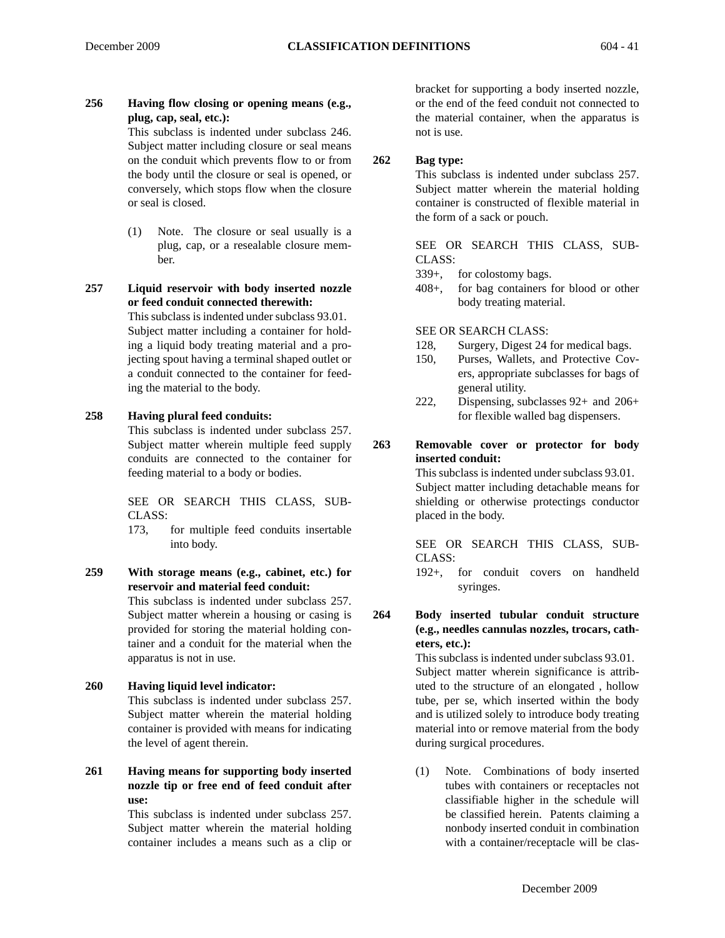**256 Having flow closing or opening means (e.g., plug, cap, seal, etc.):**

This subclass is indented under subclass 246. Subject matter including closure or seal means on the conduit which prevents flow to or from the body until the closure or seal is opened, or conversely, which stops flow when the closure or seal is closed.

(1) Note. The closure or seal usually is a plug, cap, or a resealable closure member.

**257 Liquid reservoir with body inserted nozzle or feed conduit connected therewith:** 

> This subclass is indented under subclass 93.01. Subject matter including a container for holding a liquid body treating material and a projecting spout having a terminal shaped outlet or a conduit connected to the container for feeding the material to the body.

#### **258 Having plural feed conduits:**

This subclass is indented under subclass 257. Subject matter wherein multiple feed supply conduits are connected to the container for feeding material to a body or bodies.

SEE OR SEARCH THIS CLASS, SUB-CLASS:

173, for multiple feed conduits insertable into body.

- **259 With storage means (e.g., cabinet, etc.) for reservoir and material feed conduit:**  This subclass is indented under subclass 257. Subject matter wherein a housing or casing is provided for storing the material holding container and a conduit for the material when the apparatus is not in use.
- **260 Having liquid level indicator:** This subclass is indented under subclass 257. Subject matter wherein the material holding container is provided with means for indicating the level of agent therein.
- **261 Having means for supporting body inserted nozzle tip or free end of feed conduit after use:**

This subclass is indented under subclass 257. Subject matter wherein the material holding container includes a means such as a clip or

bracket for supporting a body inserted nozzle, or the end of the feed conduit not connected to the material container, when the apparatus is not is use.

#### **262 Bag type:**

This subclass is indented under subclass 257. Subject matter wherein the material holding container is constructed of flexible material in the form of a sack or pouch.

SEE OR SEARCH THIS CLASS, SUB-CLASS:

- 339+, for colostomy bags.
- 408+, for bag containers for blood or other body treating material.

#### SEE OR SEARCH CLASS:

- 128, Surgery, Digest 24 for medical bags.
- 150, Purses, Wallets, and Protective Covers, appropriate subclasses for bags of general utility.
- 222, Dispensing, subclasses 92+ and 206+ for flexible walled bag dispensers.

#### **263 Removable cover or protector for body inserted conduit:**

This subclass is indented under subclass 93.01. Subject matter including detachable means for shielding or otherwise protectings conductor placed in the body.

SEE OR SEARCH THIS CLASS, SUB-CLASS:

192+, for conduit covers on handheld syringes.

**264 Body inserted tubular conduit structure (e.g., needles cannulas nozzles, trocars, catheters, etc.):**

> This subclass is indented under subclass 93.01. Subject matter wherein significance is attributed to the structure of an elongated , hollow tube, per se, which inserted within the body and is utilized solely to introduce body treating material into or remove material from the body during surgical procedures.

> (1) Note. Combinations of body inserted tubes with containers or receptacles not classifiable higher in the schedule will be classified herein. Patents claiming a nonbody inserted conduit in combination with a container/receptacle will be clas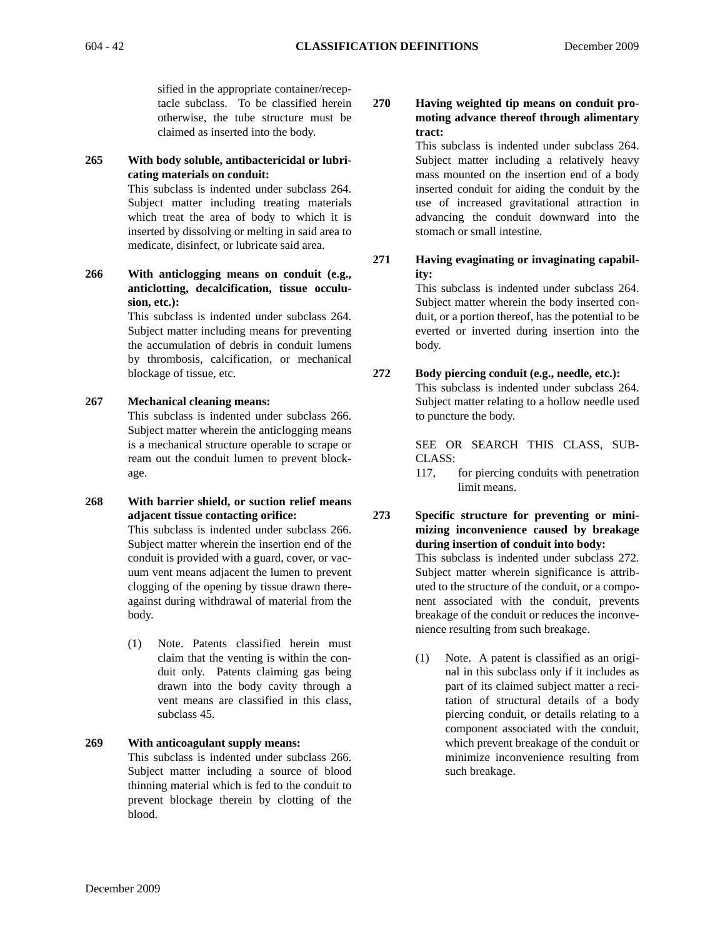sified in the appropriate container/receptacle subclass. To be classified herein otherwise, the tube structure must be claimed as inserted into the body.

#### **265 With body soluble, antibactericidal or lubricating materials on conduit:**

This subclass is indented under subclass 264. Subject matter including treating materials which treat the area of body to which it is inserted by dissolving or melting in said area to medicate, disinfect, or lubricate said area.

**266 With anticlogging means on conduit (e.g., anticlotting, decalcification, tissue occulusion, etc.):**

> This subclass is indented under subclass 264. Subject matter including means for preventing the accumulation of debris in conduit lumens by thrombosis, calcification, or mechanical blockage of tissue, etc.

#### **267 Mechanical cleaning means:**

This subclass is indented under subclass 266. Subject matter wherein the anticlogging means is a mechanical structure operable to scrape or ream out the conduit lumen to prevent blockage.

**268 With barrier shield, or suction relief means adjacent tissue contacting orifice:** 

> This subclass is indented under subclass 266. Subject matter wherein the insertion end of the conduit is provided with a guard, cover, or vacuum vent means adjacent the lumen to prevent clogging of the opening by tissue drawn thereagainst during withdrawal of material from the body.

> (1) Note. Patents classified herein must claim that the venting is within the conduit only. Patents claiming gas being drawn into the body cavity through a vent means are classified in this class, subclass 45.

# **269 With anticoagulant supply means:**

This subclass is indented under subclass 266. Subject matter including a source of blood thinning material which is fed to the conduit to prevent blockage therein by clotting of the blood.

#### **270 Having weighted tip means on conduit promoting advance thereof through alimentary tract:**

This subclass is indented under subclass 264. Subject matter including a relatively heavy mass mounted on the insertion end of a body inserted conduit for aiding the conduit by the use of increased gravitational attraction in advancing the conduit downward into the stomach or small intestine.

**271 Having evaginating or invaginating capability:**

This subclass is indented under subclass 264. Subject matter wherein the body inserted conduit, or a portion thereof, has the potential to be everted or inverted during insertion into the body.

#### **272 Body piercing conduit (e.g., needle, etc.):** This subclass is indented under subclass 264. Subject matter relating to a hollow needle used to puncture the body.

SEE OR SEARCH THIS CLASS, SUB-CLASS:

117, for piercing conduits with penetration limit means.

**273 Specific structure for preventing or minimizing inconvenience caused by breakage during insertion of conduit into body:** This subclass is indented under subclass 272. Subject matter wherein significance is attributed to the structure of the conduit, or a component associated with the conduit, prevents breakage of the conduit or reduces the inconvenience resulting from such breakage.

> (1) Note. A patent is classified as an original in this subclass only if it includes as part of its claimed subject matter a recitation of structural details of a body piercing conduit, or details relating to a component associated with the conduit, which prevent breakage of the conduit or minimize inconvenience resulting from such breakage.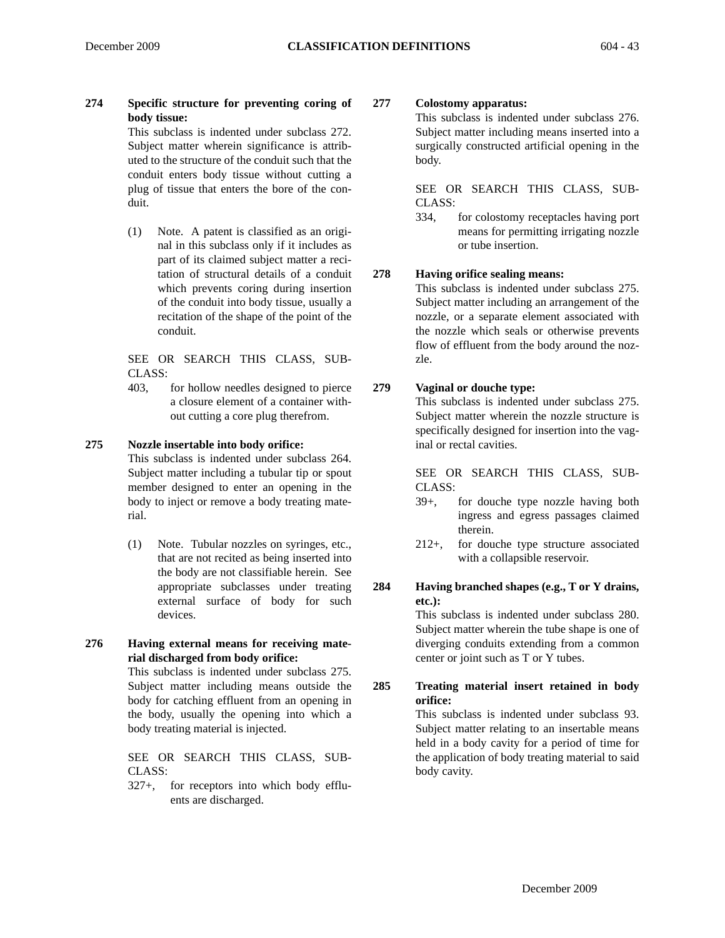**274 Specific structure for preventing coring of body tissue:**

This subclass is indented under subclass 272. Subject matter wherein significance is attributed to the structure of the conduit such that the conduit enters body tissue without cutting a plug of tissue that enters the bore of the conduit.

(1) Note. A patent is classified as an original in this subclass only if it includes as part of its claimed subject matter a recitation of structural details of a conduit which prevents coring during insertion of the conduit into body tissue, usually a recitation of the shape of the point of the conduit.

SEE OR SEARCH THIS CLASS, SUB-CLASS:

403, for hollow needles designed to pierce a closure element of a container without cutting a core plug therefrom.

#### **275 Nozzle insertable into body orifice:**

This subclass is indented under subclass 264. Subject matter including a tubular tip or spout member designed to enter an opening in the body to inject or remove a body treating material.

- (1) Note. Tubular nozzles on syringes, etc., that are not recited as being inserted into the body are not classifiable herein. See appropriate subclasses under treating external surface of body for such devices.
- **276 Having external means for receiving material discharged from body orifice:**

This subclass is indented under subclass 275. Subject matter including means outside the body for catching effluent from an opening in the body, usually the opening into which a body treating material is injected.

SEE OR SEARCH THIS CLASS, SUB-CLASS:

327+, for receptors into which body effluents are discharged.

# **277 Colostomy apparatus:**

This subclass is indented under subclass 276. Subject matter including means inserted into a surgically constructed artificial opening in the body.

SEE OR SEARCH THIS CLASS, SUB-CLASS:

334, for colostomy receptacles having port means for permitting irrigating nozzle or tube insertion.

# **278 Having orifice sealing means:**

This subclass is indented under subclass 275. Subject matter including an arrangement of the nozzle, or a separate element associated with the nozzle which seals or otherwise prevents flow of effluent from the body around the nozzle.

# **279 Vaginal or douche type:**

This subclass is indented under subclass 275. Subject matter wherein the nozzle structure is specifically designed for insertion into the vaginal or rectal cavities.

SEE OR SEARCH THIS CLASS, SUB-CLASS:

- 39+, for douche type nozzle having both ingress and egress passages claimed therein.
- 212+, for douche type structure associated with a collapsible reservoir.
- **284 Having branched shapes (e.g., T or Y drains, etc.):**

This subclass is indented under subclass 280. Subject matter wherein the tube shape is one of diverging conduits extending from a common center or joint such as T or Y tubes.

**285 Treating material insert retained in body orifice:**

This subclass is indented under subclass 93. Subject matter relating to an insertable means held in a body cavity for a period of time for the application of body treating material to said body cavity.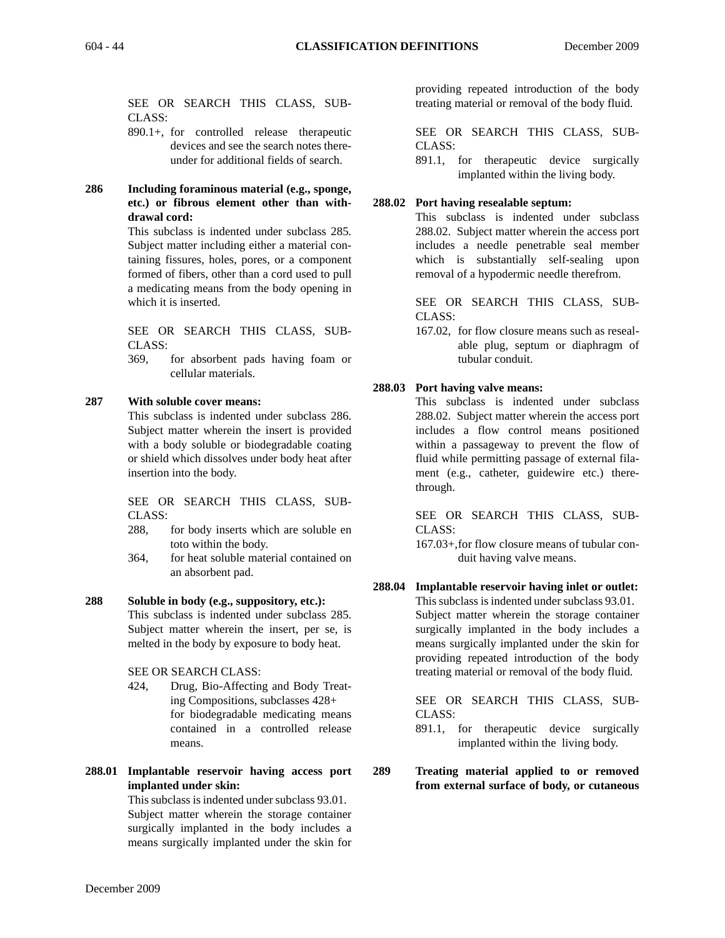SEE OR SEARCH THIS CLASS, SUB-CLASS:

- 890.1+, for controlled release therapeutic devices and see the search notes thereunder for additional fields of search.
- **286 Including foraminous material (e.g., sponge, etc.) or fibrous element other than withdrawal cord:**

This subclass is indented under subclass 285. Subject matter including either a material containing fissures, holes, pores, or a component formed of fibers, other than a cord used to pull a medicating means from the body opening in which it is inserted.

SEE OR SEARCH THIS CLASS, SUB-CLASS:

369, for absorbent pads having foam or cellular materials.

#### **287 With soluble cover means:**

This subclass is indented under subclass 286. Subject matter wherein the insert is provided with a body soluble or biodegradable coating or shield which dissolves under body heat after insertion into the body.

SEE OR SEARCH THIS CLASS, SUB-CLASS:

- 288, for body inserts which are soluble en toto within the body.
- 364, for heat soluble material contained on an absorbent pad.
- **288 Soluble in body (e.g., suppository, etc.):** This subclass is indented under subclass 285. Subject matter wherein the insert, per se, is melted in the body by exposure to body heat.

SEE OR SEARCH CLASS:

- 424, Drug, Bio-Affecting and Body Treating Compositions, subclasses 428+ for biodegradable medicating means contained in a controlled release means.
- **288.01 Implantable reservoir having access port implanted under skin:**

This subclass is indented under subclass 93.01. Subject matter wherein the storage container surgically implanted in the body includes a means surgically implanted under the skin for

providing repeated introduction of the body treating material or removal of the body fluid.

SEE OR SEARCH THIS CLASS, SUB-CLASS:

891.1, for therapeutic device surgically implanted within the living body.

#### **288.02 Port having resealable septum:**

This subclass is indented under subclass 288.02. Subject matter wherein the access port includes a needle penetrable seal member which is substantially self-sealing upon removal of a hypodermic needle therefrom.

SEE OR SEARCH THIS CLASS, SUB-CLASS:

167.02, for flow closure means such as resealable plug, septum or diaphragm of tubular conduit.

#### **288.03 Port having valve means:**

This subclass is indented under subclass 288.02. Subject matter wherein the access port includes a flow control means positioned within a passageway to prevent the flow of fluid while permitting passage of external filament (e.g., catheter, guidewire etc.) therethrough.

SEE OR SEARCH THIS CLASS, SUB-CLASS:

167.03+,for flow closure means of tubular conduit having valve means.

**288.04 Implantable reservoir having inlet or outlet:**

This subclass is indented under subclass 93.01. Subject matter wherein the storage container surgically implanted in the body includes a means surgically implanted under the skin for providing repeated introduction of the body treating material or removal of the body fluid.

SEE OR SEARCH THIS CLASS, SUB-CLASS:

891.1, for therapeutic device surgically implanted within the living body.

**289 Treating material applied to or removed from external surface of body, or cutaneous**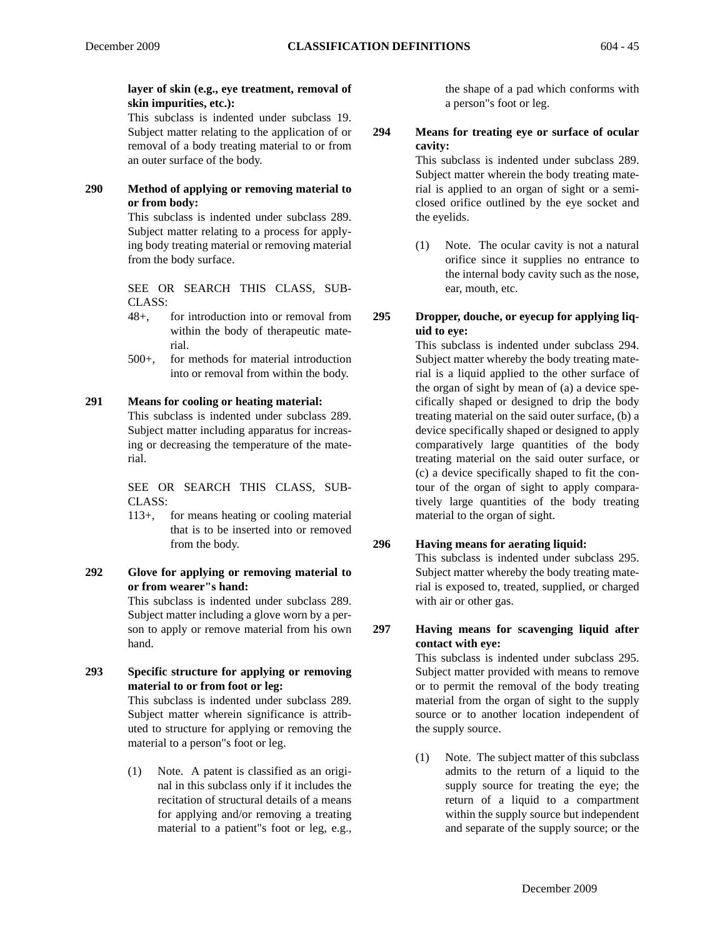# **layer of skin (e.g., eye treatment, removal of skin impurities, etc.):**

This subclass is indented under subclass 19. Subject matter relating to the application of or removal of a body treating material to or from an outer surface of the body.

**290 Method of applying or removing material to or from body:**

> This subclass is indented under subclass 289. Subject matter relating to a process for applying body treating material or removing material from the body surface.

> SEE OR SEARCH THIS CLASS, SUB-CLASS:

- 48+, for introduction into or removal from within the body of therapeutic material.
- 500+, for methods for material introduction into or removal from within the body.

# **291 Means for cooling or heating material:**

This subclass is indented under subclass 289. Subject matter including apparatus for increasing or decreasing the temperature of the material.

SEE OR SEARCH THIS CLASS, SUB-CLASS:

- 113+, for means heating or cooling material that is to be inserted into or removed from the body.
- **292 Glove for applying or removing material to or from wearer"s hand:**

This subclass is indented under subclass 289. Subject matter including a glove worn by a person to apply or remove material from his own hand.

**293 Specific structure for applying or removing material to or from foot or leg:**

> This subclass is indented under subclass 289. Subject matter wherein significance is attributed to structure for applying or removing the material to a person"s foot or leg.

> (1) Note. A patent is classified as an original in this subclass only if it includes the recitation of structural details of a means for applying and/or removing a treating material to a patient"s foot or leg, e.g.,

the shape of a pad which conforms with a person"s foot or leg.

#### **294 Means for treating eye or surface of ocular cavity:**

This subclass is indented under subclass 289. Subject matter wherein the body treating material is applied to an organ of sight or a semiclosed orifice outlined by the eye socket and the eyelids.

- (1) Note. The ocular cavity is not a natural orifice since it supplies no entrance to the internal body cavity such as the nose, ear, mouth, etc.
- **295 Dropper, douche, or eyecup for applying liquid to eye:**

This subclass is indented under subclass 294. Subject matter whereby the body treating material is a liquid applied to the other surface of the organ of sight by mean of (a) a device specifically shaped or designed to drip the body treating material on the said outer surface, (b) a device specifically shaped or designed to apply comparatively large quantities of the body treating material on the said outer surface, or (c) a device specifically shaped to fit the contour of the organ of sight to apply comparatively large quantities of the body treating material to the organ of sight.

# **296 Having means for aerating liquid:**

This subclass is indented under subclass 295. Subject matter whereby the body treating material is exposed to, treated, supplied, or charged with air or other gas.

**297 Having means for scavenging liquid after contact with eye:**

> This subclass is indented under subclass 295. Subject matter provided with means to remove or to permit the removal of the body treating material from the organ of sight to the supply source or to another location independent of the supply source.

> (1) Note. The subject matter of this subclass admits to the return of a liquid to the supply source for treating the eye; the return of a liquid to a compartment within the supply source but independent and separate of the supply source; or the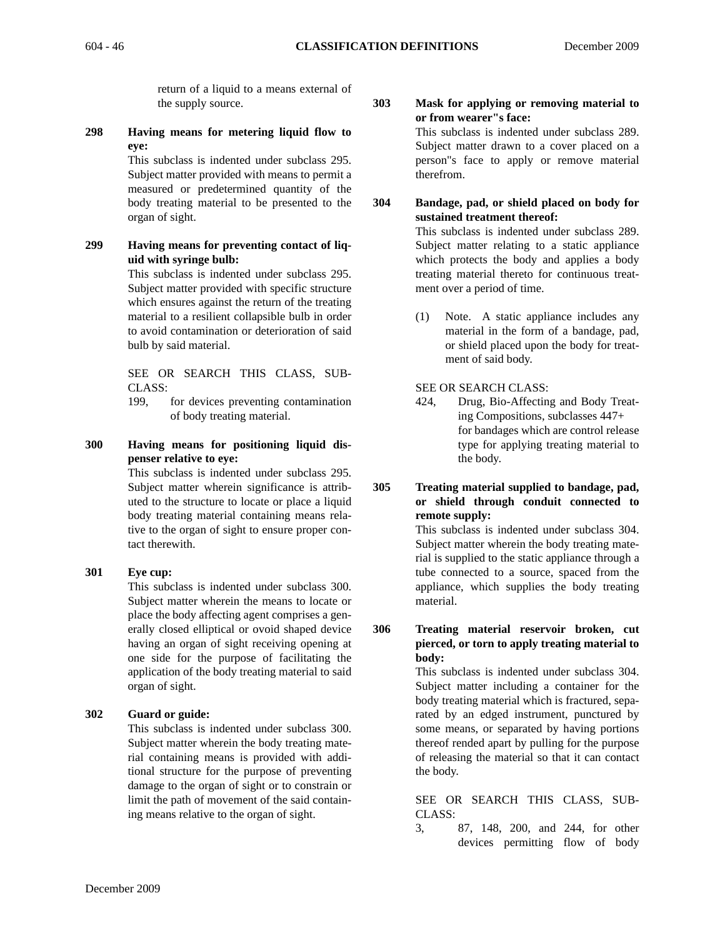return of a liquid to a means external of the supply source.

**298 Having means for metering liquid flow to eye:**

> This subclass is indented under subclass 295. Subject matter provided with means to permit a measured or predetermined quantity of the body treating material to be presented to the organ of sight.

# **299 Having means for preventing contact of liquid with syringe bulb:**

This subclass is indented under subclass 295. Subject matter provided with specific structure which ensures against the return of the treating material to a resilient collapsible bulb in order to avoid contamination or deterioration of said bulb by said material.

SEE OR SEARCH THIS CLASS, SUB-CLASS:

- 199, for devices preventing contamination of body treating material.
- **300 Having means for positioning liquid dispenser relative to eye:**

This subclass is indented under subclass 295. Subject matter wherein significance is attributed to the structure to locate or place a liquid body treating material containing means relative to the organ of sight to ensure proper contact therewith.

#### **301 Eye cup:**

This subclass is indented under subclass 300. Subject matter wherein the means to locate or place the body affecting agent comprises a generally closed elliptical or ovoid shaped device having an organ of sight receiving opening at one side for the purpose of facilitating the application of the body treating material to said organ of sight.

#### **302 Guard or guide:**

This subclass is indented under subclass 300. Subject matter wherein the body treating material containing means is provided with additional structure for the purpose of preventing damage to the organ of sight or to constrain or limit the path of movement of the said containing means relative to the organ of sight.

# **303 Mask for applying or removing material to or from wearer"s face:**

This subclass is indented under subclass 289. Subject matter drawn to a cover placed on a person"s face to apply or remove material therefrom.

**304 Bandage, pad, or shield placed on body for sustained treatment thereof:**

This subclass is indented under subclass 289. Subject matter relating to a static appliance which protects the body and applies a body treating material thereto for continuous treatment over a period of time.

(1) Note. A static appliance includes any material in the form of a bandage, pad, or shield placed upon the body for treatment of said body.

#### SEE OR SEARCH CLASS:

- 424, Drug, Bio-Affecting and Body Treating Compositions, subclasses 447+ for bandages which are control release type for applying treating material to the body.
- **305 Treating material supplied to bandage, pad, or shield through conduit connected to remote supply:**

This subclass is indented under subclass 304. Subject matter wherein the body treating material is supplied to the static appliance through a tube connected to a source, spaced from the appliance, which supplies the body treating material.

**306 Treating material reservoir broken, cut pierced, or torn to apply treating material to body:**

> This subclass is indented under subclass 304. Subject matter including a container for the body treating material which is fractured, separated by an edged instrument, punctured by some means, or separated by having portions thereof rended apart by pulling for the purpose of releasing the material so that it can contact the body.

> SEE OR SEARCH THIS CLASS, SUB-CLASS:

> 3, 87, 148, 200, and 244, for other devices permitting flow of body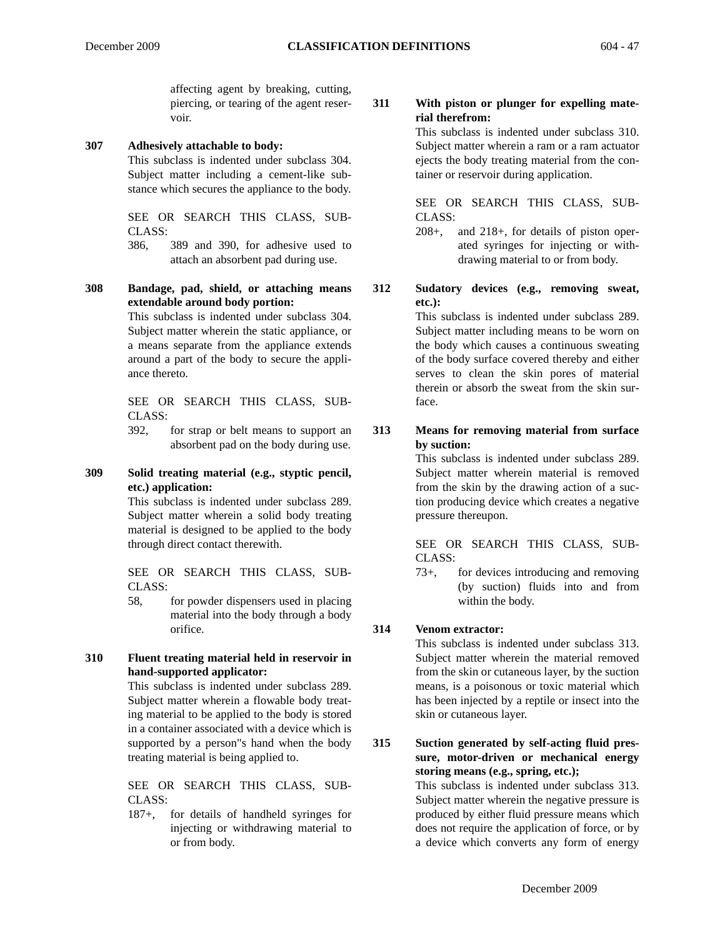affecting agent by breaking, cutting, piercing, or tearing of the agent reservoir.

#### **307 Adhesively attachable to body:**

This subclass is indented under subclass 304. Subject matter including a cement-like substance which secures the appliance to the body.

SEE OR SEARCH THIS CLASS, SUB-CLASS:

386, 389 and 390, for adhesive used to attach an absorbent pad during use.

**308 Bandage, pad, shield, or attaching means extendable around body portion:**

> This subclass is indented under subclass 304. Subject matter wherein the static appliance, or a means separate from the appliance extends around a part of the body to secure the appliance thereto.

SEE OR SEARCH THIS CLASS, SUB-CLASS:

392, for strap or belt means to support an absorbent pad on the body during use.

#### **309 Solid treating material (e.g., styptic pencil, etc.) application:**

This subclass is indented under subclass 289. Subject matter wherein a solid body treating material is designed to be applied to the body through direct contact therewith.

SEE OR SEARCH THIS CLASS, SUB-CLASS:

58, for powder dispensers used in placing material into the body through a body orifice.

# **310 Fluent treating material held in reservoir in hand-supported applicator:**

This subclass is indented under subclass 289. Subject matter wherein a flowable body treating material to be applied to the body is stored in a container associated with a device which is supported by a person"s hand when the body treating material is being applied to.

SEE OR SEARCH THIS CLASS, SUB-CLASS:

187+, for details of handheld syringes for injecting or withdrawing material to or from body.

# **311 With piston or plunger for expelling material therefrom:**

This subclass is indented under subclass 310. Subject matter wherein a ram or a ram actuator ejects the body treating material from the container or reservoir during application.

SEE OR SEARCH THIS CLASS, SUB-CLASS:

208+, and 218+, for details of piston operated syringes for injecting or withdrawing material to or from body.

#### **312 Sudatory devices (e.g., removing sweat, etc.):**

This subclass is indented under subclass 289. Subject matter including means to be worn on the body which causes a continuous sweating of the body surface covered thereby and either serves to clean the skin pores of material therein or absorb the sweat from the skin surface.

# **313 Means for removing material from surface by suction:**

This subclass is indented under subclass 289. Subject matter wherein material is removed from the skin by the drawing action of a suction producing device which creates a negative pressure thereupon.

SEE OR SEARCH THIS CLASS, SUB-CLASS:

73+, for devices introducing and removing (by suction) fluids into and from within the body.

# **314 Venom extractor:**

This subclass is indented under subclass 313. Subject matter wherein the material removed from the skin or cutaneous layer, by the suction means, is a poisonous or toxic material which has been injected by a reptile or insect into the skin or cutaneous layer.

**315 Suction generated by self-acting fluid pressure, motor-driven or mechanical energy storing means (e.g., spring, etc.);**

This subclass is indented under subclass 313. Subject matter wherein the negative pressure is produced by either fluid pressure means which does not require the application of force, or by a device which converts any form of energy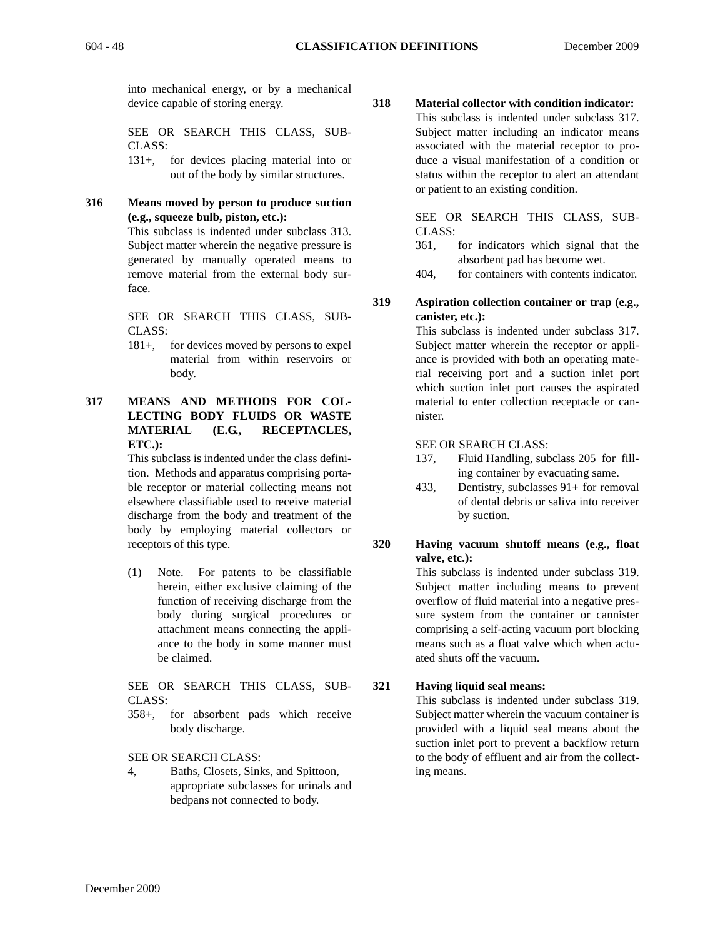into mechanical energy, or by a mechanical device capable of storing energy.

SEE OR SEARCH THIS CLASS, SUB-CLASS:

131+, for devices placing material into or out of the body by similar structures.

**316 Means moved by person to produce suction (e.g., squeeze bulb, piston, etc.):**

This subclass is indented under subclass 313. Subject matter wherein the negative pressure is generated by manually operated means to remove material from the external body surface.

SEE OR SEARCH THIS CLASS, SUB-CLASS:

- 181+, for devices moved by persons to expel material from within reservoirs or body.
- **317 MEANS AND METHODS FOR COL-LECTING BODY FLUIDS OR WASTE MATERIAL (E.G., RECEPTACLES, ETC.):**

This subclass is indented under the class definition. Methods and apparatus comprising portable receptor or material collecting means not elsewhere classifiable used to receive material discharge from the body and treatment of the body by employing material collectors or receptors of this type.

(1) Note. For patents to be classifiable herein, either exclusive claiming of the function of receiving discharge from the body during surgical procedures or attachment means connecting the appliance to the body in some manner must be claimed.

SEE OR SEARCH THIS CLASS, SUB-CLASS:

358+, for absorbent pads which receive body discharge.

SEE OR SEARCH CLASS:

4, Baths, Closets, Sinks, and Spittoon, appropriate subclasses for urinals and bedpans not connected to body.

# **318 Material collector with condition indicator:**

This subclass is indented under subclass 317. Subject matter including an indicator means associated with the material receptor to produce a visual manifestation of a condition or status within the receptor to alert an attendant or patient to an existing condition.

SEE OR SEARCH THIS CLASS, SUB-CLASS:

- 361, for indicators which signal that the absorbent pad has become wet.
- 404, for containers with contents indicator.

**319 Aspiration collection container or trap (e.g., canister, etc.):**

> This subclass is indented under subclass 317. Subject matter wherein the receptor or appliance is provided with both an operating material receiving port and a suction inlet port which suction inlet port causes the aspirated material to enter collection receptacle or cannister.

#### SEE OR SEARCH CLASS:

- 137, Fluid Handling, subclass 205 for filling container by evacuating same.
- 433, Dentistry, subclasses 91+ for removal of dental debris or saliva into receiver by suction.

#### **320 Having vacuum shutoff means (e.g., float valve, etc.):**

This subclass is indented under subclass 319. Subject matter including means to prevent overflow of fluid material into a negative pressure system from the container or cannister comprising a self-acting vacuum port blocking means such as a float valve which when actuated shuts off the vacuum.

#### **321 Having liquid seal means:**

This subclass is indented under subclass 319. Subject matter wherein the vacuum container is provided with a liquid seal means about the suction inlet port to prevent a backflow return to the body of effluent and air from the collecting means.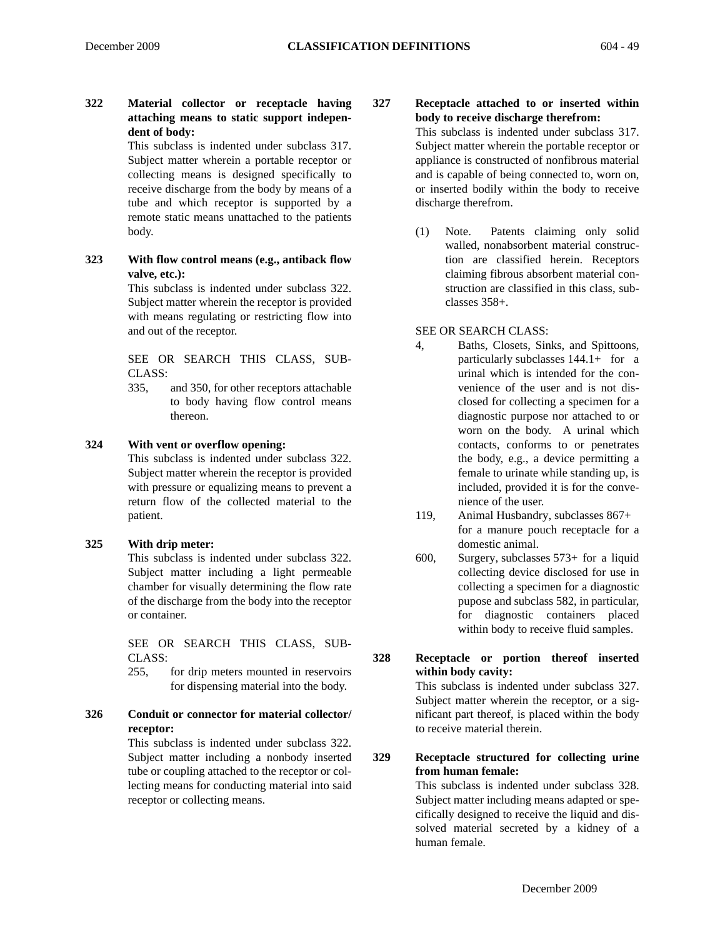# **322 Material collector or receptacle having attaching means to static support independent of body:**

This subclass is indented under subclass 317. Subject matter wherein a portable receptor or collecting means is designed specifically to receive discharge from the body by means of a tube and which receptor is supported by a remote static means unattached to the patients body.

**323 With flow control means (e.g., antiback flow valve, etc.):**

This subclass is indented under subclass 322. Subject matter wherein the receptor is provided with means regulating or restricting flow into and out of the receptor.

SEE OR SEARCH THIS CLASS, SUB-CLASS:

335, and 350, for other receptors attachable to body having flow control means thereon.

#### **324 With vent or overflow opening:**

This subclass is indented under subclass 322. Subject matter wherein the receptor is provided with pressure or equalizing means to prevent a return flow of the collected material to the patient.

#### **325 With drip meter:**

This subclass is indented under subclass 322. Subject matter including a light permeable chamber for visually determining the flow rate of the discharge from the body into the receptor or container.

SEE OR SEARCH THIS CLASS, SUB-CLASS:

255, for drip meters mounted in reservoirs for dispensing material into the body.

# **326 Conduit or connector for material collector/ receptor:**

This subclass is indented under subclass 322. Subject matter including a nonbody inserted tube or coupling attached to the receptor or collecting means for conducting material into said receptor or collecting means.

**327 Receptacle attached to or inserted within body to receive discharge therefrom:**

This subclass is indented under subclass 317. Subject matter wherein the portable receptor or appliance is constructed of nonfibrous material and is capable of being connected to, worn on, or inserted bodily within the body to receive discharge therefrom.

(1) Note. Patents claiming only solid walled, nonabsorbent material construction are classified herein. Receptors claiming fibrous absorbent material construction are classified in this class, subclasses 358+.

#### SEE OR SEARCH CLASS:

- 4, Baths, Closets, Sinks, and Spittoons, particularly subclasses 144.1+ for a urinal which is intended for the convenience of the user and is not disclosed for collecting a specimen for a diagnostic purpose nor attached to or worn on the body. A urinal which contacts, conforms to or penetrates the body, e.g., a device permitting a female to urinate while standing up, is included, provided it is for the convenience of the user.
- 119, Animal Husbandry, subclasses 867+ for a manure pouch receptacle for a domestic animal.
- 600, Surgery, subclasses 573+ for a liquid collecting device disclosed for use in collecting a specimen for a diagnostic pupose and subclass 582, in particular, for diagnostic containers placed within body to receive fluid samples.
- **328 Receptacle or portion thereof inserted within body cavity:**

This subclass is indented under subclass 327. Subject matter wherein the receptor, or a significant part thereof, is placed within the body to receive material therein.

#### **329 Receptacle structured for collecting urine from human female:**

This subclass is indented under subclass 328. Subject matter including means adapted or specifically designed to receive the liquid and dissolved material secreted by a kidney of a human female.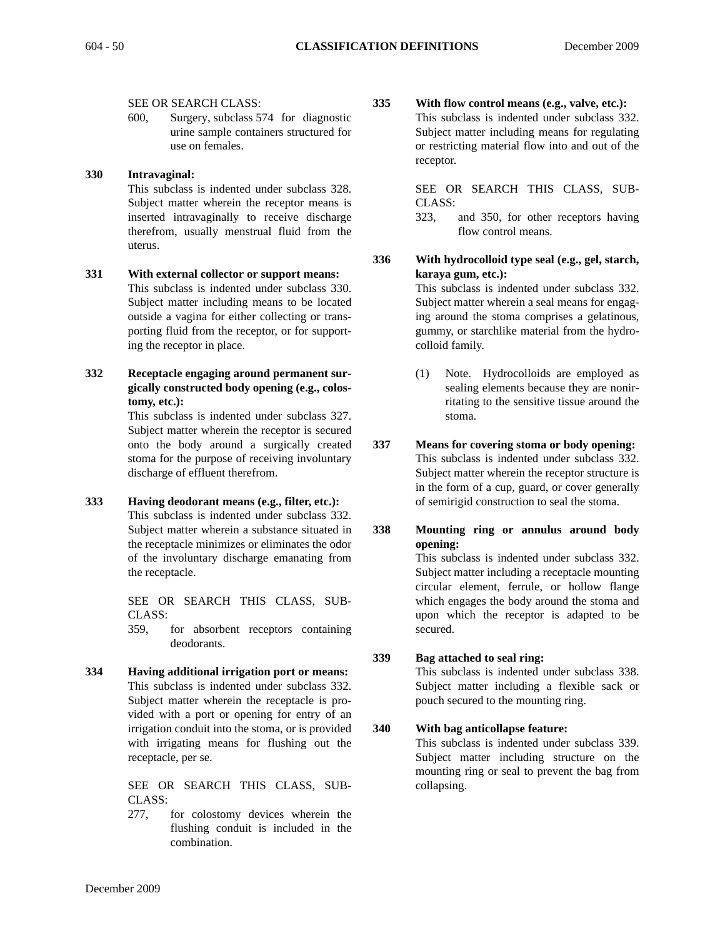#### SEE OR SEARCH CLASS:

600, Surgery, subclass 574 for diagnostic urine sample containers structured for use on females.

#### **330 Intravaginal:**

This subclass is indented under subclass 328. Subject matter wherein the receptor means is inserted intravaginally to receive discharge therefrom, usually menstrual fluid from the uterus.

**331 With external collector or support means:** This subclass is indented under subclass 330. Subject matter including means to be located outside a vagina for either collecting or transporting fluid from the receptor, or for supporting the receptor in place.

**332 Receptacle engaging around permanent surgically constructed body opening (e.g., colostomy, etc.):**

> This subclass is indented under subclass 327. Subject matter wherein the receptor is secured onto the body around a surgically created stoma for the purpose of receiving involuntary discharge of effluent therefrom.

**333 Having deodorant means (e.g., filter, etc.):** This subclass is indented under subclass 332. Subject matter wherein a substance situated in the receptacle minimizes or eliminates the odor of the involuntary discharge emanating from the receptacle.

> SEE OR SEARCH THIS CLASS, SUB-CLASS:

> 359, for absorbent receptors containing deodorants.

**334 Having additional irrigation port or means:** This subclass is indented under subclass 332. Subject matter wherein the receptacle is provided with a port or opening for entry of an irrigation conduit into the stoma, or is provided with irrigating means for flushing out the receptacle, per se.

> SEE OR SEARCH THIS CLASS, SUB-CLASS:

277, for colostomy devices wherein the flushing conduit is included in the combination.

**335 With flow control means (e.g., valve, etc.):** This subclass is indented under subclass 332. Subject matter including means for regulating or restricting material flow into and out of the receptor.

> SEE OR SEARCH THIS CLASS, SUB-CLASS:

- 323, and 350, for other receptors having flow control means.
- **336 With hydrocolloid type seal (e.g., gel, starch, karaya gum, etc.):**

This subclass is indented under subclass 332. Subject matter wherein a seal means for engaging around the stoma comprises a gelatinous, gummy, or starchlike material from the hydrocolloid family.

- (1) Note. Hydrocolloids are employed as sealing elements because they are nonirritating to the sensitive tissue around the stoma.
- **337 Means for covering stoma or body opening:** This subclass is indented under subclass 332. Subject matter wherein the receptor structure is in the form of a cup, guard, or cover generally of semirigid construction to seal the stoma.
- **338 Mounting ring or annulus around body opening:** This subclass is indented under subclass 332. Subject matter including a receptacle mounting circular element, ferrule, or hollow flange which engages the body around the stoma and upon which the receptor is adapted to be secured.

# **339 Bag attached to seal ring:**

This subclass is indented under subclass 338. Subject matter including a flexible sack or pouch secured to the mounting ring.

#### **340 With bag anticollapse feature:**

This subclass is indented under subclass 339. Subject matter including structure on the mounting ring or seal to prevent the bag from collapsing.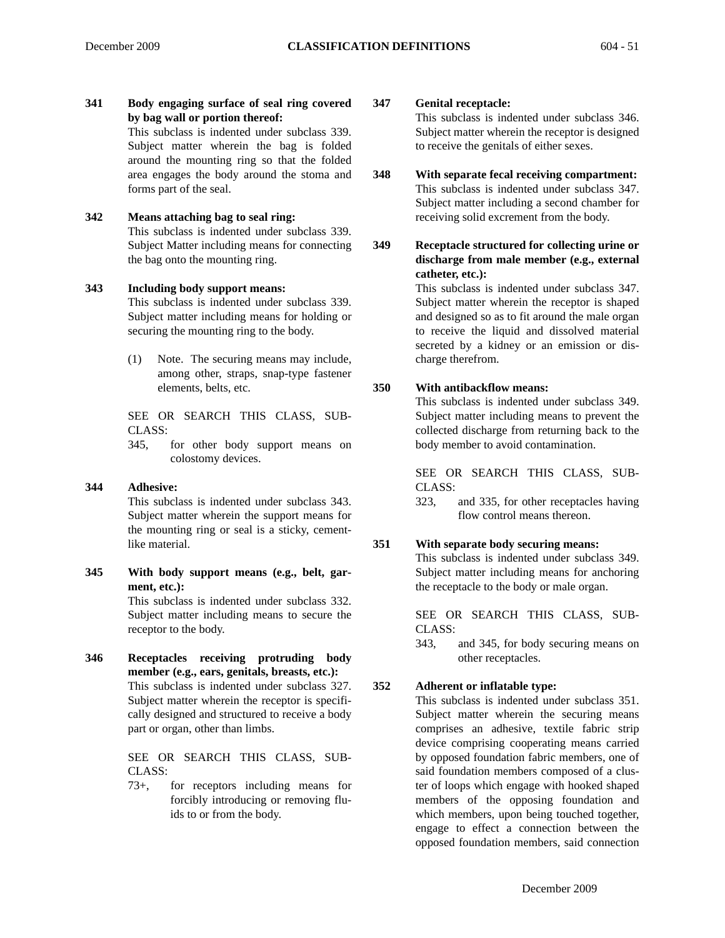**341 Body engaging surface of seal ring covered by bag wall or portion thereof:** This subclass is indented under subclass 339. Subject matter wherein the bag is folded

around the mounting ring so that the folded area engages the body around the stoma and forms part of the seal.

**342 Means attaching bag to seal ring:**

This subclass is indented under subclass 339. Subject Matter including means for connecting the bag onto the mounting ring.

# **343 Including body support means:**

This subclass is indented under subclass 339. Subject matter including means for holding or securing the mounting ring to the body.

(1) Note. The securing means may include, among other, straps, snap-type fastener elements, belts, etc.

SEE OR SEARCH THIS CLASS, SUB-CLASS:

345, for other body support means on colostomy devices.

#### **344 Adhesive:**

This subclass is indented under subclass 343. Subject matter wherein the support means for the mounting ring or seal is a sticky, cementlike material.

**345 With body support means (e.g., belt, garment, etc.):**

This subclass is indented under subclass 332. Subject matter including means to secure the receptor to the body.

**346 Receptacles receiving protruding body member (e.g., ears, genitals, breasts, etc.):** This subclass is indented under subclass 327. Subject matter wherein the receptor is specifically designed and structured to receive a body part or organ, other than limbs.

> SEE OR SEARCH THIS CLASS, SUB-CLASS:

> 73+, for receptors including means for forcibly introducing or removing fluids to or from the body.

**347 Genital receptacle:**

This subclass is indented under subclass 346. Subject matter wherein the receptor is designed to receive the genitals of either sexes.

- **348 With separate fecal receiving compartment:** This subclass is indented under subclass 347. Subject matter including a second chamber for receiving solid excrement from the body.
- **349 Receptacle structured for collecting urine or discharge from male member (e.g., external catheter, etc.):**

This subclass is indented under subclass 347. Subject matter wherein the receptor is shaped and designed so as to fit around the male organ to receive the liquid and dissolved material secreted by a kidney or an emission or discharge therefrom.

# **350 With antibackflow means:**

This subclass is indented under subclass 349. Subject matter including means to prevent the collected discharge from returning back to the body member to avoid contamination.

SEE OR SEARCH THIS CLASS, SUB-CLASS:

323, and 335, for other receptacles having flow control means thereon.

#### **351 With separate body securing means:**

This subclass is indented under subclass 349. Subject matter including means for anchoring the receptacle to the body or male organ.

SEE OR SEARCH THIS CLASS, SUB-CLASS:

343, and 345, for body securing means on other receptacles.

# **352 Adherent or inflatable type:**

This subclass is indented under subclass 351. Subject matter wherein the securing means comprises an adhesive, textile fabric strip device comprising cooperating means carried by opposed foundation fabric members, one of said foundation members composed of a cluster of loops which engage with hooked shaped members of the opposing foundation and which members, upon being touched together, engage to effect a connection between the opposed foundation members, said connection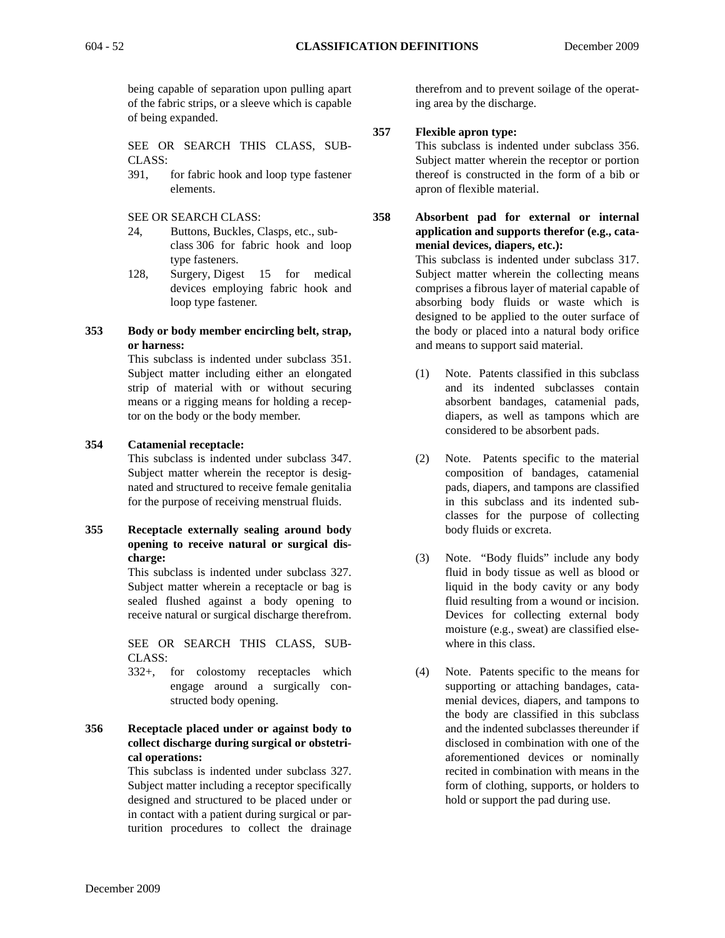being capable of separation upon pulling apart of the fabric strips, or a sleeve which is capable of being expanded.

SEE OR SEARCH THIS CLASS, SUB-CLASS:

- 391, for fabric hook and loop type fastener elements.
- SEE OR SEARCH CLASS:
- 24, Buttons, Buckles, Clasps, etc., subclass 306 for fabric hook and loop type fasteners.
- 128, Surgery, Digest 15 for medical devices employing fabric hook and loop type fastener.
- **353 Body or body member encircling belt, strap, or harness:**

This subclass is indented under subclass 351. Subject matter including either an elongated strip of material with or without securing means or a rigging means for holding a receptor on the body or the body member.

#### **354 Catamenial receptacle:**

This subclass is indented under subclass 347. Subject matter wherein the receptor is designated and structured to receive female genitalia for the purpose of receiving menstrual fluids.

**355 Receptacle externally sealing around body opening to receive natural or surgical discharge:**

> This subclass is indented under subclass 327. Subject matter wherein a receptacle or bag is sealed flushed against a body opening to receive natural or surgical discharge therefrom.

> SEE OR SEARCH THIS CLASS, SUB-CLASS:

> 332+, for colostomy receptacles which engage around a surgically constructed body opening.

**356 Receptacle placed under or against body to collect discharge during surgical or obstetrical operations:**

> This subclass is indented under subclass 327. Subject matter including a receptor specifically designed and structured to be placed under or in contact with a patient during surgical or parturition procedures to collect the drainage

therefrom and to prevent soilage of the operating area by the discharge.

#### **357 Flexible apron type:**

This subclass is indented under subclass 356. Subject matter wherein the receptor or portion thereof is constructed in the form of a bib or apron of flexible material.

**358 Absorbent pad for external or internal application and supports therefor (e.g., catamenial devices, diapers, etc.):**

This subclass is indented under subclass 317. Subject matter wherein the collecting means comprises a fibrous layer of material capable of absorbing body fluids or waste which is designed to be applied to the outer surface of the body or placed into a natural body orifice and means to support said material.

- (1) Note. Patents classified in this subclass and its indented subclasses contain absorbent bandages, catamenial pads, diapers, as well as tampons which are considered to be absorbent pads.
- (2) Note. Patents specific to the material composition of bandages, catamenial pads, diapers, and tampons are classified in this subclass and its indented subclasses for the purpose of collecting body fluids or excreta.
- (3) Note. "Body fluids" include any body fluid in body tissue as well as blood or liquid in the body cavity or any body fluid resulting from a wound or incision. Devices for collecting external body moisture (e.g., sweat) are classified elsewhere in this class.
- (4) Note. Patents specific to the means for supporting or attaching bandages, catamenial devices, diapers, and tampons to the body are classified in this subclass and the indented subclasses thereunder if disclosed in combination with one of the aforementioned devices or nominally recited in combination with means in the form of clothing, supports, or holders to hold or support the pad during use.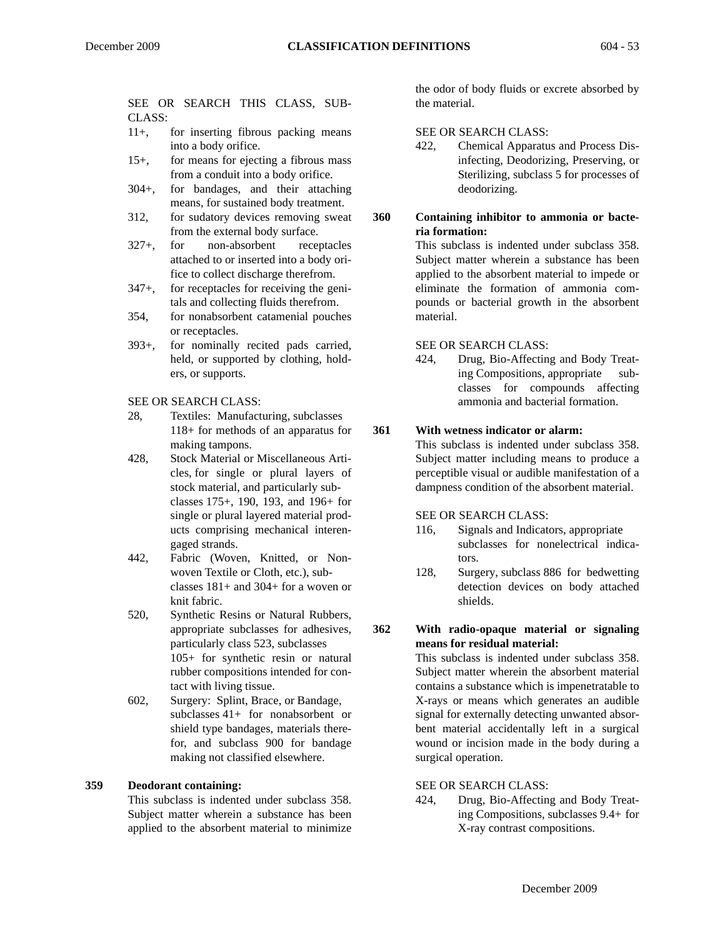# SEE OR SEARCH THIS CLASS, SUB-

- CLASS: 11+, for inserting fibrous packing means into a body orifice.
- 15+, for means for ejecting a fibrous mass from a conduit into a body orifice.
- 304+, for bandages, and their attaching means, for sustained body treatment.
- 312, for sudatory devices removing sweat from the external body surface.
- 327+, for non-absorbent receptacles attached to or inserted into a body orifice to collect discharge therefrom.
- 347+, for receptacles for receiving the genitals and collecting fluids therefrom.
- 354, for nonabsorbent catamenial pouches or receptacles.
- 393+, for nominally recited pads carried, held, or supported by clothing, holders, or supports.
- SEE OR SEARCH CLASS:
- 28, Textiles: Manufacturing, subclasses 118+ for methods of an apparatus for making tampons.
- 428, Stock Material or Miscellaneous Articles, for single or plural layers of stock material, and particularly subclasses 175+, 190, 193, and 196+ for single or plural layered material products comprising mechanical interengaged strands.
- 442, Fabric (Woven, Knitted, or Nonwoven Textile or Cloth, etc.), subclasses 181+ and 304+ for a woven or knit fabric.
- 520, Synthetic Resins or Natural Rubbers, appropriate subclasses for adhesives, particularly class 523, subclasses 105+ for synthetic resin or natural rubber compositions intended for contact with living tissue.
- 602, Surgery: Splint, Brace, or Bandage, subclasses 41+ for nonabsorbent or shield type bandages, materials therefor, and subclass 900 for bandage making not classified elsewhere.

# **359 Deodorant containing:**

This subclass is indented under subclass 358. Subject matter wherein a substance has been applied to the absorbent material to minimize

the odor of body fluids or excrete absorbed by the material.

#### SEE OR SEARCH CLASS:

- 422, Chemical Apparatus and Process Disinfecting, Deodorizing, Preserving, or Sterilizing, subclass 5 for processes of deodorizing.
- **360 Containing inhibitor to ammonia or bacteria formation:** This subclass is indented under subclass 358.

Subject matter wherein a substance has been applied to the absorbent material to impede or eliminate the formation of ammonia compounds or bacterial growth in the absorbent material.

#### SEE OR SEARCH CLASS:

424, Drug, Bio-Affecting and Body Treating Compositions, appropriate subclasses for compounds affecting ammonia and bacterial formation.

#### **361 With wetness indicator or alarm:**

This subclass is indented under subclass 358. Subject matter including means to produce a perceptible visual or audible manifestation of a dampness condition of the absorbent material.

SEE OR SEARCH CLASS:

- 116, Signals and Indicators, appropriate subclasses for nonelectrical indicators.
- 128, Surgery, subclass 886 for bedwetting detection devices on body attached shields.

**362 With radio-opaque material or signaling means for residual material:**

> This subclass is indented under subclass 358. Subject matter wherein the absorbent material contains a substance which is impenetratable to X-rays or means which generates an audible signal for externally detecting unwanted absorbent material accidentally left in a surgical wound or incision made in the body during a surgical operation.

SEE OR SEARCH CLASS:

424, Drug, Bio-Affecting and Body Treating Compositions, subclasses 9.4+ for X-ray contrast compositions.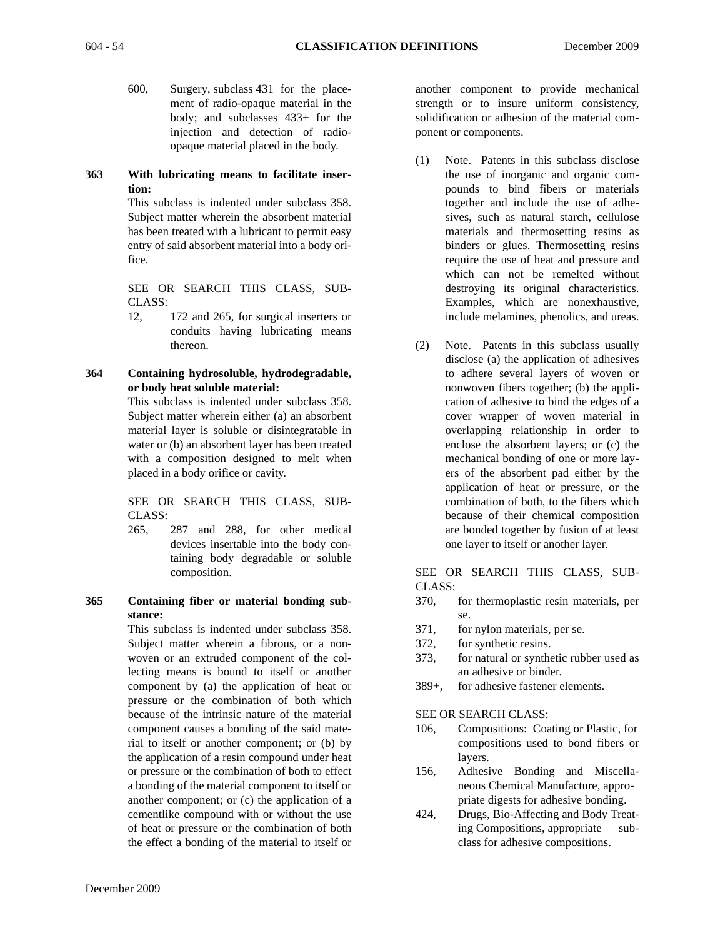- - 600, Surgery, subclass 431 for the placement of radio-opaque material in the body; and subclasses 433+ for the injection and detection of radioopaque material placed in the body.

# **363 With lubricating means to facilitate insertion:**

This subclass is indented under subclass 358. Subject matter wherein the absorbent material has been treated with a lubricant to permit easy entry of said absorbent material into a body orifice.

SEE OR SEARCH THIS CLASS, SUB-CLASS:

12, 172 and 265, for surgical inserters or conduits having lubricating means thereon.

# **364 Containing hydrosoluble, hydrodegradable, or body heat soluble material:**

This subclass is indented under subclass 358. Subject matter wherein either (a) an absorbent material layer is soluble or disintegratable in water or (b) an absorbent layer has been treated with a composition designed to melt when placed in a body orifice or cavity.

SEE OR SEARCH THIS CLASS, SUB-CLASS:

- 265, 287 and 288, for other medical devices insertable into the body containing body degradable or soluble composition.
- **365 Containing fiber or material bonding substance:**

This subclass is indented under subclass 358. Subject matter wherein a fibrous, or a nonwoven or an extruded component of the collecting means is bound to itself or another component by (a) the application of heat or pressure or the combination of both which because of the intrinsic nature of the material component causes a bonding of the said material to itself or another component; or (b) by the application of a resin compound under heat or pressure or the combination of both to effect a bonding of the material component to itself or another component; or (c) the application of a cementlike compound with or without the use of heat or pressure or the combination of both the effect a bonding of the material to itself or another component to provide mechanical strength or to insure uniform consistency, solidification or adhesion of the material component or components.

- (1) Note. Patents in this subclass disclose the use of inorganic and organic compounds to bind fibers or materials together and include the use of adhesives, such as natural starch, cellulose materials and thermosetting resins as binders or glues. Thermosetting resins require the use of heat and pressure and which can not be remelted without destroying its original characteristics. Examples, which are nonexhaustive, include melamines, phenolics, and ureas.
- (2) Note. Patents in this subclass usually disclose (a) the application of adhesives to adhere several layers of woven or nonwoven fibers together; (b) the application of adhesive to bind the edges of a cover wrapper of woven material in overlapping relationship in order to enclose the absorbent layers; or (c) the mechanical bonding of one or more layers of the absorbent pad either by the application of heat or pressure, or the combination of both, to the fibers which because of their chemical composition are bonded together by fusion of at least one layer to itself or another layer.

#### SEE OR SEARCH THIS CLASS, SUB-CLASS:

- 370, for thermoplastic resin materials, per se.
- 371, for nylon materials, per se.
- 372, for synthetic resins.
- 373, for natural or synthetic rubber used as an adhesive or binder.
- 389+, for adhesive fastener elements.

SEE OR SEARCH CLASS:

- 106, Compositions: Coating or Plastic, for compositions used to bond fibers or layers.
- 156, Adhesive Bonding and Miscellaneous Chemical Manufacture, appropriate digests for adhesive bonding.
- 424, Drugs, Bio-Affecting and Body Treating Compositions, appropriate subclass for adhesive compositions.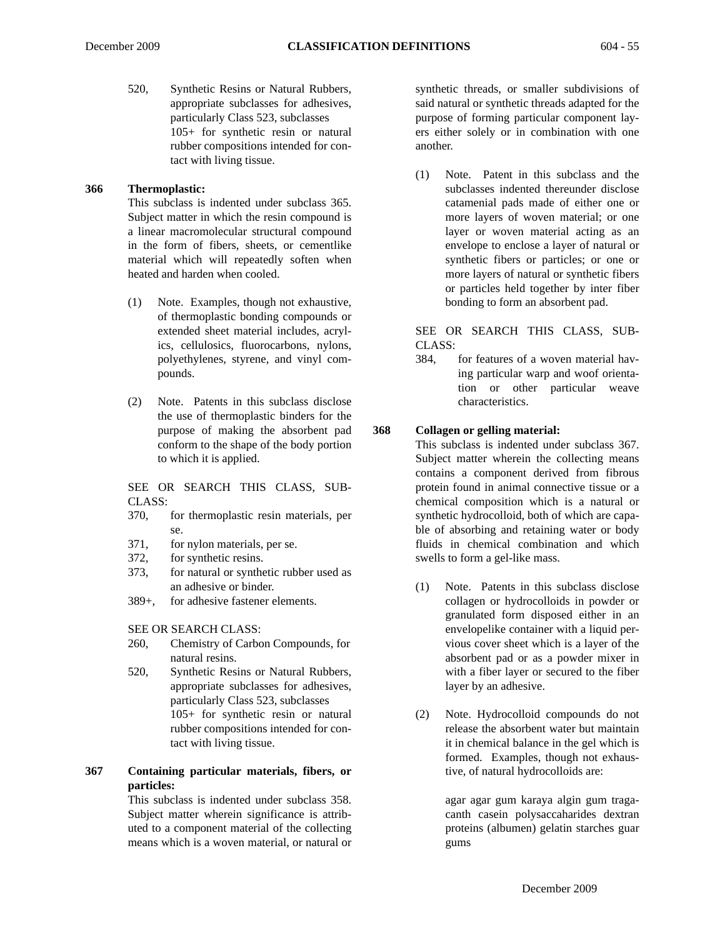520, Synthetic Resins or Natural Rubbers, appropriate subclasses for adhesives, particularly Class 523, subclasses 105+ for synthetic resin or natural rubber compositions intended for contact with living tissue.

#### **366 Thermoplastic:**

This subclass is indented under subclass 365. Subject matter in which the resin compound is a linear macromolecular structural compound in the form of fibers, sheets, or cementlike material which will repeatedly soften when heated and harden when cooled.

- (1) Note. Examples, though not exhaustive, of thermoplastic bonding compounds or extended sheet material includes, acrylics, cellulosics, fluorocarbons, nylons, polyethylenes, styrene, and vinyl compounds.
- (2) Note. Patents in this subclass disclose the use of thermoplastic binders for the purpose of making the absorbent pad conform to the shape of the body portion to which it is applied.

SEE OR SEARCH THIS CLASS, SUB-CLASS:

- 370, for thermoplastic resin materials, per se.
- 371, for nylon materials, per se.
- 372, for synthetic resins.
- 373, for natural or synthetic rubber used as an adhesive or binder.
- 389+, for adhesive fastener elements.

SEE OR SEARCH CLASS:

- 260, Chemistry of Carbon Compounds, for natural resins.
- 520, Synthetic Resins or Natural Rubbers, appropriate subclasses for adhesives, particularly Class 523, subclasses 105+ for synthetic resin or natural rubber compositions intended for contact with living tissue.

# **367 Containing particular materials, fibers, or particles:**

This subclass is indented under subclass 358. Subject matter wherein significance is attributed to a component material of the collecting means which is a woven material, or natural or synthetic threads, or smaller subdivisions of said natural or synthetic threads adapted for the purpose of forming particular component layers either solely or in combination with one another.

(1) Note. Patent in this subclass and the subclasses indented thereunder disclose catamenial pads made of either one or more layers of woven material; or one layer or woven material acting as an envelope to enclose a layer of natural or synthetic fibers or particles; or one or more layers of natural or synthetic fibers or particles held together by inter fiber bonding to form an absorbent pad.

SEE OR SEARCH THIS CLASS, SUB-CLASS:

384, for features of a woven material having particular warp and woof orientation or other particular weave characteristics.

# **368 Collagen or gelling material:**

This subclass is indented under subclass 367. Subject matter wherein the collecting means contains a component derived from fibrous protein found in animal connective tissue or a chemical composition which is a natural or synthetic hydrocolloid, both of which are capable of absorbing and retaining water or body fluids in chemical combination and which swells to form a gel-like mass.

- (1) Note. Patents in this subclass disclose collagen or hydrocolloids in powder or granulated form disposed either in an envelopelike container with a liquid pervious cover sheet which is a layer of the absorbent pad or as a powder mixer in with a fiber layer or secured to the fiber layer by an adhesive.
- (2) Note. Hydrocolloid compounds do not release the absorbent water but maintain it in chemical balance in the gel which is formed. Examples, though not exhaustive, of natural hydrocolloids are:

agar agar gum karaya algin gum tragacanth casein polysaccaharides dextran proteins (albumen) gelatin starches guar gums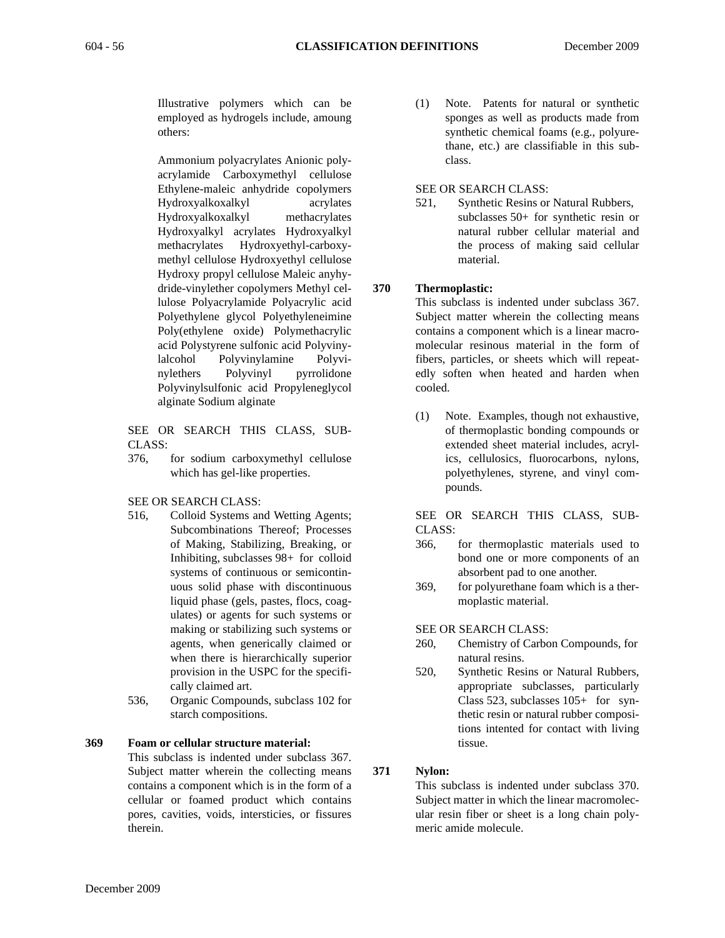Illustrative polymers which can be employed as hydrogels include, amoung others:

Ammonium polyacrylates Anionic polyacrylamide Carboxymethyl cellulose Ethylene-maleic anhydride copolymers Hydroxyalkoxalkyl acrylates Hydroxyalkoxalkyl methacrylates Hydroxyalkyl acrylates Hydroxyalkyl methacrylates Hydroxyethyl-carboxymethyl cellulose Hydroxyethyl cellulose Hydroxy propyl cellulose Maleic anyhydride-vinylether copolymers Methyl cellulose Polyacrylamide Polyacrylic acid Polyethylene glycol Polyethyleneimine Poly(ethylene oxide) Polymethacrylic acid Polystyrene sulfonic acid Polyvinylalcohol Polyvinylamine Polyvinylethers Polyvinyl pyrrolidone Polyvinylsulfonic acid Propyleneglycol alginate Sodium alginate

SEE OR SEARCH THIS CLASS, SUB-CLASS:

376, for sodium carboxymethyl cellulose which has gel-like properties.

#### SEE OR SEARCH CLASS:

- 516, Colloid Systems and Wetting Agents; Subcombinations Thereof; Processes of Making, Stabilizing, Breaking, or Inhibiting, subclasses 98+ for colloid systems of continuous or semicontinuous solid phase with discontinuous liquid phase (gels, pastes, flocs, coagulates) or agents for such systems or making or stabilizing such systems or agents, when generically claimed or when there is hierarchically superior provision in the USPC for the specifically claimed art.
- 536, Organic Compounds, subclass 102 for starch compositions.

# **369 Foam or cellular structure material:**

This subclass is indented under subclass 367. Subject matter wherein the collecting means contains a component which is in the form of a cellular or foamed product which contains pores, cavities, voids, intersticies, or fissures therein.

(1) Note. Patents for natural or synthetic sponges as well as products made from synthetic chemical foams (e.g., polyurethane, etc.) are classifiable in this subclass.

#### SEE OR SEARCH CLASS:

521, Synthetic Resins or Natural Rubbers, subclasses 50+ for synthetic resin or natural rubber cellular material and the process of making said cellular material.

# **370 Thermoplastic:**

This subclass is indented under subclass 367. Subject matter wherein the collecting means contains a component which is a linear macromolecular resinous material in the form of fibers, particles, or sheets which will repeatedly soften when heated and harden when cooled.

(1) Note. Examples, though not exhaustive, of thermoplastic bonding compounds or extended sheet material includes, acrylics, cellulosics, fluorocarbons, nylons, polyethylenes, styrene, and vinyl compounds.

SEE OR SEARCH THIS CLASS, SUB-CLASS:

- 366, for thermoplastic materials used to bond one or more components of an absorbent pad to one another.
- 369, for polyurethane foam which is a thermoplastic material.

#### SEE OR SEARCH CLASS:

- 260, Chemistry of Carbon Compounds, for natural resins.
- 520, Synthetic Resins or Natural Rubbers, appropriate subclasses, particularly Class 523, subclasses 105+ for synthetic resin or natural rubber compositions intented for contact with living tissue.

# **371 Nylon:**

This subclass is indented under subclass 370. Subject matter in which the linear macromolecular resin fiber or sheet is a long chain polymeric amide molecule.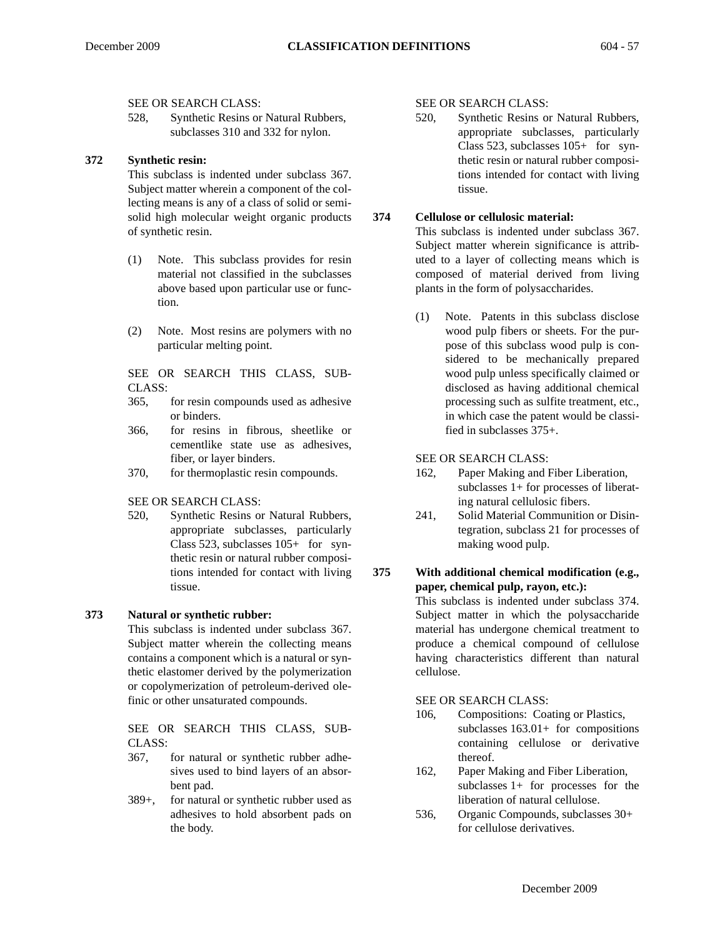SEE OR SEARCH CLASS:

528, Synthetic Resins or Natural Rubbers, subclasses 310 and 332 for nylon.

#### **372 Synthetic resin:**

This subclass is indented under subclass 367. Subject matter wherein a component of the collecting means is any of a class of solid or semisolid high molecular weight organic products of synthetic resin.

- (1) Note. This subclass provides for resin material not classified in the subclasses above based upon particular use or function.
- (2) Note. Most resins are polymers with no particular melting point.

SEE OR SEARCH THIS CLASS, SUB-CLASS:

- 365, for resin compounds used as adhesive or binders.
- 366, for resins in fibrous, sheetlike or cementlike state use as adhesives, fiber, or layer binders.
- 370, for thermoplastic resin compounds.

SEE OR SEARCH CLASS:

520, Synthetic Resins or Natural Rubbers, appropriate subclasses, particularly Class 523, subclasses 105+ for synthetic resin or natural rubber compositions intended for contact with living tissue.

#### **373 Natural or synthetic rubber:**

This subclass is indented under subclass 367. Subject matter wherein the collecting means contains a component which is a natural or synthetic elastomer derived by the polymerization or copolymerization of petroleum-derived olefinic or other unsaturated compounds.

SEE OR SEARCH THIS CLASS, SUB-CLASS:

- 367, for natural or synthetic rubber adhesives used to bind layers of an absorbent pad.
- 389+, for natural or synthetic rubber used as adhesives to hold absorbent pads on the body.

SEE OR SEARCH CLASS:

520, Synthetic Resins or Natural Rubbers, appropriate subclasses, particularly Class 523, subclasses 105+ for synthetic resin or natural rubber compositions intended for contact with living tissue.

#### **374 Cellulose or cellulosic material:**

This subclass is indented under subclass 367. Subject matter wherein significance is attributed to a layer of collecting means which is composed of material derived from living plants in the form of polysaccharides.

(1) Note. Patents in this subclass disclose wood pulp fibers or sheets. For the purpose of this subclass wood pulp is considered to be mechanically prepared wood pulp unless specifically claimed or disclosed as having additional chemical processing such as sulfite treatment, etc., in which case the patent would be classified in subclasses 375+.

SEE OR SEARCH CLASS:

- 162, Paper Making and Fiber Liberation, subclasses 1+ for processes of liberating natural cellulosic fibers.
- 241, Solid Material Communition or Disintegration, subclass 21 for processes of making wood pulp.

# **375 With additional chemical modification (e.g., paper, chemical pulp, rayon, etc.):**

This subclass is indented under subclass 374. Subject matter in which the polysaccharide material has undergone chemical treatment to produce a chemical compound of cellulose having characteristics different than natural cellulose.

SEE OR SEARCH CLASS:

- 106, Compositions: Coating or Plastics, subclasses 163.01+ for compositions containing cellulose or derivative thereof.
- 162, Paper Making and Fiber Liberation, subclasses 1+ for processes for the liberation of natural cellulose.
- 536, Organic Compounds, subclasses 30+ for cellulose derivatives.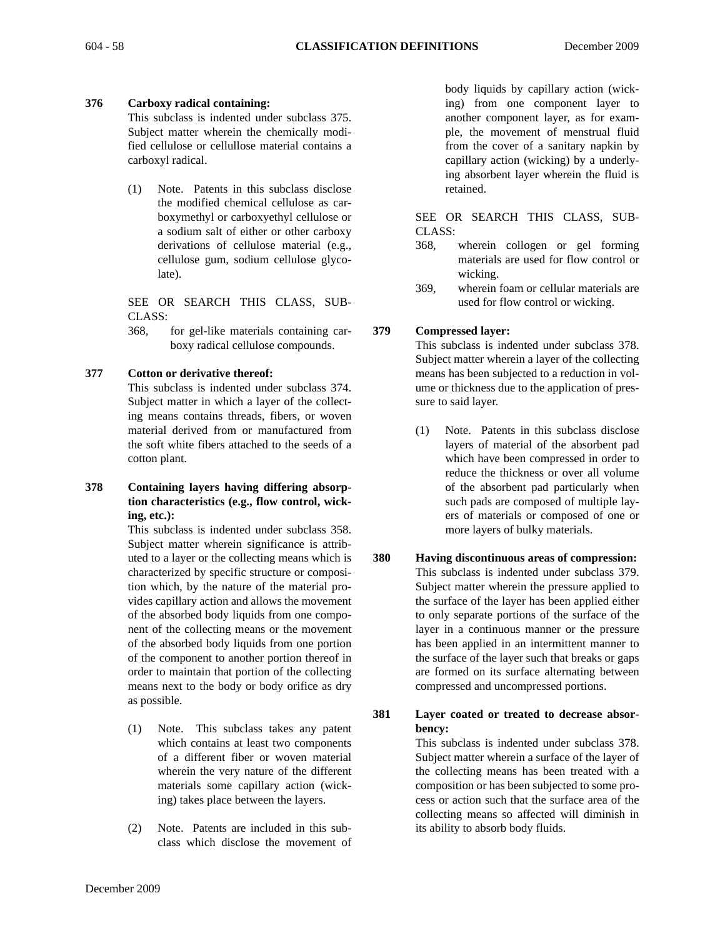# **376 Carboxy radical containing:**

This subclass is indented under subclass 375. Subject matter wherein the chemically modified cellulose or cellullose material contains a carboxyl radical.

(1) Note. Patents in this subclass disclose the modified chemical cellulose as carboxymethyl or carboxyethyl cellulose or a sodium salt of either or other carboxy derivations of cellulose material (e.g., cellulose gum, sodium cellulose glycolate).

SEE OR SEARCH THIS CLASS, SUB-CLASS:

368, for gel-like materials containing carboxy radical cellulose compounds.

# **377 Cotton or derivative thereof:**

This subclass is indented under subclass 374. Subject matter in which a layer of the collecting means contains threads, fibers, or woven material derived from or manufactured from the soft white fibers attached to the seeds of a cotton plant.

**378 Containing layers having differing absorption characteristics (e.g., flow control, wicking, etc.):**

This subclass is indented under subclass 358. Subject matter wherein significance is attributed to a layer or the collecting means which is characterized by specific structure or composition which, by the nature of the material provides capillary action and allows the movement of the absorbed body liquids from one component of the collecting means or the movement of the absorbed body liquids from one portion of the component to another portion thereof in order to maintain that portion of the collecting means next to the body or body orifice as dry as possible.

- (1) Note. This subclass takes any patent which contains at least two components of a different fiber or woven material wherein the very nature of the different materials some capillary action (wicking) takes place between the layers.
- (2) Note. Patents are included in this subclass which disclose the movement of

body liquids by capillary action (wicking) from one component layer to another component layer, as for example, the movement of menstrual fluid from the cover of a sanitary napkin by capillary action (wicking) by a underlying absorbent layer wherein the fluid is retained.

SEE OR SEARCH THIS CLASS, SUB-CLASS:

- 368, wherein collogen or gel forming materials are used for flow control or wicking.
- 369, wherein foam or cellular materials are used for flow control or wicking.

# **379 Compressed layer:**

This subclass is indented under subclass 378. Subject matter wherein a layer of the collecting means has been subjected to a reduction in volume or thickness due to the application of pressure to said layer.

- (1) Note. Patents in this subclass disclose layers of material of the absorbent pad which have been compressed in order to reduce the thickness or over all volume of the absorbent pad particularly when such pads are composed of multiple layers of materials or composed of one or more layers of bulky materials.
- **380 Having discontinuous areas of compression:** This subclass is indented under subclass 379. Subject matter wherein the pressure applied to the surface of the layer has been applied either to only separate portions of the surface of the layer in a continuous manner or the pressure has been applied in an intermittent manner to the surface of the layer such that breaks or gaps are formed on its surface alternating between compressed and uncompressed portions.
- **381 Layer coated or treated to decrease absorbency:**

This subclass is indented under subclass 378. Subject matter wherein a surface of the layer of the collecting means has been treated with a composition or has been subjected to some process or action such that the surface area of the collecting means so affected will diminish in its ability to absorb body fluids.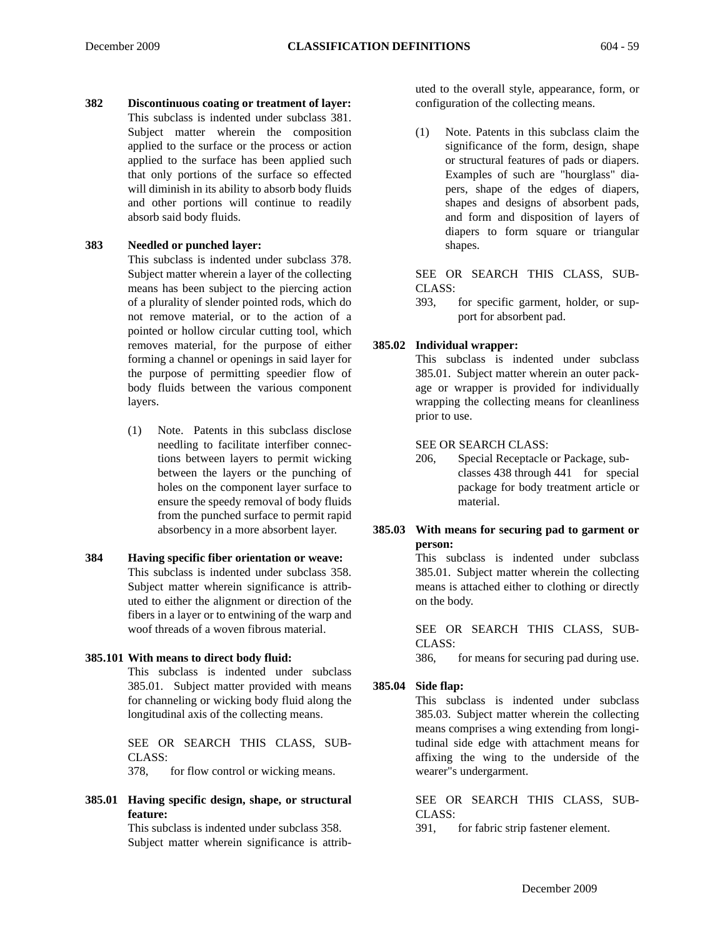**382 Discontinuous coating or treatment of layer:** This subclass is indented under subclass 381. Subject matter wherein the composition applied to the surface or the process or action applied to the surface has been applied such that only portions of the surface so effected will diminish in its ability to absorb body fluids and other portions will continue to readily absorb said body fluids.

#### **383 Needled or punched layer:**

This subclass is indented under subclass 378. Subject matter wherein a layer of the collecting means has been subject to the piercing action of a plurality of slender pointed rods, which do not remove material, or to the action of a pointed or hollow circular cutting tool, which removes material, for the purpose of either forming a channel or openings in said layer for the purpose of permitting speedier flow of body fluids between the various component layers.

- (1) Note. Patents in this subclass disclose needling to facilitate interfiber connections between layers to permit wicking between the layers or the punching of holes on the component layer surface to ensure the speedy removal of body fluids from the punched surface to permit rapid absorbency in a more absorbent layer.
- **384 Having specific fiber orientation or weave:** This subclass is indented under subclass 358. Subject matter wherein significance is attributed to either the alignment or direction of the fibers in a layer or to entwining of the warp and woof threads of a woven fibrous material.

#### **385.101 With means to direct body fluid:**

This subclass is indented under subclass 385.01. Subject matter provided with means for channeling or wicking body fluid along the longitudinal axis of the collecting means.

SEE OR SEARCH THIS CLASS, SUB-CLASS:

378, for flow control or wicking means.

# **385.01 Having specific design, shape, or structural feature:**

This subclass is indented under subclass 358. Subject matter wherein significance is attributed to the overall style, appearance, form, or configuration of the collecting means.

(1) Note. Patents in this subclass claim the significance of the form, design, shape or structural features of pads or diapers. Examples of such are "hourglass" diapers, shape of the edges of diapers, shapes and designs of absorbent pads, and form and disposition of layers of diapers to form square or triangular shapes.

SEE OR SEARCH THIS CLASS, SUB-CLASS:

393, for specific garment, holder, or support for absorbent pad.

#### **385.02 Individual wrapper:**

This subclass is indented under subclass 385.01. Subject matter wherein an outer package or wrapper is provided for individually wrapping the collecting means for cleanliness prior to use.

#### SEE OR SEARCH CLASS:

206, Special Receptacle or Package, subclasses 438 through 441 for special package for body treatment article or material.

#### **385.03 With means for securing pad to garment or person:**

This subclass is indented under subclass 385.01. Subject matter wherein the collecting means is attached either to clothing or directly on the body.

SEE OR SEARCH THIS CLASS, SUB-CLASS:

386, for means for securing pad during use.

#### **385.04 Side flap:**

This subclass is indented under subclass 385.03. Subject matter wherein the collecting means comprises a wing extending from longitudinal side edge with attachment means for affixing the wing to the underside of the wearer"s undergarment.

SEE OR SEARCH THIS CLASS, SUB-CLASS:

391, for fabric strip fastener element.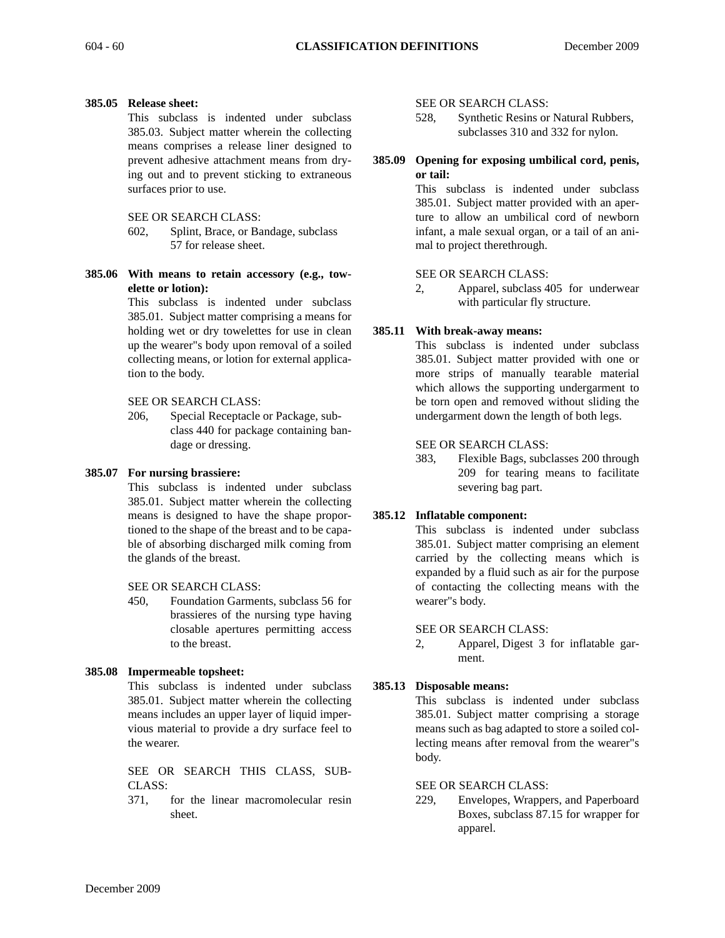#### **385.05 Release sheet:**

This subclass is indented under subclass 385.03. Subject matter wherein the collecting means comprises a release liner designed to prevent adhesive attachment means from drying out and to prevent sticking to extraneous surfaces prior to use.

#### SEE OR SEARCH CLASS:

- 602, Splint, Brace, or Bandage, subclass 57 for release sheet.
- **385.06 With means to retain accessory (e.g., towelette or lotion):**

This subclass is indented under subclass 385.01. Subject matter comprising a means for holding wet or dry towelettes for use in clean up the wearer"s body upon removal of a soiled collecting means, or lotion for external application to the body.

#### SEE OR SEARCH CLASS:

206, Special Receptacle or Package, subclass 440 for package containing bandage or dressing.

#### **385.07 For nursing brassiere:**

This subclass is indented under subclass 385.01. Subject matter wherein the collecting means is designed to have the shape proportioned to the shape of the breast and to be capable of absorbing discharged milk coming from the glands of the breast.

#### SEE OR SEARCH CLASS:

450, Foundation Garments, subclass 56 for brassieres of the nursing type having closable apertures permitting access to the breast.

#### **385.08 Impermeable topsheet:**

This subclass is indented under subclass 385.01. Subject matter wherein the collecting means includes an upper layer of liquid impervious material to provide a dry surface feel to the wearer.

SEE OR SEARCH THIS CLASS, SUB-CLASS:

371, for the linear macromolecular resin sheet.

#### SEE OR SEARCH CLASS:

- 528, Synthetic Resins or Natural Rubbers, subclasses 310 and 332 for nylon.
- **385.09 Opening for exposing umbilical cord, penis, or tail:**

This subclass is indented under subclass 385.01. Subject matter provided with an aperture to allow an umbilical cord of newborn infant, a male sexual organ, or a tail of an animal to project therethrough.

#### SEE OR SEARCH CLASS:

2, Apparel, subclass 405 for underwear with particular fly structure.

#### **385.11 With break-away means:**

This subclass is indented under subclass 385.01. Subject matter provided with one or more strips of manually tearable material which allows the supporting undergarment to be torn open and removed without sliding the undergarment down the length of both legs.

#### SEE OR SEARCH CLASS:

383, Flexible Bags, subclasses 200 through 209 for tearing means to facilitate severing bag part.

#### **385.12 Inflatable component:**

This subclass is indented under subclass 385.01. Subject matter comprising an element carried by the collecting means which is expanded by a fluid such as air for the purpose of contacting the collecting means with the wearer"s body.

#### SEE OR SEARCH CLASS:

2, Apparel, Digest 3 for inflatable garment.

#### **385.13 Disposable means:**

This subclass is indented under subclass 385.01. Subject matter comprising a storage means such as bag adapted to store a soiled collecting means after removal from the wearer"s body.

#### SEE OR SEARCH CLASS:

229, Envelopes, Wrappers, and Paperboard Boxes, subclass 87.15 for wrapper for apparel.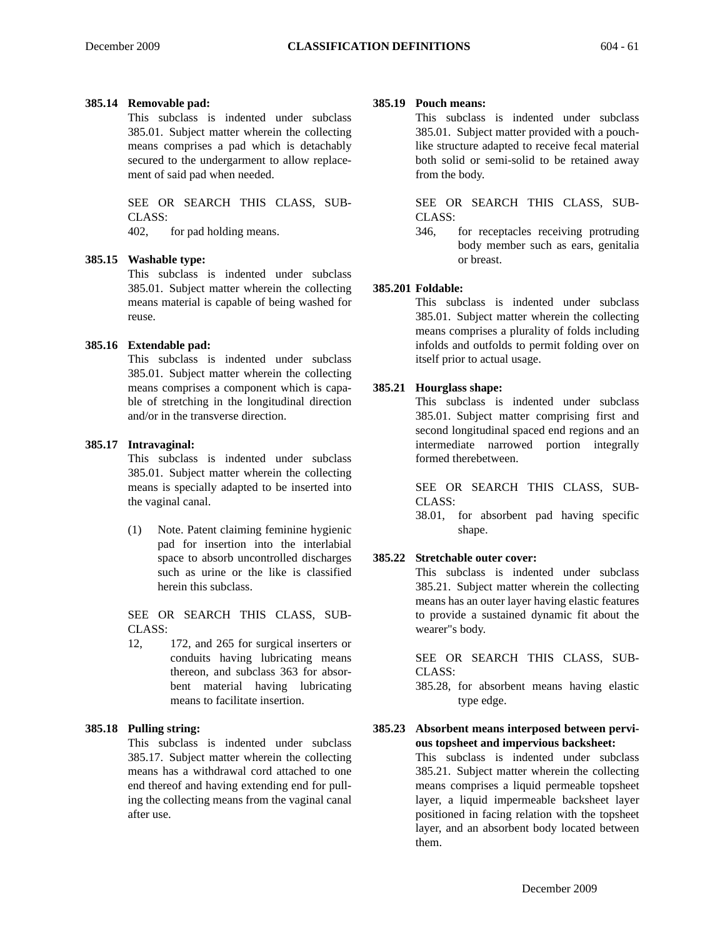#### **385.14 Removable pad:**

This subclass is indented under subclass 385.01. Subject matter wherein the collecting means comprises a pad which is detachably secured to the undergarment to allow replacement of said pad when needed.

SEE OR SEARCH THIS CLASS, SUB-CLASS: 402, for pad holding means.

#### **385.15 Washable type:**

This subclass is indented under subclass 385.01. Subject matter wherein the collecting means material is capable of being washed for reuse.

#### **385.16 Extendable pad:**

This subclass is indented under subclass 385.01. Subject matter wherein the collecting means comprises a component which is capable of stretching in the longitudinal direction and/or in the transverse direction.

#### **385.17 Intravaginal:**

This subclass is indented under subclass 385.01. Subject matter wherein the collecting means is specially adapted to be inserted into the vaginal canal.

(1) Note. Patent claiming feminine hygienic pad for insertion into the interlabial space to absorb uncontrolled discharges such as urine or the like is classified herein this subclass.

SEE OR SEARCH THIS CLASS, SUB-CLASS:

12, 172, and 265 for surgical inserters or conduits having lubricating means thereon, and subclass 363 for absorbent material having lubricating means to facilitate insertion.

#### **385.18 Pulling string:**

This subclass is indented under subclass 385.17. Subject matter wherein the collecting means has a withdrawal cord attached to one end thereof and having extending end for pulling the collecting means from the vaginal canal after use.

#### **385.19 Pouch means:**

This subclass is indented under subclass 385.01. Subject matter provided with a pouchlike structure adapted to receive fecal material both solid or semi-solid to be retained away from the body.

SEE OR SEARCH THIS CLASS, SUB-CLASS:

346, for receptacles receiving protruding body member such as ears, genitalia or breast.

#### **385.201 Foldable:**

This subclass is indented under subclass 385.01. Subject matter wherein the collecting means comprises a plurality of folds including infolds and outfolds to permit folding over on itself prior to actual usage.

#### **385.21 Hourglass shape:**

This subclass is indented under subclass 385.01. Subject matter comprising first and second longitudinal spaced end regions and an intermediate narrowed portion integrally formed therebetween.

SEE OR SEARCH THIS CLASS, SUB-CLASS:

38.01, for absorbent pad having specific shape.

#### **385.22 Stretchable outer cover:**

This subclass is indented under subclass 385.21. Subject matter wherein the collecting means has an outer layer having elastic features to provide a sustained dynamic fit about the wearer"s body.

SEE OR SEARCH THIS CLASS, SUB-CLASS:

385.28, for absorbent means having elastic type edge.

#### **385.23 Absorbent means interposed between pervious topsheet and impervious backsheet:**

This subclass is indented under subclass 385.21. Subject matter wherein the collecting means comprises a liquid permeable topsheet layer, a liquid impermeable backsheet layer positioned in facing relation with the topsheet layer, and an absorbent body located between them.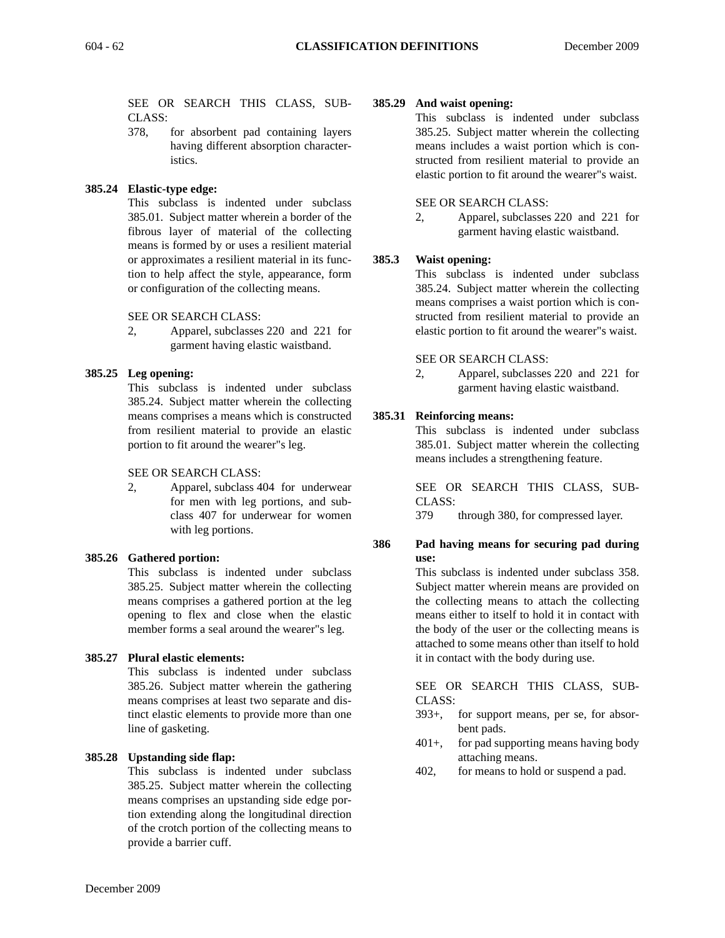SEE OR SEARCH THIS CLASS, SUB-CLASS:

378, for absorbent pad containing layers having different absorption characteristics.

# **385.24 Elastic-type edge:**

This subclass is indented under subclass 385.01. Subject matter wherein a border of the fibrous layer of material of the collecting means is formed by or uses a resilient material or approximates a resilient material in its function to help affect the style, appearance, form or configuration of the collecting means.

SEE OR SEARCH CLASS:

2, Apparel, subclasses 220 and 221 for garment having elastic waistband.

# **385.25 Leg opening:**

This subclass is indented under subclass 385.24. Subject matter wherein the collecting means comprises a means which is constructed from resilient material to provide an elastic portion to fit around the wearer"s leg.

#### SEE OR SEARCH CLASS:

2, Apparel, subclass 404 for underwear for men with leg portions, and subclass 407 for underwear for women with leg portions.

#### **385.26 Gathered portion:**

This subclass is indented under subclass 385.25. Subject matter wherein the collecting means comprises a gathered portion at the leg opening to flex and close when the elastic member forms a seal around the wearer"s leg.

#### **385.27 Plural elastic elements:**

This subclass is indented under subclass 385.26. Subject matter wherein the gathering means comprises at least two separate and distinct elastic elements to provide more than one line of gasketing.

#### **385.28 Upstanding side flap:**

This subclass is indented under subclass 385.25. Subject matter wherein the collecting means comprises an upstanding side edge portion extending along the longitudinal direction of the crotch portion of the collecting means to provide a barrier cuff.

#### **385.29 And waist opening:**

This subclass is indented under subclass 385.25. Subject matter wherein the collecting means includes a waist portion which is constructed from resilient material to provide an elastic portion to fit around the wearer"s waist.

#### SEE OR SEARCH CLASS:

2, Apparel, subclasses 220 and 221 for garment having elastic waistband.

# **385.3 Waist opening:**

This subclass is indented under subclass 385.24. Subject matter wherein the collecting means comprises a waist portion which is constructed from resilient material to provide an elastic portion to fit around the wearer"s waist.

#### SEE OR SEARCH CLASS:

2, Apparel, subclasses 220 and 221 for garment having elastic waistband.

# **385.31 Reinforcing means:**

This subclass is indented under subclass 385.01. Subject matter wherein the collecting means includes a strengthening feature.

SEE OR SEARCH THIS CLASS, SUB-CLASS:

379 through 380, for compressed layer.

#### **386 Pad having means for securing pad during use:**

This subclass is indented under subclass 358. Subject matter wherein means are provided on the collecting means to attach the collecting means either to itself to hold it in contact with the body of the user or the collecting means is attached to some means other than itself to hold it in contact with the body during use.

SEE OR SEARCH THIS CLASS, SUB-CLASS:

- 393+, for support means, per se, for absorbent pads.
- 401+, for pad supporting means having body attaching means.
- 402, for means to hold or suspend a pad.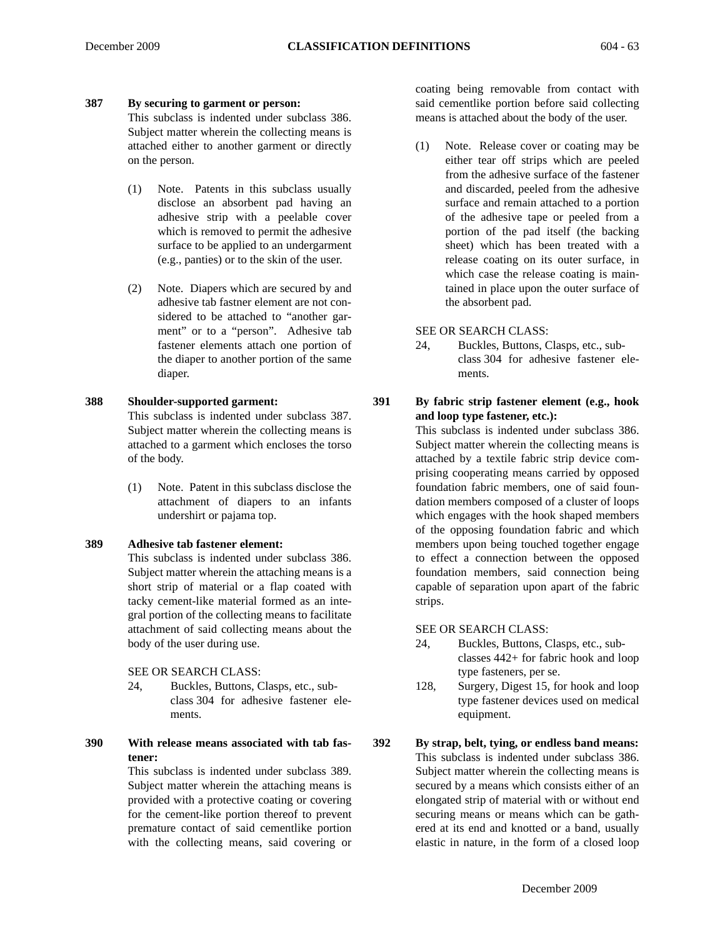#### **387 By securing to garment or person:**

This subclass is indented under subclass 386. Subject matter wherein the collecting means is attached either to another garment or directly on the person.

- (1) Note. Patents in this subclass usually disclose an absorbent pad having an adhesive strip with a peelable cover which is removed to permit the adhesive surface to be applied to an undergarment (e.g., panties) or to the skin of the user.
- (2) Note. Diapers which are secured by and adhesive tab fastner element are not considered to be attached to "another garment" or to a "person". Adhesive tab fastener elements attach one portion of the diaper to another portion of the same diaper.

#### **388 Shoulder-supported garment:**

This subclass is indented under subclass 387. Subject matter wherein the collecting means is attached to a garment which encloses the torso of the body.

(1) Note. Patent in this subclass disclose the attachment of diapers to an infants undershirt or pajama top.

#### **389 Adhesive tab fastener element:**

This subclass is indented under subclass 386. Subject matter wherein the attaching means is a short strip of material or a flap coated with tacky cement-like material formed as an integral portion of the collecting means to facilitate attachment of said collecting means about the body of the user during use.

SEE OR SEARCH CLASS:

- 24, Buckles, Buttons, Clasps, etc., subclass 304 for adhesive fastener elements.
- **390 With release means associated with tab fastener:**

This subclass is indented under subclass 389. Subject matter wherein the attaching means is provided with a protective coating or covering for the cement-like portion thereof to prevent premature contact of said cementlike portion with the collecting means, said covering or

coating being removable from contact with said cementlike portion before said collecting means is attached about the body of the user.

(1) Note. Release cover or coating may be either tear off strips which are peeled from the adhesive surface of the fastener and discarded, peeled from the adhesive surface and remain attached to a portion of the adhesive tape or peeled from a portion of the pad itself (the backing sheet) which has been treated with a release coating on its outer surface, in which case the release coating is maintained in place upon the outer surface of the absorbent pad.

SEE OR SEARCH CLASS:

24, Buckles, Buttons, Clasps, etc., subclass 304 for adhesive fastener elements.

**391 By fabric strip fastener element (e.g., hook and loop type fastener, etc.):**

> This subclass is indented under subclass 386. Subject matter wherein the collecting means is attached by a textile fabric strip device comprising cooperating means carried by opposed foundation fabric members, one of said foundation members composed of a cluster of loops which engages with the hook shaped members of the opposing foundation fabric and which members upon being touched together engage to effect a connection between the opposed foundation members, said connection being capable of separation upon apart of the fabric strips.

#### SEE OR SEARCH CLASS:

- 24, Buckles, Buttons, Clasps, etc., subclasses 442+ for fabric hook and loop type fasteners, per se.
- 128, Surgery, Digest 15, for hook and loop type fastener devices used on medical equipment.
- **392 By strap, belt, tying, or endless band means:** This subclass is indented under subclass 386. Subject matter wherein the collecting means is secured by a means which consists either of an elongated strip of material with or without end securing means or means which can be gathered at its end and knotted or a band, usually elastic in nature, in the form of a closed loop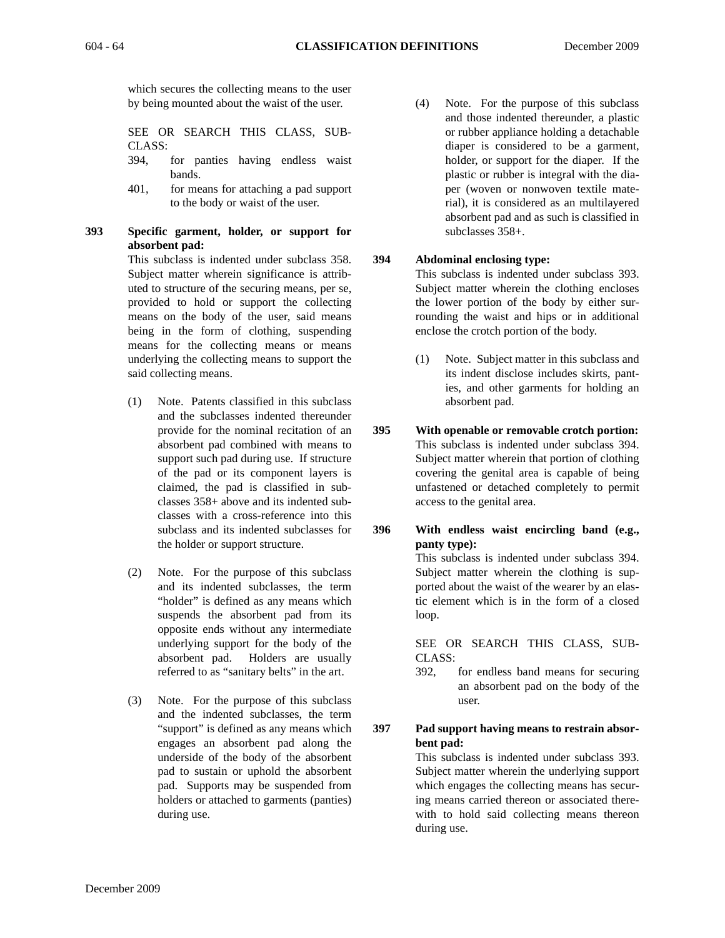which secures the collecting means to the user by being mounted about the waist of the user.

SEE OR SEARCH THIS CLASS, SUB-CLASS:

- 394, for panties having endless waist bands.
- 401, for means for attaching a pad support to the body or waist of the user.
- **393 Specific garment, holder, or support for absorbent pad:**

This subclass is indented under subclass 358. Subject matter wherein significance is attributed to structure of the securing means, per se, provided to hold or support the collecting means on the body of the user, said means being in the form of clothing, suspending means for the collecting means or means underlying the collecting means to support the said collecting means.

- (1) Note. Patents classified in this subclass and the subclasses indented thereunder provide for the nominal recitation of an absorbent pad combined with means to support such pad during use. If structure of the pad or its component layers is claimed, the pad is classified in subclasses 358+ above and its indented subclasses with a cross-reference into this subclass and its indented subclasses for the holder or support structure.
- (2) Note. For the purpose of this subclass and its indented subclasses, the term "holder" is defined as any means which suspends the absorbent pad from its opposite ends without any intermediate underlying support for the body of the absorbent pad. Holders are usually referred to as "sanitary belts" in the art.
- (3) Note. For the purpose of this subclass and the indented subclasses, the term "support" is defined as any means which engages an absorbent pad along the underside of the body of the absorbent pad to sustain or uphold the absorbent pad. Supports may be suspended from holders or attached to garments (panties) during use.

(4) Note. For the purpose of this subclass and those indented thereunder, a plastic or rubber appliance holding a detachable diaper is considered to be a garment, holder, or support for the diaper. If the plastic or rubber is integral with the diaper (woven or nonwoven textile material), it is considered as an multilayered absorbent pad and as such is classified in subclasses 358+.

#### **394 Abdominal enclosing type:**

This subclass is indented under subclass 393. Subject matter wherein the clothing encloses the lower portion of the body by either surrounding the waist and hips or in additional enclose the crotch portion of the body.

- (1) Note. Subject matter in this subclass and its indent disclose includes skirts, panties, and other garments for holding an absorbent pad.
- **395 With openable or removable crotch portion:** This subclass is indented under subclass 394. Subject matter wherein that portion of clothing covering the genital area is capable of being unfastened or detached completely to permit access to the genital area.
- **396 With endless waist encircling band (e.g., panty type):** This subclass is indented under subclass 394. Subject matter wherein the clothing is supported about the waist of the wearer by an elastic element which is in the form of a closed

loop.

SEE OR SEARCH THIS CLASS, SUB-CLASS:

392, for endless band means for securing an absorbent pad on the body of the user.

**397 Pad support having means to restrain absorbent pad:**

This subclass is indented under subclass 393. Subject matter wherein the underlying support which engages the collecting means has securing means carried thereon or associated therewith to hold said collecting means thereon during use.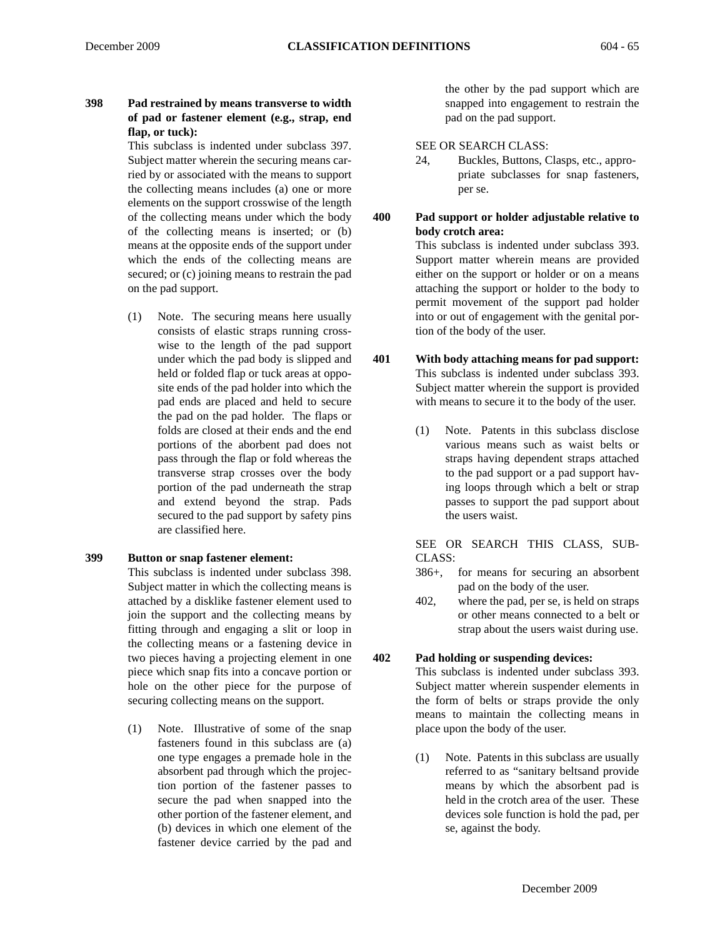# **398 Pad restrained by means transverse to width of pad or fastener element (e.g., strap, end flap, or tuck):**

This subclass is indented under subclass 397. Subject matter wherein the securing means carried by or associated with the means to support the collecting means includes (a) one or more elements on the support crosswise of the length of the collecting means under which the body of the collecting means is inserted; or (b) means at the opposite ends of the support under which the ends of the collecting means are secured; or (c) joining means to restrain the pad on the pad support.

(1) Note. The securing means here usually consists of elastic straps running crosswise to the length of the pad support under which the pad body is slipped and held or folded flap or tuck areas at opposite ends of the pad holder into which the pad ends are placed and held to secure the pad on the pad holder. The flaps or folds are closed at their ends and the end portions of the aborbent pad does not pass through the flap or fold whereas the transverse strap crosses over the body portion of the pad underneath the strap and extend beyond the strap. Pads secured to the pad support by safety pins are classified here.

# **399 Button or snap fastener element:**

This subclass is indented under subclass 398. Subject matter in which the collecting means is attached by a disklike fastener element used to join the support and the collecting means by fitting through and engaging a slit or loop in the collecting means or a fastening device in two pieces having a projecting element in one piece which snap fits into a concave portion or hole on the other piece for the purpose of securing collecting means on the support.

(1) Note. Illustrative of some of the snap fasteners found in this subclass are (a) one type engages a premade hole in the absorbent pad through which the projection portion of the fastener passes to secure the pad when snapped into the other portion of the fastener element, and (b) devices in which one element of the fastener device carried by the pad and

the other by the pad support which are snapped into engagement to restrain the pad on the pad support.

SEE OR SEARCH CLASS:

- 24, Buckles, Buttons, Clasps, etc., appropriate subclasses for snap fasteners, per se.
- **400 Pad support or holder adjustable relative to body crotch area:** This subclass is indented under subclass 393. Support matter wherein means are provided either on the support or holder or on a means attaching the support or holder to the body to permit movement of the support pad holder into or out of engagement with the genital portion of the body of the user.
- **401 With body attaching means for pad support:** This subclass is indented under subclass 393. Subject matter wherein the support is provided with means to secure it to the body of the user.
	- (1) Note. Patents in this subclass disclose various means such as waist belts or straps having dependent straps attached to the pad support or a pad support having loops through which a belt or strap passes to support the pad support about the users waist.

SEE OR SEARCH THIS CLASS, SUB-CLASS:

- 386+, for means for securing an absorbent pad on the body of the user.
- 402, where the pad, per se, is held on straps or other means connected to a belt or strap about the users waist during use.

# **402 Pad holding or suspending devices:**

This subclass is indented under subclass 393. Subject matter wherein suspender elements in the form of belts or straps provide the only means to maintain the collecting means in place upon the body of the user.

(1) Note. Patents in this subclass are usually referred to as "sanitary beltsand provide means by which the absorbent pad is held in the crotch area of the user. These devices sole function is hold the pad, per se, against the body.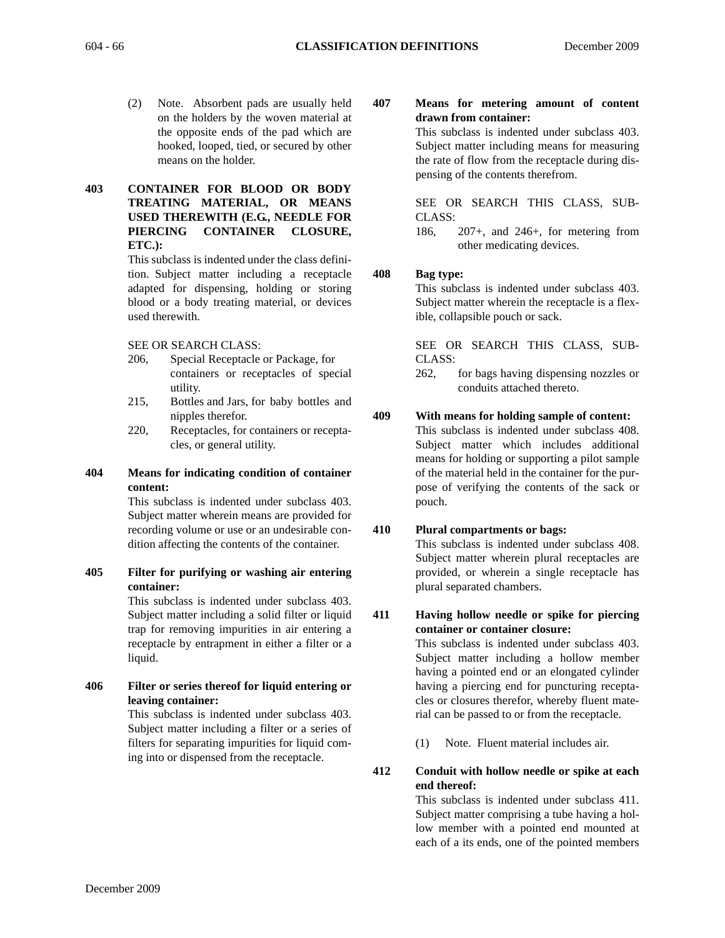- (2) Note. Absorbent pads are usually held on the holders by the woven material at the opposite ends of the pad which are hooked, looped, tied, or secured by other means on the holder.
- **403 CONTAINER FOR BLOOD OR BODY TREATING MATERIAL, OR MEANS USED THEREWITH (E.G., NEEDLE FOR PIERCING CONTAINER CLOSURE, ETC.):**

This subclass is indented under the class definition. Subject matter including a receptacle adapted for dispensing, holding or storing blood or a body treating material, or devices used therewith.

SEE OR SEARCH CLASS:

- 206, Special Receptacle or Package, for containers or receptacles of special utility.
- 215, Bottles and Jars, for baby bottles and nipples therefor.
- 220, Receptacles, for containers or receptacles, or general utility.

# **404 Means for indicating condition of container content:**

This subclass is indented under subclass 403. Subject matter wherein means are provided for recording volume or use or an undesirable condition affecting the contents of the container.

**405 Filter for purifying or washing air entering container:**

This subclass is indented under subclass 403. Subject matter including a solid filter or liquid trap for removing impurities in air entering a receptacle by entrapment in either a filter or a liquid.

**406 Filter or series thereof for liquid entering or leaving container:**

This subclass is indented under subclass 403. Subject matter including a filter or a series of filters for separating impurities for liquid coming into or dispensed from the receptacle.

**407 Means for metering amount of content drawn from container:**

> This subclass is indented under subclass 403. Subject matter including means for measuring the rate of flow from the receptacle during dispensing of the contents therefrom.

> SEE OR SEARCH THIS CLASS, SUB-CLASS:

> 186, 207+, and 246+, for metering from other medicating devices.

# **408 Bag type:**

This subclass is indented under subclass 403. Subject matter wherein the receptacle is a flexible, collapsible pouch or sack.

SEE OR SEARCH THIS CLASS, SUB-CLASS:

262, for bags having dispensing nozzles or conduits attached thereto.

# **409 With means for holding sample of content:**

This subclass is indented under subclass 408. Subject matter which includes additional means for holding or supporting a pilot sample of the material held in the container for the purpose of verifying the contents of the sack or pouch.

# **410 Plural compartments or bags:**

This subclass is indented under subclass 408. Subject matter wherein plural receptacles are provided, or wherein a single receptacle has plural separated chambers.

#### **411 Having hollow needle or spike for piercing container or container closure:**

This subclass is indented under subclass 403. Subject matter including a hollow member having a pointed end or an elongated cylinder having a piercing end for puncturing receptacles or closures therefor, whereby fluent material can be passed to or from the receptacle.

(1) Note. Fluent material includes air.

#### **412 Conduit with hollow needle or spike at each end thereof:**

This subclass is indented under subclass 411. Subject matter comprising a tube having a hollow member with a pointed end mounted at each of a its ends, one of the pointed members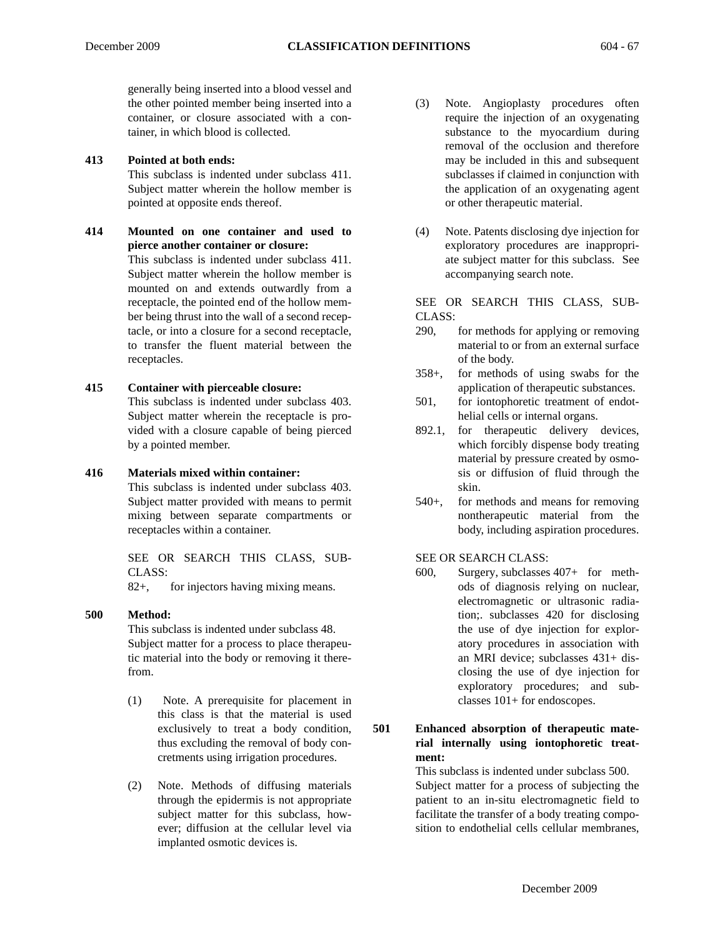generally being inserted into a blood vessel and the other pointed member being inserted into a container, or closure associated with a container, in which blood is collected.

#### **413 Pointed at both ends:**

This subclass is indented under subclass 411. Subject matter wherein the hollow member is pointed at opposite ends thereof.

**414 Mounted on one container and used to pierce another container or closure:** This subclass is indented under subclass 411. Subject matter wherein the hollow member is mounted on and extends outwardly from a receptacle, the pointed end of the hollow member being thrust into the wall of a second receptacle, or into a closure for a second receptacle, to transfer the fluent material between the receptacles.

#### **415 Container with pierceable closure:**

This subclass is indented under subclass 403. Subject matter wherein the receptacle is provided with a closure capable of being pierced by a pointed member.

#### **416 Materials mixed within container:**

This subclass is indented under subclass 403. Subject matter provided with means to permit mixing between separate compartments or receptacles within a container.

SEE OR SEARCH THIS CLASS, SUB-CLASS:

82+, for injectors having mixing means.

#### **500 Method:**

This subclass is indented under subclass 48. Subject matter for a process to place therapeutic material into the body or removing it therefrom.

- (1) Note. A prerequisite for placement in this class is that the material is used exclusively to treat a body condition, thus excluding the removal of body concretments using irrigation procedures.
- (2) Note. Methods of diffusing materials through the epidermis is not appropriate subject matter for this subclass, however; diffusion at the cellular level via implanted osmotic devices is.
- (3) Note. Angioplasty procedures often require the injection of an oxygenating substance to the myocardium during removal of the occlusion and therefore may be included in this and subsequent subclasses if claimed in conjunction with the application of an oxygenating agent or other therapeutic material.
- (4) Note. Patents disclosing dye injection for exploratory procedures are inappropriate subject matter for this subclass. See accompanying search note.

SEE OR SEARCH THIS CLASS, SUB-CLASS:

- 290, for methods for applying or removing material to or from an external surface of the body.
- 358+, for methods of using swabs for the application of therapeutic substances.
- 501, for iontophoretic treatment of endothelial cells or internal organs.
- 892.1, for therapeutic delivery devices, which forcibly dispense body treating material by pressure created by osmosis or diffusion of fluid through the skin.
- 540+, for methods and means for removing nontherapeutic material from the body, including aspiration procedures.

SEE OR SEARCH CLASS:

600, Surgery, subclasses 407+ for methods of diagnosis relying on nuclear, electromagnetic or ultrasonic radiation;. subclasses 420 for disclosing the use of dye injection for exploratory procedures in association with an MRI device; subclasses 431+ disclosing the use of dye injection for exploratory procedures; and subclasses 101+ for endoscopes.

**501 Enhanced absorption of therapeutic material internally using iontophoretic treatment:**

> This subclass is indented under subclass 500. Subject matter for a process of subjecting the patient to an in-situ electromagnetic field to facilitate the transfer of a body treating composition to endothelial cells cellular membranes,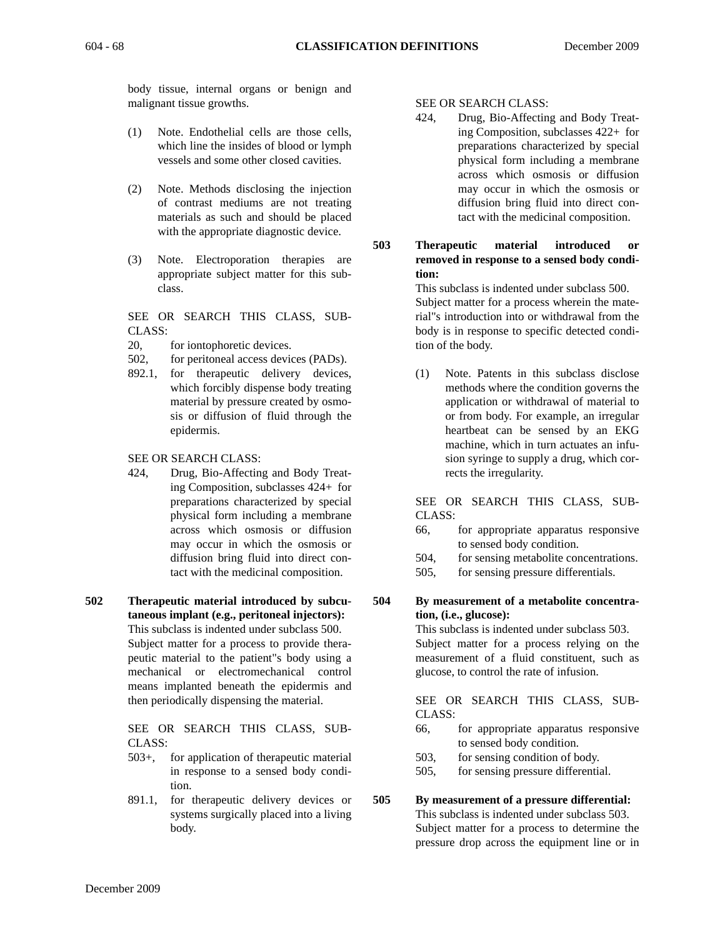body tissue, internal organs or benign and malignant tissue growths.

- (1) Note. Endothelial cells are those cells, which line the insides of blood or lymph vessels and some other closed cavities.
- (2) Note. Methods disclosing the injection of contrast mediums are not treating materials as such and should be placed with the appropriate diagnostic device.
- (3) Note. Electroporation therapies are appropriate subject matter for this subclass.

SEE OR SEARCH THIS CLASS, SUB-CLASS:

- 20, for iontophoretic devices.
- 502, for peritoneal access devices (PADs).
- 892.1, for therapeutic delivery devices, which forcibly dispense body treating material by pressure created by osmosis or diffusion of fluid through the epidermis.

SEE OR SEARCH CLASS:

- 424, Drug, Bio-Affecting and Body Treating Composition, subclasses 424+ for preparations characterized by special physical form including a membrane across which osmosis or diffusion may occur in which the osmosis or diffusion bring fluid into direct contact with the medicinal composition.
- **502 Therapeutic material introduced by subcutaneous implant (e.g., peritoneal injectors):**

This subclass is indented under subclass 500. Subject matter for a process to provide therapeutic material to the patient"s body using a mechanical or electromechanical control means implanted beneath the epidermis and then periodically dispensing the material.

SEE OR SEARCH THIS CLASS, SUB-CLASS:

- 503+, for application of therapeutic material in response to a sensed body condition.
- 891.1, for therapeutic delivery devices or systems surgically placed into a living body.

SEE OR SEARCH CLASS:

- 424, Drug, Bio-Affecting and Body Treating Composition, subclasses 422+ for preparations characterized by special physical form including a membrane across which osmosis or diffusion may occur in which the osmosis or diffusion bring fluid into direct contact with the medicinal composition.
- **503 Therapeutic material introduced or removed in response to a sensed body condition:**

This subclass is indented under subclass 500. Subject matter for a process wherein the material"s introduction into or withdrawal from the body is in response to specific detected condition of the body.

(1) Note. Patents in this subclass disclose methods where the condition governs the application or withdrawal of material to or from body. For example, an irregular heartbeat can be sensed by an EKG machine, which in turn actuates an infusion syringe to supply a drug, which corrects the irregularity.

SEE OR SEARCH THIS CLASS, SUB-CLASS:

- 66, for appropriate apparatus responsive to sensed body condition.
- 504, for sensing metabolite concentrations.
- 505, for sensing pressure differentials.

#### **504 By measurement of a metabolite concentration, (i.e., glucose):**

This subclass is indented under subclass 503. Subject matter for a process relying on the measurement of a fluid constituent, such as glucose, to control the rate of infusion.

SEE OR SEARCH THIS CLASS, SUB-CLASS:

- 66, for appropriate apparatus responsive to sensed body condition.
- 503, for sensing condition of body.
- 505, for sensing pressure differential.

# **505 By measurement of a pressure differential:**

This subclass is indented under subclass 503. Subject matter for a process to determine the pressure drop across the equipment line or in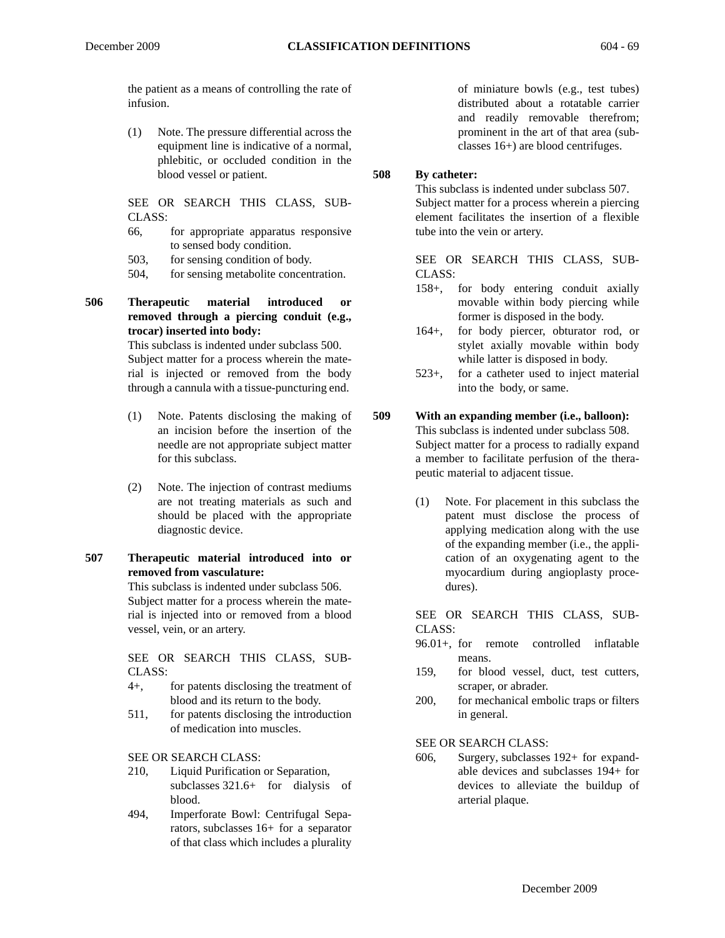the patient as a means of controlling the rate of infusion.

(1) Note. The pressure differential across the equipment line is indicative of a normal, phlebitic, or occluded condition in the blood vessel or patient.

SEE OR SEARCH THIS CLASS, SUB-CLASS:

- 66, for appropriate apparatus responsive to sensed body condition.
- 503, for sensing condition of body.
- 504, for sensing metabolite concentration.

# **506 Therapeutic material introduced or removed through a piercing conduit (e.g., trocar) inserted into body:**

This subclass is indented under subclass 500. Subject matter for a process wherein the material is injected or removed from the body through a cannula with a tissue-puncturing end.

- (1) Note. Patents disclosing the making of an incision before the insertion of the needle are not appropriate subject matter for this subclass.
- (2) Note. The injection of contrast mediums are not treating materials as such and should be placed with the appropriate diagnostic device.

#### **507 Therapeutic material introduced into or removed from vasculature:**

This subclass is indented under subclass 506. Subject matter for a process wherein the material is injected into or removed from a blood vessel, vein, or an artery.

SEE OR SEARCH THIS CLASS, SUB-CLASS:

- 4+, for patents disclosing the treatment of blood and its return to the body.
- 511, for patents disclosing the introduction of medication into muscles.

SEE OR SEARCH CLASS:

- 210, Liquid Purification or Separation, subclasses 321.6+ for dialysis of blood.
- 494, Imperforate Bowl: Centrifugal Separators, subclasses 16+ for a separator of that class which includes a plurality

of miniature bowls (e.g., test tubes) distributed about a rotatable carrier and readily removable therefrom; prominent in the art of that area (subclasses 16+) are blood centrifuges.

# **508 By catheter:**

This subclass is indented under subclass 507. Subject matter for a process wherein a piercing element facilitates the insertion of a flexible tube into the vein or artery.

SEE OR SEARCH THIS CLASS, SUB-CLASS:

- 158+, for body entering conduit axially movable within body piercing while former is disposed in the body.
- 164+, for body piercer, obturator rod, or stylet axially movable within body while latter is disposed in body.
- 523+, for a catheter used to inject material into the body, or same.

# **509 With an expanding member (i.e., balloon):**

This subclass is indented under subclass 508. Subject matter for a process to radially expand a member to facilitate perfusion of the therapeutic material to adjacent tissue.

(1) Note. For placement in this subclass the patent must disclose the process of applying medication along with the use of the expanding member (i.e., the application of an oxygenating agent to the myocardium during angioplasty procedures).

SEE OR SEARCH THIS CLASS, SUB-CLASS:

- 96.01+, for remote controlled inflatable means.
- 159, for blood vessel, duct, test cutters, scraper, or abrader.
- 200, for mechanical embolic traps or filters in general.

SEE OR SEARCH CLASS:

606, Surgery, subclasses 192+ for expandable devices and subclasses 194+ for devices to alleviate the buildup of arterial plaque.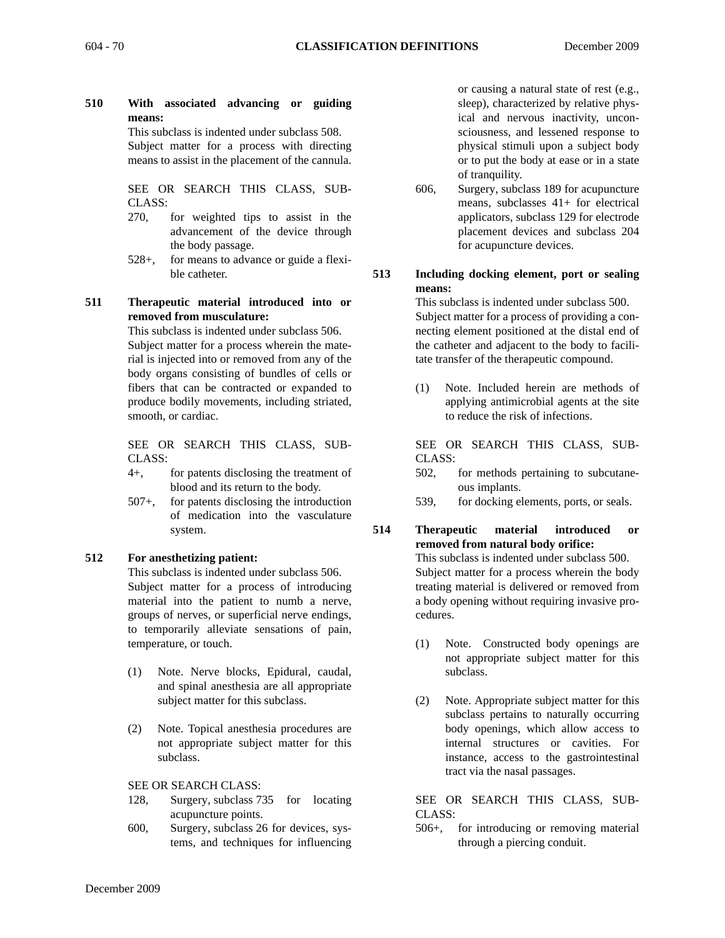**510 With associated advancing or guiding means:**

This subclass is indented under subclass 508. Subject matter for a process with directing means to assist in the placement of the cannula.

SEE OR SEARCH THIS CLASS, SUB-CLASS:

- 270, for weighted tips to assist in the advancement of the device through the body passage.
- 528+, for means to advance or guide a flexible catheter.

#### **511 Therapeutic material introduced into or removed from musculature:**

This subclass is indented under subclass 506. Subject matter for a process wherein the material is injected into or removed from any of the body organs consisting of bundles of cells or fibers that can be contracted or expanded to produce bodily movements, including striated, smooth, or cardiac.

SEE OR SEARCH THIS CLASS, SUB-CLASS:

- 4+, for patents disclosing the treatment of blood and its return to the body.
- 507+, for patents disclosing the introduction of medication into the vasculature system.

#### **512 For anesthetizing patient:**

This subclass is indented under subclass 506. Subject matter for a process of introducing material into the patient to numb a nerve, groups of nerves, or superficial nerve endings, to temporarily alleviate sensations of pain, temperature, or touch.

- (1) Note. Nerve blocks, Epidural, caudal, and spinal anesthesia are all appropriate subject matter for this subclass.
- (2) Note. Topical anesthesia procedures are not appropriate subject matter for this subclass.

SEE OR SEARCH CLASS:

- 128, Surgery, subclass 735 for locating acupuncture points.
- 600, Surgery, subclass 26 for devices, systems, and techniques for influencing

or causing a natural state of rest (e.g., sleep), characterized by relative physical and nervous inactivity, unconsciousness, and lessened response to physical stimuli upon a subject body or to put the body at ease or in a state of tranquility.

- 606, Surgery, subclass 189 for acupuncture means, subclasses 41+ for electrical applicators, subclass 129 for electrode placement devices and subclass 204 for acupuncture devices.
- **513 Including docking element, port or sealing means:**

This subclass is indented under subclass 500. Subject matter for a process of providing a connecting element positioned at the distal end of the catheter and adjacent to the body to facilitate transfer of the therapeutic compound.

(1) Note. Included herein are methods of applying antimicrobial agents at the site to reduce the risk of infections.

SEE OR SEARCH THIS CLASS, SUB-CLASS:

- 502, for methods pertaining to subcutaneous implants.
- 539, for docking elements, ports, or seals.

#### **514 Therapeutic material introduced or removed from natural body orifice:** This subclass is indented under subclass 500. Subject matter for a process wherein the body treating material is delivered or removed from a body opening without requiring invasive procedures.

- (1) Note. Constructed body openings are not appropriate subject matter for this subclass.
- (2) Note. Appropriate subject matter for this subclass pertains to naturally occurring body openings, which allow access to internal structures or cavities. For instance, access to the gastrointestinal tract via the nasal passages.

SEE OR SEARCH THIS CLASS, SUB-CLASS:

506+, for introducing or removing material through a piercing conduit.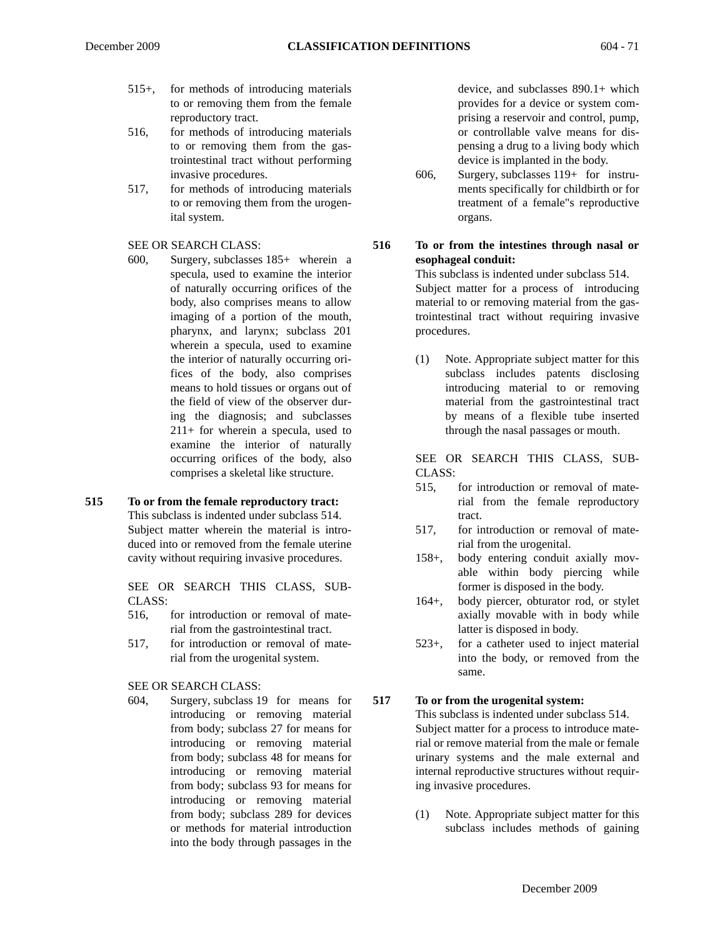- 515+, for methods of introducing materials to or removing them from the female reproductory tract.
- 516, for methods of introducing materials to or removing them from the gastrointestinal tract without performing invasive procedures.
- 517, for methods of introducing materials to or removing them from the urogenital system.

#### SEE OR SEARCH CLASS:

600, Surgery, subclasses 185+ wherein a specula, used to examine the interior of naturally occurring orifices of the body, also comprises means to allow imaging of a portion of the mouth, pharynx, and larynx; subclass 201 wherein a specula, used to examine the interior of naturally occurring orifices of the body, also comprises means to hold tissues or organs out of the field of view of the observer during the diagnosis; and subclasses 211+ for wherein a specula, used to examine the interior of naturally occurring orifices of the body, also comprises a skeletal like structure.

# **515 To or from the female reproductory tract:**

This subclass is indented under subclass 514. Subject matter wherein the material is introduced into or removed from the female uterine cavity without requiring invasive procedures.

SEE OR SEARCH THIS CLASS, SUB-CLASS:

- 516, for introduction or removal of material from the gastrointestinal tract.
- 517, for introduction or removal of material from the urogenital system.

SEE OR SEARCH CLASS:

604, Surgery, subclass 19 for means for introducing or removing material from body; subclass 27 for means for introducing or removing material from body; subclass 48 for means for introducing or removing material from body; subclass 93 for means for introducing or removing material from body; subclass 289 for devices or methods for material introduction into the body through passages in the

device, and subclasses 890.1+ which provides for a device or system comprising a reservoir and control, pump, or controllable valve means for dispensing a drug to a living body which device is implanted in the body.

606, Surgery, subclasses 119+ for instruments specifically for childbirth or for treatment of a female"s reproductive organs.

#### **516 To or from the intestines through nasal or esophageal conduit:**

This subclass is indented under subclass 514. Subject matter for a process of introducing material to or removing material from the gastrointestinal tract without requiring invasive procedures.

(1) Note. Appropriate subject matter for this subclass includes patents disclosing introducing material to or removing material from the gastrointestinal tract by means of a flexible tube inserted through the nasal passages or mouth.

SEE OR SEARCH THIS CLASS, SUB-CLASS:

- 515, for introduction or removal of material from the female reproductory tract.
- 517, for introduction or removal of material from the urogenital.
- 158+, body entering conduit axially movable within body piercing while former is disposed in the body.
- 164+, body piercer, obturator rod, or stylet axially movable with in body while latter is disposed in body.
- 523+, for a catheter used to inject material into the body, or removed from the same.

#### **517 To or from the urogenital system:**

This subclass is indented under subclass 514. Subject matter for a process to introduce material or remove material from the male or female urinary systems and the male external and internal reproductive structures without requiring invasive procedures.

(1) Note. Appropriate subject matter for this subclass includes methods of gaining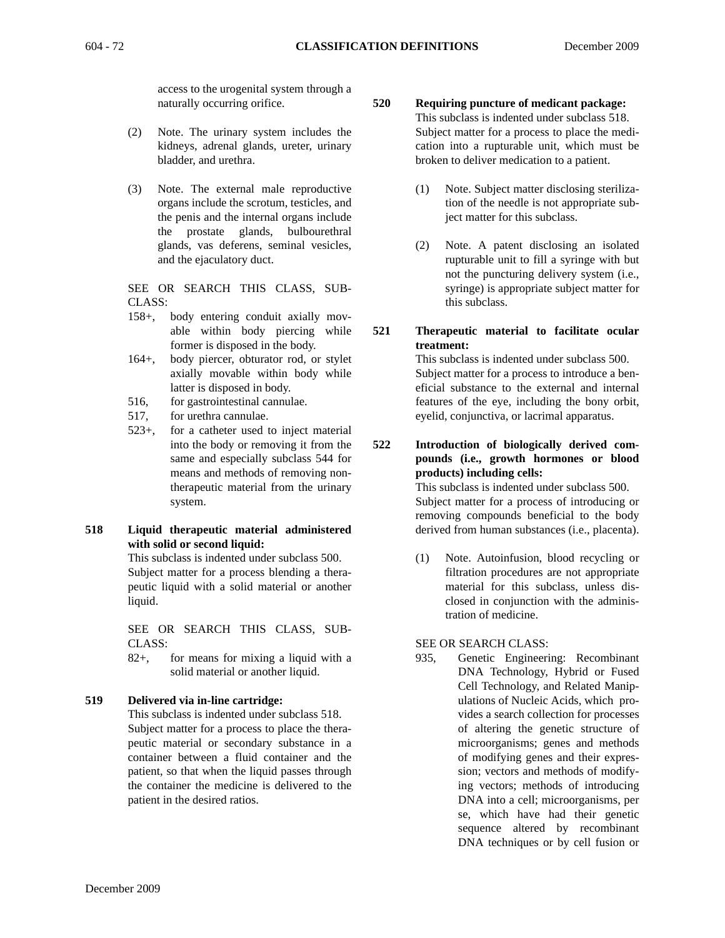access to the urogenital system through a naturally occurring orifice.

- (2) Note. The urinary system includes the kidneys, adrenal glands, ureter, urinary bladder, and urethra.
- (3) Note. The external male reproductive organs include the scrotum, testicles, and the penis and the internal organs include the prostate glands, bulbourethral glands, vas deferens, seminal vesicles, and the ejaculatory duct.

SEE OR SEARCH THIS CLASS, SUB-CLASS:

- 158+, body entering conduit axially movable within body piercing while former is disposed in the body.
- 164+, body piercer, obturator rod, or stylet axially movable within body while latter is disposed in body.
- 516, for gastrointestinal cannulae.
- 517, for urethra cannulae.
- 523+, for a catheter used to inject material into the body or removing it from the same and especially subclass 544 for means and methods of removing nontherapeutic material from the urinary system.
- **518 Liquid therapeutic material administered with solid or second liquid:**

This subclass is indented under subclass 500. Subject matter for a process blending a therapeutic liquid with a solid material or another liquid.

SEE OR SEARCH THIS CLASS, SUB-CLASS:

82+, for means for mixing a liquid with a solid material or another liquid.

#### **519 Delivered via in-line cartridge:**

This subclass is indented under subclass 518. Subject matter for a process to place the therapeutic material or secondary substance in a container between a fluid container and the patient, so that when the liquid passes through the container the medicine is delivered to the patient in the desired ratios.

- **520 Requiring puncture of medicant package:** This subclass is indented under subclass 518. Subject matter for a process to place the medication into a rupturable unit, which must be broken to deliver medication to a patient.
	- (1) Note. Subject matter disclosing sterilization of the needle is not appropriate subject matter for this subclass.
	- (2) Note. A patent disclosing an isolated rupturable unit to fill a syringe with but not the puncturing delivery system (i.e., syringe) is appropriate subject matter for this subclass.
- **521 Therapeutic material to facilitate ocular treatment:**

This subclass is indented under subclass 500. Subject matter for a process to introduce a beneficial substance to the external and internal features of the eye, including the bony orbit, eyelid, conjunctiva, or lacrimal apparatus.

**522 Introduction of biologically derived compounds (i.e., growth hormones or blood products) including cells:**

> This subclass is indented under subclass 500. Subject matter for a process of introducing or removing compounds beneficial to the body derived from human substances (i.e., placenta).

> (1) Note. Autoinfusion, blood recycling or filtration procedures are not appropriate material for this subclass, unless disclosed in conjunction with the administration of medicine.

#### SEE OR SEARCH CLASS:

935, Genetic Engineering: Recombinant DNA Technology, Hybrid or Fused Cell Technology, and Related Manipulations of Nucleic Acids, which provides a search collection for processes of altering the genetic structure of microorganisms; genes and methods of modifying genes and their expression; vectors and methods of modifying vectors; methods of introducing DNA into a cell; microorganisms, per se, which have had their genetic sequence altered by recombinant DNA techniques or by cell fusion or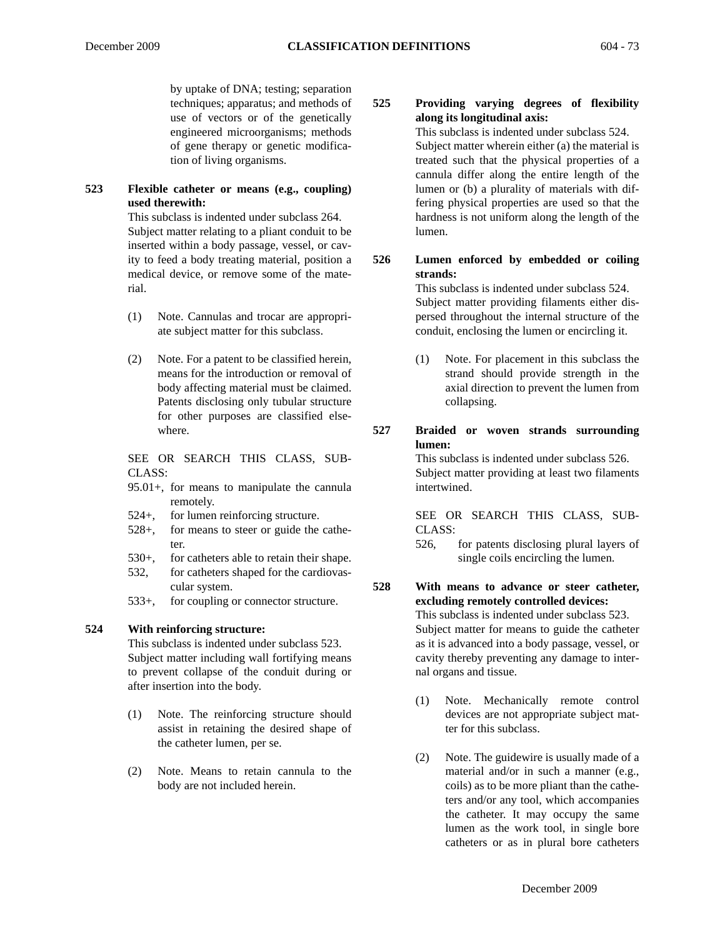by uptake of DNA; testing; separation techniques; apparatus; and methods of use of vectors or of the genetically engineered microorganisms; methods of gene therapy or genetic modification of living organisms.

### **523 Flexible catheter or means (e.g., coupling) used therewith:**

This subclass is indented under subclass 264. Subject matter relating to a pliant conduit to be inserted within a body passage, vessel, or cavity to feed a body treating material, position a medical device, or remove some of the material.

- (1) Note. Cannulas and trocar are appropriate subject matter for this subclass.
- (2) Note. For a patent to be classified herein, means for the introduction or removal of body affecting material must be claimed. Patents disclosing only tubular structure for other purposes are classified elsewhere.

SEE OR SEARCH THIS CLASS, SUB-CLASS:

- 95.01+, for means to manipulate the cannula remotely.
- 524+, for lumen reinforcing structure.
- 528+, for means to steer or guide the catheter.
- 530+, for catheters able to retain their shape.
- 532, for catheters shaped for the cardiovascular system.
- 533+, for coupling or connector structure.

#### **524 With reinforcing structure:**

This subclass is indented under subclass 523. Subject matter including wall fortifying means to prevent collapse of the conduit during or after insertion into the body.

- (1) Note. The reinforcing structure should assist in retaining the desired shape of the catheter lumen, per se.
- (2) Note. Means to retain cannula to the body are not included herein.

# **525 Providing varying degrees of flexibility along its longitudinal axis:**

This subclass is indented under subclass 524. Subject matter wherein either (a) the material is treated such that the physical properties of a cannula differ along the entire length of the lumen or (b) a plurality of materials with differing physical properties are used so that the hardness is not uniform along the length of the lumen.

**526 Lumen enforced by embedded or coiling strands:**

This subclass is indented under subclass 524. Subject matter providing filaments either dispersed throughout the internal structure of the conduit, enclosing the lumen or encircling it.

- (1) Note. For placement in this subclass the strand should provide strength in the axial direction to prevent the lumen from collapsing.
- **527 Braided or woven strands surrounding lumen:**

This subclass is indented under subclass 526. Subject matter providing at least two filaments intertwined.

SEE OR SEARCH THIS CLASS, SUB-CLASS:

526, for patents disclosing plural layers of single coils encircling the lumen.

**528 With means to advance or steer catheter, excluding remotely controlled devices:**

> This subclass is indented under subclass 523. Subject matter for means to guide the catheter as it is advanced into a body passage, vessel, or cavity thereby preventing any damage to internal organs and tissue.

- (1) Note. Mechanically remote control devices are not appropriate subject matter for this subclass.
- (2) Note. The guidewire is usually made of a material and/or in such a manner (e.g., coils) as to be more pliant than the catheters and/or any tool, which accompanies the catheter. It may occupy the same lumen as the work tool, in single bore catheters or as in plural bore catheters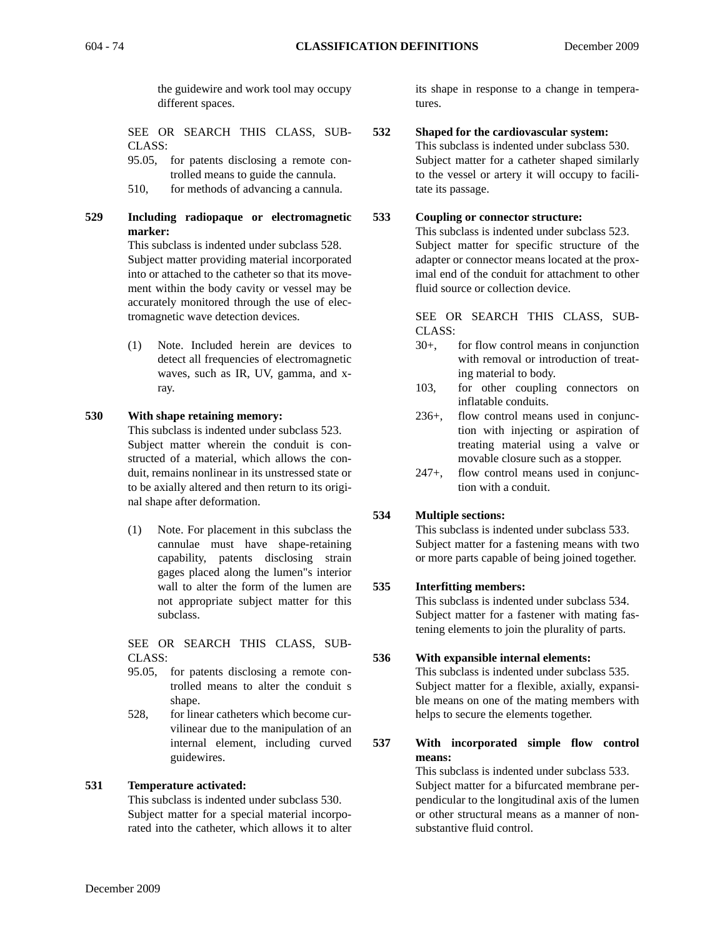the guidewire and work tool may occupy different spaces.

SEE OR SEARCH THIS CLASS, SUB-CLASS:

95.05, for patents disclosing a remote controlled means to guide the cannula.

- 510, for methods of advancing a cannula.
- **529 Including radiopaque or electromagnetic marker:**

This subclass is indented under subclass 528. Subject matter providing material incorporated into or attached to the catheter so that its movement within the body cavity or vessel may be accurately monitored through the use of electromagnetic wave detection devices.

(1) Note. Included herein are devices to detect all frequencies of electromagnetic waves, such as IR, UV, gamma, and xray.

## **530 With shape retaining memory:**

This subclass is indented under subclass 523. Subject matter wherein the conduit is constructed of a material, which allows the conduit, remains nonlinear in its unstressed state or to be axially altered and then return to its original shape after deformation.

(1) Note. For placement in this subclass the cannulae must have shape-retaining capability, patents disclosing strain gages placed along the lumen"s interior wall to alter the form of the lumen are not appropriate subject matter for this subclass.

SEE OR SEARCH THIS CLASS, SUB-CLASS:

- 95.05, for patents disclosing a remote controlled means to alter the conduit s shape.
- 528, for linear catheters which become curvilinear due to the manipulation of an internal element, including curved guidewires.

### **531 Temperature activated:**

This subclass is indented under subclass 530. Subject matter for a special material incorporated into the catheter, which allows it to alter its shape in response to a change in temperatures.

### **532 Shaped for the cardiovascular system:**

This subclass is indented under subclass 530. Subject matter for a catheter shaped similarly to the vessel or artery it will occupy to facilitate its passage.

### **533 Coupling or connector structure:**

This subclass is indented under subclass 523. Subject matter for specific structure of the adapter or connector means located at the proximal end of the conduit for attachment to other fluid source or collection device.

SEE OR SEARCH THIS CLASS, SUB-CLASS:

- 30+, for flow control means in conjunction with removal or introduction of treating material to body.
- 103, for other coupling connectors on inflatable conduits.
- 236+, flow control means used in conjunction with injecting or aspiration of treating material using a valve or movable closure such as a stopper.
- 247+, flow control means used in conjunction with a conduit.

### **534 Multiple sections:**

This subclass is indented under subclass 533. Subject matter for a fastening means with two or more parts capable of being joined together.

### **535 Interfitting members:**

This subclass is indented under subclass 534. Subject matter for a fastener with mating fastening elements to join the plurality of parts.

## **536 With expansible internal elements:**

This subclass is indented under subclass 535. Subject matter for a flexible, axially, expansible means on one of the mating members with helps to secure the elements together.

**537 With incorporated simple flow control means:**

> This subclass is indented under subclass 533. Subject matter for a bifurcated membrane perpendicular to the longitudinal axis of the lumen or other structural means as a manner of nonsubstantive fluid control.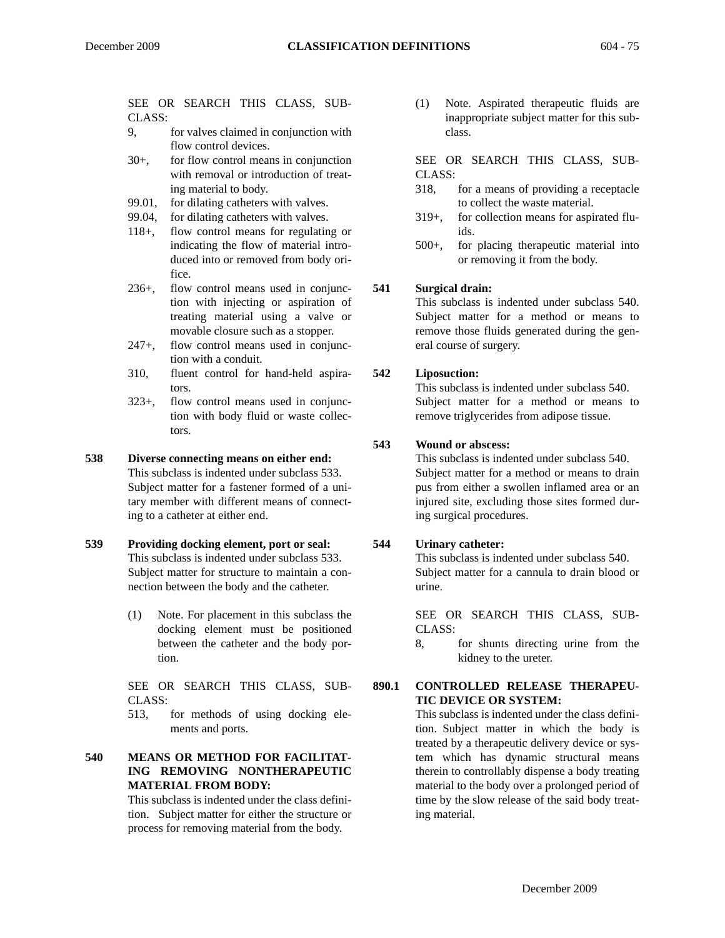- 9, for valves claimed in conjunction with flow control devices.
- 30+, for flow control means in conjunction with removal or introduction of treating material to body.
- 99.01, for dilating catheters with valves.
- 99.04, for dilating catheters with valves.
- 118+, flow control means for regulating or indicating the flow of material introduced into or removed from body orifice.
- 236+, flow control means used in conjunction with injecting or aspiration of treating material using a valve or movable closure such as a stopper.
- 247+, flow control means used in conjunction with a conduit.
- 310, fluent control for hand-held aspirators.
- 323+, flow control means used in conjunction with body fluid or waste collectors.

### **538 Diverse connecting means on either end:**

- This subclass is indented under subclass 533. Subject matter for a fastener formed of a unitary member with different means of connecting to a catheter at either end.
- **539 Providing docking element, port or seal:** This subclass is indented under subclass 533. Subject matter for structure to maintain a connection between the body and the catheter.
	- (1) Note. For placement in this subclass the docking element must be positioned between the catheter and the body portion.

SEE OR SEARCH THIS CLASS, SUB-CLASS:

513, for methods of using docking elements and ports.

# **540 MEANS OR METHOD FOR FACILITAT-ING REMOVING NONTHERAPEUTIC MATERIAL FROM BODY:**

This subclass is indented under the class definition. Subject matter for either the structure or process for removing material from the body.

(1) Note. Aspirated therapeutic fluids are inappropriate subject matter for this subclass.

SEE OR SEARCH THIS CLASS, SUB-CLASS:

- 318, for a means of providing a receptacle to collect the waste material.
- 319+, for collection means for aspirated fluids.
- 500+, for placing therapeutic material into or removing it from the body.

### **541 Surgical drain:**

This subclass is indented under subclass 540. Subject matter for a method or means to remove those fluids generated during the general course of surgery.

### **542 Liposuction:**

This subclass is indented under subclass 540. Subject matter for a method or means to remove triglycerides from adipose tissue.

### **543 Wound or abscess:**

This subclass is indented under subclass 540. Subject matter for a method or means to drain pus from either a swollen inflamed area or an injured site, excluding those sites formed during surgical procedures.

### **544 Urinary catheter:**

This subclass is indented under subclass 540. Subject matter for a cannula to drain blood or urine.

SEE OR SEARCH THIS CLASS, SUB-CLASS:

8, for shunts directing urine from the kidney to the ureter.

### **890.1 CONTROLLED RELEASE THERAPEU-TIC DEVICE OR SYSTEM:**

This subclass is indented under the class definition. Subject matter in which the body is treated by a therapeutic delivery device or system which has dynamic structural means therein to controllably dispense a body treating material to the body over a prolonged period of time by the slow release of the said body treating material.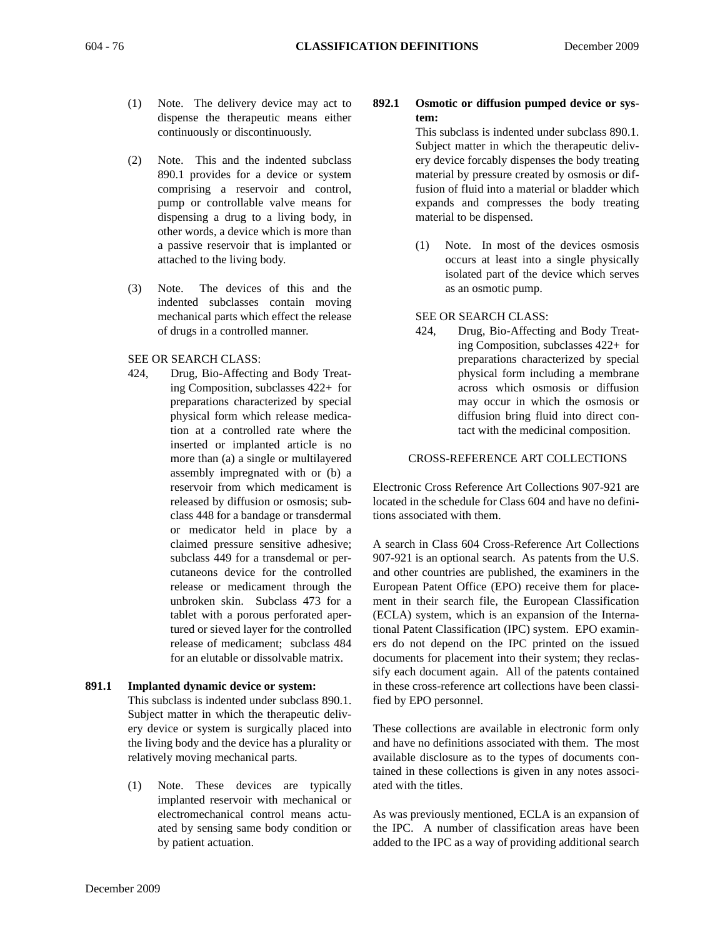- (1) Note. The delivery device may act to dispense the therapeutic means either continuously or discontinuously.
- (2) Note. This and the indented subclass 890.1 provides for a device or system comprising a reservoir and control, pump or controllable valve means for dispensing a drug to a living body, in other words, a device which is more than a passive reservoir that is implanted or attached to the living body.
- (3) Note. The devices of this and the indented subclasses contain moving mechanical parts which effect the release of drugs in a controlled manner.

#### SEE OR SEARCH CLASS:

424, Drug, Bio-Affecting and Body Treating Composition, subclasses 422+ for preparations characterized by special physical form which release medication at a controlled rate where the inserted or implanted article is no more than (a) a single or multilayered assembly impregnated with or (b) a reservoir from which medicament is released by diffusion or osmosis; subclass 448 for a bandage or transdermal or medicator held in place by a claimed pressure sensitive adhesive; subclass 449 for a transdemal or percutaneons device for the controlled release or medicament through the unbroken skin. Subclass 473 for a tablet with a porous perforated apertured or sieved layer for the controlled release of medicament; subclass 484 for an elutable or dissolvable matrix.

### **891.1 Implanted dynamic device or system:**

- This subclass is indented under subclass 890.1. Subject matter in which the therapeutic delivery device or system is surgically placed into the living body and the device has a plurality or relatively moving mechanical parts.
- (1) Note. These devices are typically implanted reservoir with mechanical or electromechanical control means actuated by sensing same body condition or by patient actuation.

# **892.1 Osmotic or diffusion pumped device or system:**

This subclass is indented under subclass 890.1. Subject matter in which the therapeutic delivery device forcably dispenses the body treating material by pressure created by osmosis or diffusion of fluid into a material or bladder which expands and compresses the body treating material to be dispensed.

(1) Note. In most of the devices osmosis occurs at least into a single physically isolated part of the device which serves as an osmotic pump.

#### SEE OR SEARCH CLASS:

424, Drug, Bio-Affecting and Body Treating Composition, subclasses 422+ for preparations characterized by special physical form including a membrane across which osmosis or diffusion may occur in which the osmosis or diffusion bring fluid into direct contact with the medicinal composition.

# CROSS-REFERENCE ART COLLECTIONS

Electronic Cross Reference Art Collections 907-921 are located in the schedule for Class 604 and have no definitions associated with them.

A search in Class 604 Cross-Reference Art Collections 907-921 is an optional search. As patents from the U.S. and other countries are published, the examiners in the European Patent Office (EPO) receive them for placement in their search file, the European Classification (ECLA) system, which is an expansion of the International Patent Classification (IPC) system. EPO examiners do not depend on the IPC printed on the issued documents for placement into their system; they reclassify each document again. All of the patents contained in these cross-reference art collections have been classified by EPO personnel.

These collections are available in electronic form only and have no definitions associated with them. The most available disclosure as to the types of documents contained in these collections is given in any notes associated with the titles.

As was previously mentioned, ECLA is an expansion of the IPC. A number of classification areas have been added to the IPC as a way of providing additional search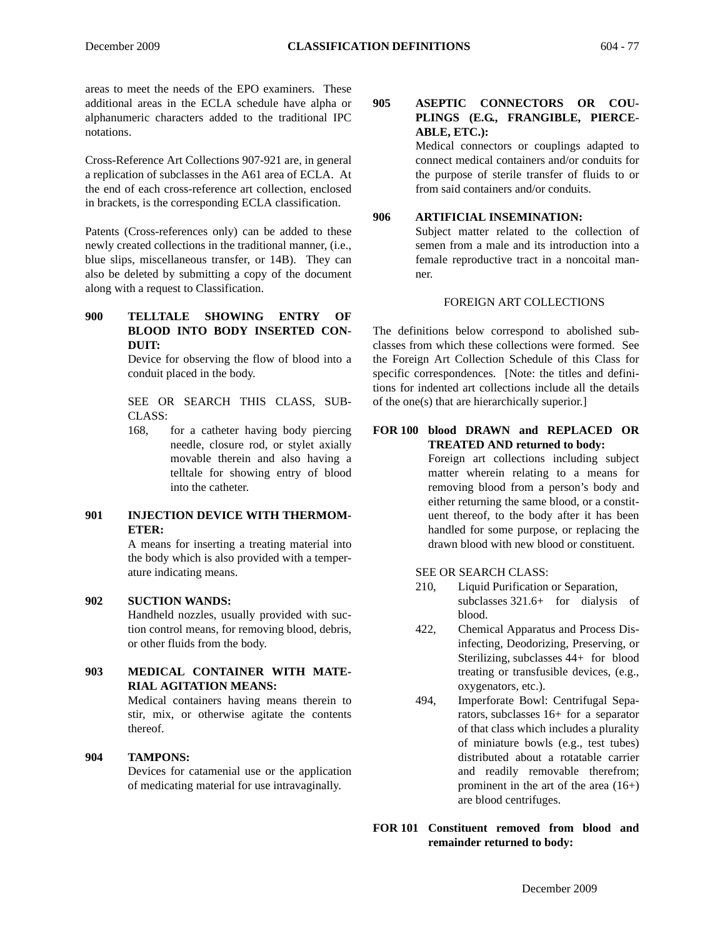areas to meet the needs of the EPO examiners. These additional areas in the ECLA schedule have alpha or alphanumeric characters added to the traditional IPC notations.

Cross-Reference Art Collections 907-921 are, in general a replication of subclasses in the A61 area of ECLA. At the end of each cross-reference art collection, enclosed in brackets, is the corresponding ECLA classification.

Patents (Cross-references only) can be added to these newly created collections in the traditional manner, (i.e., blue slips, miscellaneous transfer, or 14B). They can also be deleted by submitting a copy of the document along with a request to Classification.

**900 TELLTALE SHOWING ENTRY OF BLOOD INTO BODY INSERTED CON-DUIT:**

> Device for observing the flow of blood into a conduit placed in the body.

> SEE OR SEARCH THIS CLASS, SUB-CLASS:

> 168, for a catheter having body piercing needle, closure rod, or stylet axially movable therein and also having a telltale for showing entry of blood into the catheter.

# **901 INJECTION DEVICE WITH THERMOM-ETER:**

A means for inserting a treating material into the body which is also provided with a temperature indicating means.

### **902 SUCTION WANDS:**

Handheld nozzles, usually provided with suction control means, for removing blood, debris, or other fluids from the body.

# **903 MEDICAL CONTAINER WITH MATE-RIAL AGITATION MEANS:**

Medical containers having means therein to stir, mix, or otherwise agitate the contents thereof.

### **904 TAMPONS:**

Devices for catamenial use or the application of medicating material for use intravaginally.

**905 ASEPTIC CONNECTORS OR COU-PLINGS (E.G., FRANGIBLE, PIERCE-ABLE, ETC.):**

> Medical connectors or couplings adapted to connect medical containers and/or conduits for the purpose of sterile transfer of fluids to or from said containers and/or conduits.

#### **906 ARTIFICIAL INSEMINATION:**

Subject matter related to the collection of semen from a male and its introduction into a female reproductive tract in a noncoital manner.

#### FOREIGN ART COLLECTIONS

The definitions below correspond to abolished subclasses from which these collections were formed. See the Foreign Art Collection Schedule of this Class for specific correspondences. [Note: the titles and definitions for indented art collections include all the details of the one(s) that are hierarchically superior.]

#### **FOR 100 blood DRAWN and REPLACED OR TREATED AND returned to body:**

Foreign art collections including subject matter wherein relating to a means for removing blood from a person's body and either returning the same blood, or a constituent thereof, to the body after it has been handled for some purpose, or replacing the drawn blood with new blood or constituent.

SEE OR SEARCH CLASS:

- 210, Liquid Purification or Separation, subclasses 321.6+ for dialysis of blood.
- 422, Chemical Apparatus and Process Disinfecting, Deodorizing, Preserving, or Sterilizing, subclasses 44+ for blood treating or transfusible devices, (e.g., oxygenators, etc.).
- 494, Imperforate Bowl: Centrifugal Separators, subclasses 16+ for a separator of that class which includes a plurality of miniature bowls (e.g., test tubes) distributed about a rotatable carrier and readily removable therefrom; prominent in the art of the area (16+) are blood centrifuges.

**FOR 101 Constituent removed from blood and remainder returned to body:**